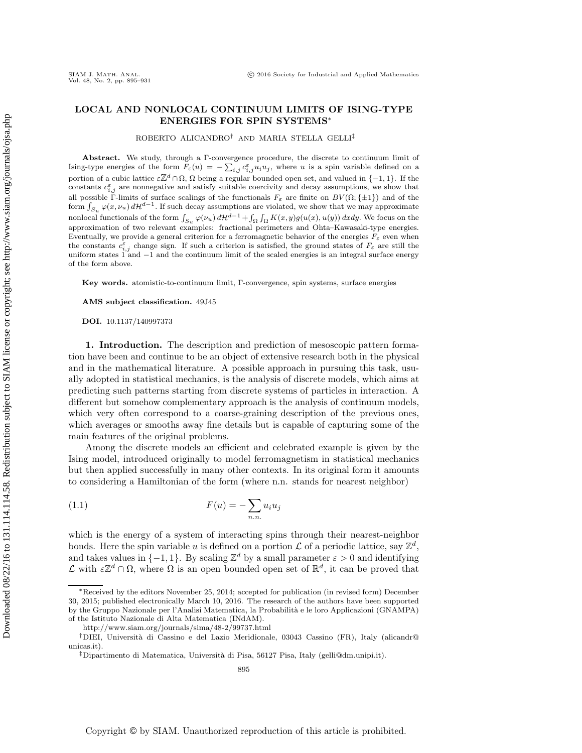## **LOCAL AND NONLOCAL CONTINUUM LIMITS OF ISING-TYPE ENERGIES FOR SPIN SYSTEMS**<sup>∗</sup>

ROBERTO ALICANDRO† AND MARIA STELLA GELLI‡

Abstract. We study, through a Γ-convergence procedure, the discrete to continuum limit of Ising-type energies of the form  $F_{\varepsilon}(u) = -\sum_{i,j} c_{i,j}^{\varepsilon} u_i u_j$ , where u is a spin variable defined on a portion of a cubic lattice  $\varepsilon \mathbb{Z}^d \cap \Omega$ ,  $\Omega$  being a regular bounded open set, and valued in {-1, 1}. If the constants  $c_{i,i}^{\varepsilon}$  are nonnegative and satisfy suitable coercivity and decay assumptions, we show that all possible Γ-limits of surface scalings of the functionals  $F_{\varepsilon}$  are finite on  $BV(\Omega;\{\pm 1\})$  and of the form  $\int_{S_u} \varphi(x,\nu_u) d\mathcal{H}^{d-1}$ . If such decay assumptions are violated, we show that we may approximate nonlocal functionals of the form  $\int_{S_u} \varphi(\nu_u) d\mathcal{H}^{d-1} + \int_{\Omega} \int_{\Omega} K(x, y) g(u(x), u(y)) dxdy$ . We focus on the approximation of two relevant examples: fractional perimeters and Ohta–Kawasaki-type energies. Eventually, we provide a general criterion for a ferromagnetic behavior of the energies  $F_{\varepsilon}$  even when the constants  $c_{i,j}^{\varepsilon}$  change sign. If such a criterion is satisfied, the ground states of  $F_{\varepsilon}$  are still the uniform states  $1$  and  $-1$  and the continuum limit of the scaled energies is an integral surface energy of the form above.

**Key words.** atomistic-to-continuum limit, Γ-convergence, spin systems, surface energies

**AMS subject classification.** 49J45

**DOI.** 10.1137/140997373

**1. Introduction.** The description and prediction of mesoscopic pattern formation have been and continue to be an object of extensive research both in the physical and in the mathematical literature. A possible approach in pursuing this task, usually adopted in statistical mechanics, is the analysis of discrete models, which aims at predicting such patterns starting from discrete systems of particles in interaction. A different but somehow complementary approach is the analysis of continuum models, which very often correspond to a coarse-graining description of the previous ones, which averages or smooths away fine details but is capable of capturing some of the main features of the original problems.

Among the discrete models an efficient and celebrated example is given by the Ising model, introduced originally to model ferromagnetism in statistical mechanics but then applied successfully in many other contexts. In its original form it amounts to considering a Hamiltonian of the form (where n.n. stands for nearest neighbor)

<span id="page-0-0"></span>
$$
F(u) = -\sum_{n.n.} u_i u_j
$$

which is the energy of a system of interacting spins through their nearest-neighbor bonds. Here the spin variable u is defined on a portion  $\mathcal L$  of a periodic lattice, say  $\mathbb Z^d$ , and takes values in  $\{-1, 1\}$ . By scaling  $\mathbb{Z}^d$  by a small parameter  $\varepsilon > 0$  and identifying  $\mathcal L$  with  $\varepsilon\mathbb{Z}^d\cap\Omega$ , where  $\Omega$  is an open bounded open set of  $\mathbb{R}^d$ , it can be proved that

<sup>∗</sup>Received by the editors November 25, 2014; accepted for publication (in revised form) December 30, 2015; published electronically March 10, 2016. The research of the authors have been supported by the Gruppo Nazionale per l'Analisi Matematica, la Probabilità e le loro Applicazioni (GNAMPA) of the Istituto Nazionale di Alta Matematica (INdAM).

<http://www.siam.org/journals/sima/48-2/99737.html>

<sup>†</sup>DIEI, Universit`a di Cassino e del Lazio Meridionale, 03043 Cassino (FR), Italy [\(alicandr@](mailto:alicandr@unicas.it) [unicas.it\)](mailto:alicandr@unicas.it).

<sup>&</sup>lt;sup>‡</sup>Dipartimento di Matematica, Università di Pisa, 56127 Pisa, Italy [\(gelli@dm.unipi.it\)](mailto:gelli@dm.unipi.it).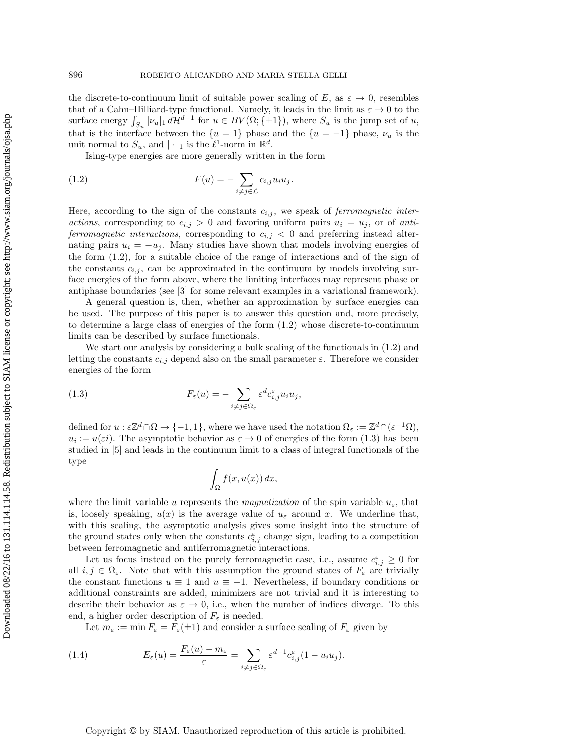the discrete-to-continuum limit of suitable power scaling of E, as  $\varepsilon \to 0$ , resembles that of a Cahn–Hilliard-type functional. Namely, it leads in the limit as  $\varepsilon \to 0$  to the surface energy  $\int_{S_u} |\nu_u|_1 d\mathcal{H}^{d-1}$  for  $u \in BV(\Omega; \{\pm 1\})$ , where  $S_u$  is the jump set of u, that is the interface between the  $\{u = 1\}$  phase and the  $\{u = -1\}$  phase,  $\nu_u$  is the unit normal to  $S_u$ , and  $|\cdot|_1$  is the  $\ell^1$ -norm in  $\mathbb{R}^d$ .

<span id="page-1-0"></span>Ising-type energies are more generally written in the form

(1.2) 
$$
F(u) = -\sum_{i \neq j \in \mathcal{L}} c_{i,j} u_i u_j.
$$

Here, according to the sign of the constants  $c_{i,j}$ , we speak of *ferromagnetic interactions*, corresponding to  $c_{i,j} > 0$  and favoring uniform pairs  $u_i = u_j$ , or of *antiferromagnetic interactions*, corresponding to  $c_{i,j} < 0$  and preferring instead alternating pairs  $u_i = -u_i$ . Many studies have shown that models involving energies of the form [\(1.2\)](#page-1-0), for a suitable choice of the range of interactions and of the sign of the constants  $c_{i,j}$ , can be approximated in the continuum by models involving surface energies of the form above, where the limiting interfaces may represent phase or antiphase boundaries (see [\[3\]](#page-35-0) for some relevant examples in a variational framework).

A general question is, then, whether an approximation by surface energies can be used. The purpose of this paper is to answer this question and, more precisely, to determine a large class of energies of the form [\(1.2\)](#page-1-0) whose discrete-to-continuum limits can be described by surface functionals.

We start our analysis by considering a bulk scaling of the functionals in [\(1.2\)](#page-1-0) and letting the constants  $c_{i,j}$  depend also on the small parameter  $\varepsilon$ . Therefore we consider energies of the form

(1.3) 
$$
F_{\varepsilon}(u) = -\sum_{i \neq j \in \Omega_{\varepsilon}} \varepsilon^{d} c_{i,j}^{\varepsilon} u_{i} u_{j},
$$

defined for  $u : \varepsilon \mathbb{Z}^d \cap \Omega \to \{-1,1\}$ , where we have used the notation  $\Omega_{\varepsilon} := \mathbb{Z}^d \cap (\varepsilon^{-1} \Omega)$ ,  $u_i := u(\varepsilon i)$ . The asymptotic behavior as  $\varepsilon \to 0$  of energies of the form [\(1.3\)](#page-1-1) has been studied in [\[5\]](#page-35-1) and leads in the continuum limit to a class of integral functionals of the type

<span id="page-1-1"></span>
$$
\int_{\Omega} f(x, u(x)) dx,
$$

where the limit variable u represents the *magnetization* of the spin variable  $u_{\varepsilon}$ , that is, loosely speaking,  $u(x)$  is the average value of  $u_{\varepsilon}$  around x. We underline that, with this scaling, the asymptotic analysis gives some insight into the structure of the ground states only when the constants  $c_{i,j}^{\varepsilon}$  change sign, leading to a competition between ferromagnetic and antiferromagnetic interactions.

Let us focus instead on the purely ferromagnetic case, i.e., assume  $c_{i,j}^{\varepsilon} \geq 0$  for all  $i, j \in \Omega_{\varepsilon}$ . Note that with this assumption the ground states of  $F_{\varepsilon}$  are trivially the constant functions  $u \equiv 1$  and  $u \equiv -1$ . Nevertheless, if boundary conditions or additional constraints are added, minimizers are not trivial and it is interesting to describe their behavior as  $\varepsilon \to 0$ , i.e., when the number of indices diverge. To this end, a higher order description of  $F_{\varepsilon}$  is needed.

<span id="page-1-2"></span>Let  $m_{\varepsilon} := \min F_{\varepsilon} = F_{\varepsilon}(\pm 1)$  and consider a surface scaling of  $F_{\varepsilon}$  given by

(1.4) 
$$
E_{\varepsilon}(u) = \frac{F_{\varepsilon}(u) - m_{\varepsilon}}{\varepsilon} = \sum_{i \neq j \in \Omega_{\varepsilon}} \varepsilon^{d-1} c_{i,j}^{\varepsilon}(1 - u_i u_j).
$$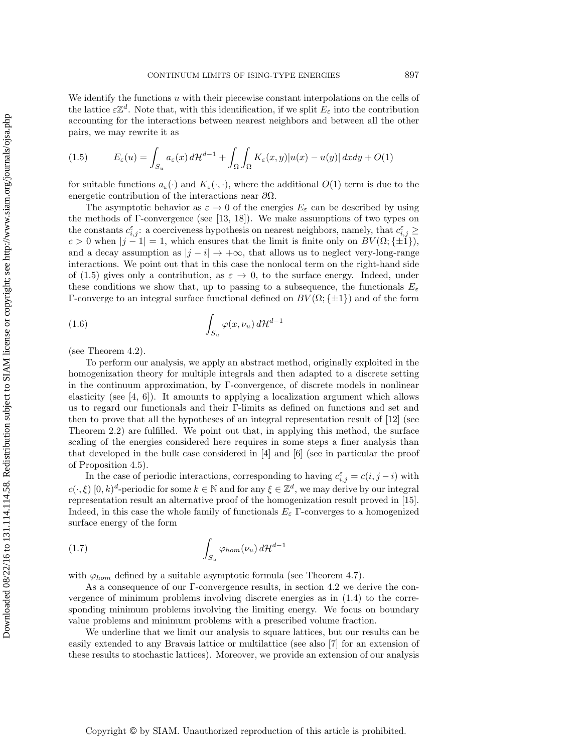We identify the functions  $u$  with their piecewise constant interpolations on the cells of the lattice  $\varepsilon \mathbb{Z}^d$ . Note that, with this identification, if we split  $E_{\varepsilon}$  into the contribution accounting for the interactions between nearest neighbors and between all the other pairs, we may rewrite it as

<span id="page-2-0"></span>(1.5) 
$$
E_{\varepsilon}(u) = \int_{S_u} a_{\varepsilon}(x) d\mathcal{H}^{d-1} + \int_{\Omega} \int_{\Omega} K_{\varepsilon}(x, y) |u(x) - u(y)| dxdy + O(1)
$$

for suitable functions  $a_{\varepsilon}(\cdot)$  and  $K_{\varepsilon}(\cdot, \cdot)$ , where the additional  $O(1)$  term is due to the energetic contribution of the interactions near  $\partial\Omega$ .

The asymptotic behavior as  $\varepsilon \to 0$  of the energies  $E_{\varepsilon}$  can be described by using the methods of Γ-convergence (see [\[13,](#page-35-2) [18\]](#page-36-0)). We make assumptions of two types on the constants  $c_{i,j}^{\varepsilon}$ : a coerciveness hypothesis on nearest neighbors, namely, that  $c_{i,j}^{\varepsilon} \geq$  $c > 0$  when  $|j - 1| = 1$ , which ensures that the limit is finite only on  $BV(\Omega;\{\pm 1\}),$ and a decay assumption as  $|j - i| \rightarrow +\infty$ , that allows us to neglect very-long-range interactions. We point out that in this case the nonlocal term on the right-hand side of [\(1.5\)](#page-2-0) gives only a contribution, as  $\varepsilon \to 0$ , to the surface energy. Indeed, under these conditions we show that, up to passing to a subsequence, the functionals  $E_{\varepsilon}$ Γ-converge to an integral surface functional defined on  $BV(\Omega;\{\pm 1\})$  and of the form

<span id="page-2-1"></span>
$$
\int_{S_u} \varphi(x, \nu_u) d\mathcal{H}^{d-1}
$$

(see Theorem [4.2\)](#page-7-0).

To perform our analysis, we apply an abstract method, originally exploited in the homogenization theory for multiple integrals and then adapted to a discrete setting in the continuum approximation, by Γ-convergence, of discrete models in nonlinear elasticity (see  $[4, 6]$  $[4, 6]$ ). It amounts to applying a localization argument which allows us to regard our functionals and their Γ-limits as defined on functions and set and then to prove that all the hypotheses of an integral representation result of [\[12\]](#page-35-5) (see Theorem [2.2\)](#page-5-0) are fulfilled. We point out that, in applying this method, the surface scaling of the energies considered here requires in some steps a finer analysis than that developed in the bulk case considered in [\[4\]](#page-35-3) and [\[6\]](#page-35-4) (see in particular the proof of Proposition [4.5\)](#page-9-0).

In the case of periodic interactions, corresponding to having  $c_{i,j}^{\varepsilon} = c(i, j - i)$  with  $c(\cdot,\xi)$  [0, k)<sup>d</sup>-periodic for some  $k \in \mathbb{N}$  and for any  $\xi \in \mathbb{Z}^d$ , we may derive by our integral representation result an alternative proof of the homogenization result proved in [\[15\]](#page-36-1). Indeed, in this case the whole family of functionals  $E_{\varepsilon}$  Γ-converges to a homogenized surface energy of the form

<span id="page-2-2"></span>
$$
\int_{S_u} \varphi_{hom}(\nu_u) \, d\mathcal{H}^{d-1}
$$

with  $\varphi_{hom}$  defined by a suitable asymptotic formula (see Theorem [4.7\)](#page-12-0).

As a consequence of our Γ-convergence results, in section [4.2](#page-14-0) we derive the convergence of minimum problems involving discrete energies as in [\(1.4\)](#page-1-2) to the corresponding minimum problems involving the limiting energy. We focus on boundary value problems and minimum problems with a prescribed volume fraction.

We underline that we limit our analysis to square lattices, but our results can be easily extended to any Bravais lattice or multilattice (see also [\[7\]](#page-35-6) for an extension of these results to stochastic lattices). Moreover, we provide an extension of our analysis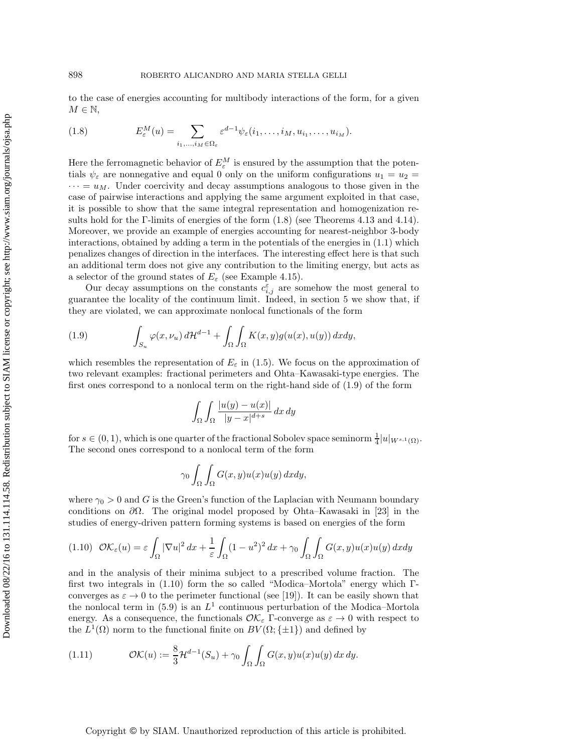to the case of energies accounting for multibody interactions of the form, for a given  $M \in \mathbb{N}$ ,

<span id="page-3-0"></span>(1.8) 
$$
E_{\varepsilon}^{M}(u) = \sum_{i_{1},...,i_{M} \in \Omega_{\varepsilon}} \varepsilon^{d-1} \psi_{\varepsilon}(i_{1},...,i_{M},u_{i_{1}},...,u_{i_{M}}).
$$

Here the ferromagnetic behavior of  $E_{\varepsilon}^M$  is ensured by the assumption that the potentials  $\psi_{\varepsilon}$  are nonnegative and equal 0 only on the uniform configurations  $u_1 = u_2 =$  $\cdots = u_M$ . Under coercivity and decay assumptions analogous to those given in the case of pairwise interactions and applying the same argument exploited in that case, it is possible to show that the same integral representation and homogenization results hold for the Γ-limits of energies of the form  $(1.8)$  (see Theorems [4.13](#page-18-0) and [4.14\)](#page-19-0). Moreover, we provide an example of energies accounting for nearest-neighbor 3-body interactions, obtained by adding a term in the potentials of the energies in [\(1.1\)](#page-0-0) which penalizes changes of direction in the interfaces. The interesting effect here is that such an additional term does not give any contribution to the limiting energy, but acts as a selector of the ground states of  $E_{\varepsilon}$  (see Example [4.15\)](#page-19-1).

Our decay assumptions on the constants  $c_{i,j}^{\varepsilon}$  are somehow the most general to guarantee the locality of the continuum limit. Indeed, in section [5](#page-20-0) we show that, if they are violated, we can approximate nonlocal functionals of the form

<span id="page-3-1"></span>(1.9) 
$$
\int_{S_u} \varphi(x, \nu_u) d\mathcal{H}^{d-1} + \int_{\Omega} \int_{\Omega} K(x, y) g(u(x), u(y)) dxdy,
$$

which resembles the representation of  $E_{\varepsilon}$  in [\(1.5\)](#page-2-0). We focus on the approximation of two relevant examples: fractional perimeters and Ohta–Kawasaki-type energies. The first ones correspond to a nonlocal term on the right-hand side of [\(1.9\)](#page-3-1) of the form

$$
\int_{\Omega} \int_{\Omega} \frac{|u(y) - u(x)|}{|y - x|^{d + s}} dx dy
$$

for  $s \in (0, 1)$ , which is one quarter of the fractional Sobolev space seminorm  $\frac{1}{4}|u|_{W^{s,1}(\Omega)}$ . The second ones correspond to a nonlocal term of the form

$$
\gamma_0 \int_{\Omega} \int_{\Omega} G(x, y) u(x) u(y) dx dy,
$$

where  $\gamma_0 > 0$  and G is the Green's function of the Laplacian with Neumann boundary conditions on  $\partial\Omega$ . The original model proposed by Ohta–Kawasaki in [\[23\]](#page-36-2) in the studies of energy-driven pattern forming systems is based on energies of the form

<span id="page-3-2"></span>
$$
(1.10)\ \mathcal{O}\mathcal{K}_{\varepsilon}(u) = \varepsilon \int_{\Omega} |\nabla u|^2 \, dx + \frac{1}{\varepsilon} \int_{\Omega} (1 - u^2)^2 \, dx + \gamma_0 \int_{\Omega} \int_{\Omega} G(x, y) u(x) u(y) \, dx dy
$$

and in the analysis of their minima subject to a prescribed volume fraction. The first two integrals in [\(1.10\)](#page-3-2) form the so called "Modica–Mortola" energy which Γconverges as  $\varepsilon \to 0$  to the perimeter functional (see [\[19\]](#page-36-3)). It can be easily shown that the nonlocal term in [\(5.9\)](#page-23-0) is an  $L^1$  continuous perturbation of the Modica–Mortola energy. As a consequence, the functionals  $\mathcal{O}K_{\varepsilon}$  Γ-converge as  $\varepsilon \to 0$  with respect to the  $L^1(\Omega)$  norm to the functional finite on  $BV(\Omega;\{\pm 1\})$  and defined by

<span id="page-3-3"></span>(1.11) 
$$
\mathcal{O}\mathcal{K}(u) := \frac{8}{3}\mathcal{H}^{d-1}(S_u) + \gamma_0 \int_{\Omega} \int_{\Omega} G(x, y)u(x)u(y) dx dy.
$$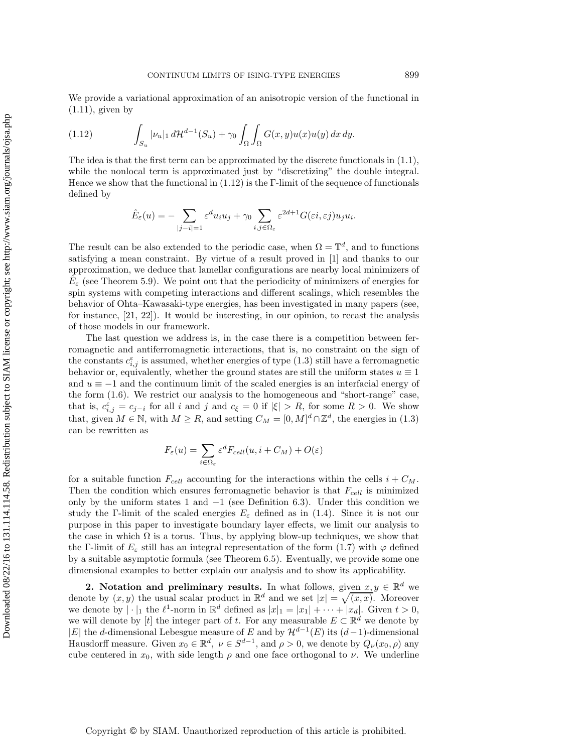We provide a variational approximation of an anisotropic version of the functional in  $(1.11)$ , given by

<span id="page-4-0"></span>(1.12) 
$$
\int_{S_u} |\nu_u|_1 d\mathcal{H}^{d-1}(S_u) + \gamma_0 \int_{\Omega} \int_{\Omega} G(x, y) u(x) u(y) dx dy.
$$

The idea is that the first term can be approximated by the discrete functionals in  $(1.1)$ , while the nonlocal term is approximated just by "discretizing" the double integral. Hence we show that the functional in  $(1.12)$  is the Γ-limit of the sequence of functionals defined by

$$
\hat{E}_{\varepsilon}(u) = -\sum_{|j-i|=1} \varepsilon^{d} u_i u_j + \gamma_0 \sum_{i,j \in \Omega_{\varepsilon}} \varepsilon^{2d+1} G(\varepsilon i, \varepsilon j) u_j u_i.
$$

The result can be also extended to the periodic case, when  $\Omega = \mathbb{T}^d$ , and to functions satisfying a mean constraint. By virtue of a result proved in [\[1\]](#page-35-7) and thanks to our approximation, we deduce that lamellar configurations are nearby local minimizers of  $E_{\varepsilon}$  (see Theorem [5.9\)](#page-26-0). We point out that the periodicity of minimizers of energies for spin systems with competing interactions and different scalings, which resembles the behavior of Ohta–Kawasaki-type energies, has been investigated in many papers (see, for instance, [\[21,](#page-36-4) [22\]](#page-36-5)). It would be interesting, in our opinion, to recast the analysis of those models in our framework.

The last question we address is, in the case there is a competition between ferromagnetic and antiferromagnetic interactions, that is, no constraint on the sign of the constants  $c_{i,j}^{\varepsilon}$  is assumed, whether energies of type [\(1.3\)](#page-1-1) still have a ferromagnetic behavior or, equivalently, whether the ground states are still the uniform states  $u \equiv 1$ and  $u \equiv -1$  and the continuum limit of the scaled energies is an interfacial energy of the form [\(1.6\)](#page-2-1). We restrict our analysis to the homogeneous and "short-range" case, that is,  $c_{i,j}^{\varepsilon} = c_{j-i}$  for all i and j and  $c_{\xi} = 0$  if  $|\xi| > R$ , for some  $R > 0$ . We show that, given  $M \in \mathbb{N}$ , with  $M \ge R$ , and setting  $C_M = [0, M]^d \cap \mathbb{Z}^d$ , the energies in [\(1.3\)](#page-1-1) can be rewritten as

$$
F_{\varepsilon}(u) = \sum_{i \in \Omega_{\varepsilon}} \varepsilon^d F_{cell}(u, i + C_M) + O(\varepsilon)
$$

for a suitable function  $F_{cell}$  accounting for the interactions within the cells  $i + C_M$ . Then the condition which ensures ferromagnetic behavior is that  $F_{cell}$  is minimized only by the uniform states 1 and  $-1$  (see Definition [6.3\)](#page-28-0). Under this condition we study the Γ-limit of the scaled energies  $E_{\varepsilon}$  defined as in [\(1.4\)](#page-1-2). Since it is not our purpose in this paper to investigate boundary layer effects, we limit our analysis to the case in which  $\Omega$  is a torus. Thus, by applying blow-up techniques, we show that the Γ-limit of  $E_{\varepsilon}$  still has an integral representation of the form [\(1.7\)](#page-2-2) with  $\varphi$  defined by a suitable asymptotic formula (see Theorem [6.5\)](#page-30-0). Eventually, we provide some one dimensional examples to better explain our analysis and to show its applicability.

**2. Notation and preliminary results.** In what follows, given  $x, y \in \mathbb{R}^d$  we denote by  $(x, y)$  the usual scalar product in  $\mathbb{R}^d$  and we set  $|x| = \sqrt{(x, x)}$ . Moreover we denote by  $|\cdot|_1$  the  $\ell^1$ -norm in  $\mathbb{R}^d$  defined as  $|x|_1 = |x_1| + \cdots + |x_d|$ . Given  $t > 0$ , we will denote by [t] the integer part of t. For any measurable  $E \subset \mathbb{R}^d$  we denote by |E| the d-dimensional Lebesgue measure of E and by  $\mathcal{H}^{d-1}(E)$  its  $(d-1)$ -dimensional Hausdorff measure. Given  $x_0 \in \mathbb{R}^d$ ,  $\nu \in S^{d-1}$ , and  $\rho > 0$ , we denote by  $Q_{\nu}(x_0, \rho)$  any cube centered in  $x_0$ , with side length  $\rho$  and one face orthogonal to  $\nu$ . We underline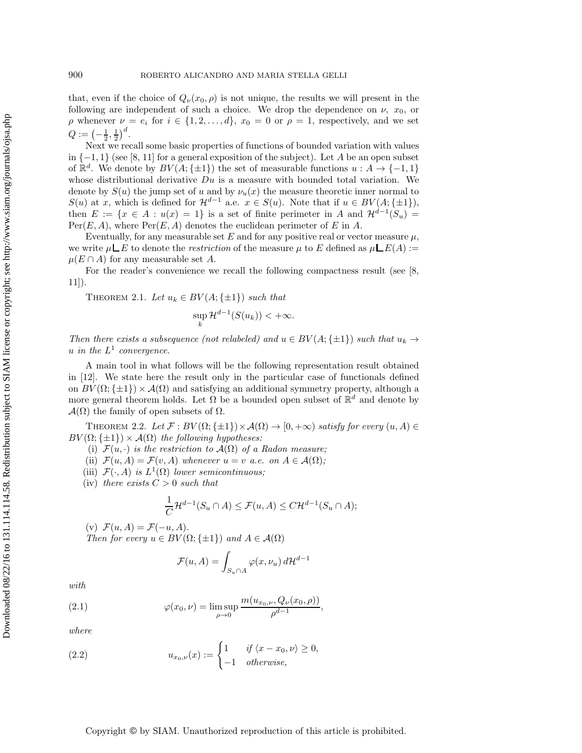that, even if the choice of  $Q_{\nu}(x_0, \rho)$  is not unique, the results we will present in the following are independent of such a choice. We drop the dependence on  $\nu$ ,  $x_0$ , or  $\rho$  whenever  $\nu = e_i$  for  $i \in \{1, 2, ..., d\}, x_0 = 0$  or  $\rho = 1$ , respectively, and we set  $Q:= \left(-\frac{1}{2},\frac{1}{2}\right)^d$ .

Next we recall some basic properties of functions of bounded variation with values in  $\{-1,1\}$  (see [\[8,](#page-35-8) [11\]](#page-35-9) for a general exposition of the subject). Let A be an open subset of  $\mathbb{R}^d$ . We denote by  $BV(A; \{\pm 1\})$  the set of measurable functions  $u : A \to \{-1, 1\}$ whose distributional derivative  $Du$  is a measure with bounded total variation. We denote by  $S(u)$  the jump set of u and by  $\nu_u(x)$  the measure theoretic inner normal to  $S(u)$  at x, which is defined for  $\mathcal{H}^{d-1}$  a.e.  $x \in S(u)$ . Note that if  $u \in BV(A; \{\pm 1\}),$ then  $E := \{x \in A : u(x) = 1\}$  is a set of finite perimeter in A and  $\mathcal{H}^{d-1}(S_u)$  $Per(E, A)$ , where  $Per(E, A)$  denotes the euclidean perimeter of E in A.

Eventually, for any measurable set E and for any positive real or vector measure  $\mu$ , we write  $\mu \Box E$  to denote the *restriction* of the measure  $\mu$  to E defined as  $\mu \Box E(A) :=$  $\mu(E \cap A)$  for any measurable set A.

For the reader's convenience we recall the following compactness result (see [\[8,](#page-35-8)  $11$ ).

<span id="page-5-3"></span>THEOREM 2.1. Let  $u_k \in BV(A; \{\pm 1\})$  *such that* 

$$
\sup_{k} \mathcal{H}^{d-1}(S(u_k)) < +\infty.
$$

*Then there exists a subsequence (not relabeled) and*  $u \in BV(A; \{\pm 1\})$  *such that*  $u_k \rightarrow$  $u$  *in the*  $L^1$  *convergence.* 

A main tool in what follows will be the following representation result obtained in [\[12\]](#page-35-5). We state here the result only in the particular case of functionals defined on  $BV(\Omega;\{\pm 1\})\times \mathcal{A}(\Omega)$  and satisfying an additional symmetry property, although a more general theorem holds. Let  $\Omega$  be a bounded open subset of  $\mathbb{R}^d$  and denote by  $\mathcal{A}(\Omega)$  the family of open subsets of  $\Omega$ .

<span id="page-5-0"></span>THEOREM 2.2. Let  $\mathcal{F}: BV(\Omega;\{\pm 1\}) \times \mathcal{A}(\Omega) \to [0, +\infty)$  *satisfy for every*  $(u, A) \in$  $BV(\Omega;\{\pm 1\})\times \mathcal{A}(\Omega)$  the following hypotheses:

- (i)  $\mathcal{F}(u, \cdot)$  *is the restriction to*  $\mathcal{A}(\Omega)$  *of a Radon measure;*
- (ii)  $\mathcal{F}(u, A) = \mathcal{F}(v, A)$  *whenever*  $u = v$  *a.e.* on  $A \in \mathcal{A}(\Omega)$ ;
- (iii)  $\mathcal{F}(\cdot, A)$  *is*  $L^1(\Omega)$  *lower semicontinuous;*
- (iv) *there exists*  $C > 0$  *such that*

$$
\frac{1}{C} \mathcal{H}^{d-1}(S_u \cap A) \le \mathcal{F}(u, A) \le C \mathcal{H}^{d-1}(S_u \cap A);
$$

(v)  $\mathcal{F}(u, A) = \mathcal{F}(-u, A)$ . *Then for every*  $u \in BV(\Omega; \{\pm 1\})$  *and*  $A \in \mathcal{A}(\Omega)$ 

<span id="page-5-2"></span>
$$
\mathcal{F}(u, A) = \int_{S_u \cap A} \varphi(x, \nu_u) d\mathcal{H}^{d-1}
$$

*with*

(2.1) 
$$
\varphi(x_0,\nu) = \limsup_{\rho \to 0} \frac{m(u_{x_0,\nu}, Q_{\nu}(x_0,\rho))}{\rho^{d-1}},
$$

*where*

<span id="page-5-1"></span>(2.2) 
$$
u_{x_0,\nu}(x) := \begin{cases} 1 & \text{if } \langle x - x_0, \nu \rangle \ge 0, \\ -1 & \text{otherwise,} \end{cases}
$$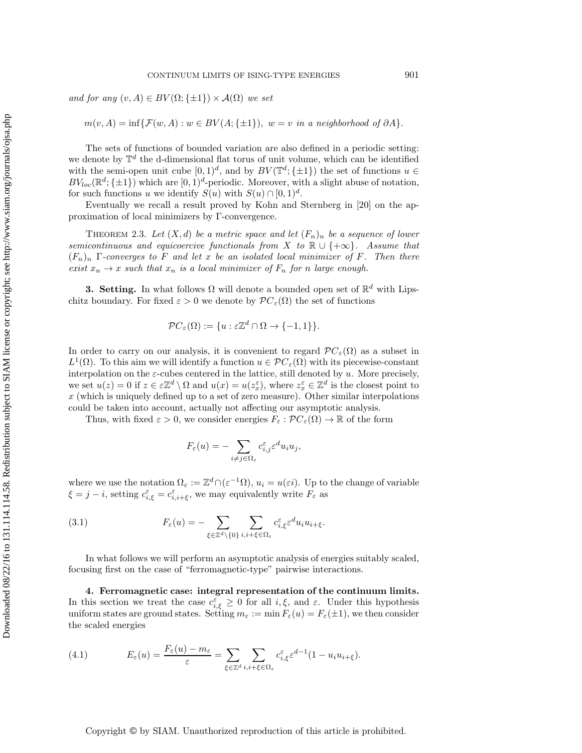*and for any*  $(v, A) \in BV(\Omega; \{\pm 1\}) \times \mathcal{A}(\Omega)$  *we set* 

 $m(v, A) = \inf \{ \mathcal{F}(w, A) : w \in BV(A; \{\pm 1\}), w = v \text{ in a neighborhood of } \partial A \}.$ 

The sets of functions of bounded variation are also defined in a periodic setting: we denote by  $\mathbb{T}^d$  the d-dimensional flat torus of unit volume, which can be identified with the semi-open unit cube  $[0,1)^d$ , and by  $BV(\mathbb{T}^d;\{\pm 1\})$  the set of functions  $u \in$  $BV_{loc}(\mathbb{R}^d; \{\pm 1\})$  which are  $[0, 1)^d$ -periodic. Moreover, with a slight abuse of notation, for such functions u we identify  $S(u)$  with  $S(u) \cap [0,1]^d$ .

Eventually we recall a result proved by Kohn and Sternberg in [\[20\]](#page-36-6) on the approximation of local minimizers by Γ-convergence.

THEOREM 2.3. Let  $(X,d)$  be a metric space and let  $(F_n)_n$  be a sequence of lower *semicontinuous and equicoercive functionals from* X *to*  $\mathbb{R} \cup \{+\infty\}$ *. Assume that* (Fn)<sup>n</sup> Γ*-converges to* F *and let* x *be an isolated local minimizer of* F*. Then there exist*  $x_n \to x$  *such that*  $x_n$  *is a local minimizer of*  $F_n$  *for n large enough.* 

**3. Setting.** In what follows  $\Omega$  will denote a bounded open set of  $\mathbb{R}^d$  with Lipschitz boundary. For fixed  $\varepsilon > 0$  we denote by  $\mathcal{P}C_{\varepsilon}(\Omega)$  the set of functions

<span id="page-6-2"></span>
$$
\mathcal{P}C_{\varepsilon}(\Omega) := \{ u : \varepsilon \mathbb{Z}^d \cap \Omega \to \{-1, 1\} \}.
$$

In order to carry on our analysis, it is convenient to regard  $\mathcal{PC}_{\varepsilon}(\Omega)$  as a subset in  $L^1(\Omega)$ . To this aim we will identify a function  $u \in \mathcal{PC}_{\varepsilon}(\Omega)$  with its piecewise-constant interpolation on the  $\varepsilon$ -cubes centered in the lattice, still denoted by u. More precisely, we set  $u(z) = 0$  if  $z \in \mathbb{Z}^d \setminus \Omega$  and  $u(x) = u(z_x)$ , where  $z_x \in \mathbb{Z}^d$  is the closest point to  $x$  (which is uniquely defined up to a set of zero measure). Other similar interpolations could be taken into account, actually not affecting our asymptotic analysis.

Thus, with fixed  $\varepsilon > 0$ , we consider energies  $F_{\varepsilon} : \mathcal{P}C_{\varepsilon}(\Omega) \to \mathbb{R}$  of the form

<span id="page-6-1"></span>
$$
F_{\varepsilon}(u)=-\sum_{i\neq j\in\Omega_{\varepsilon}}c_{i,j}^{\varepsilon}\varepsilon^du_iu_j,
$$

where we use the notation  $\Omega_{\varepsilon} := \mathbb{Z}^d \cap (\varepsilon^{-1} \Omega), u_i = u(\varepsilon i)$ . Up to the change of variable  $\xi = j - i$ , setting  $c_{i,\xi}^{\varepsilon} = c_{i,i+\xi}^{\varepsilon}$ , we may equivalently write  $F_{\varepsilon}$  as

(3.1) 
$$
F_{\varepsilon}(u) = - \sum_{\xi \in \mathbb{Z}^d \setminus \{0\}} \sum_{i,i+\xi \in \Omega_{\varepsilon}} c_{i,\xi}^{\varepsilon} \varepsilon^d u_i u_{i+\xi}.
$$

In what follows we will perform an asymptotic analysis of energies suitably scaled, focusing first on the case of "ferromagnetic-type" pairwise interactions.

**4. Ferromagnetic case: integral representation of the continuum limits.** In this section we treat the case  $c_{i,\xi}^{\varepsilon} \geq 0$  for all  $i,\xi$ , and  $\varepsilon$ . Under this hypothesis uniform states are ground states. Setting  $m_{\varepsilon} := \min F_{\varepsilon}(u) = F_{\varepsilon}(\pm 1)$ , we then consider the scaled energies

<span id="page-6-0"></span>(4.1) 
$$
E_{\varepsilon}(u) = \frac{F_{\varepsilon}(u) - m_{\varepsilon}}{\varepsilon} = \sum_{\xi \in \mathbb{Z}^d} \sum_{i,i+\xi \in \Omega_{\varepsilon}} c_{i,\xi}^{\varepsilon} \varepsilon^{d-1} (1 - u_i u_{i+\xi}).
$$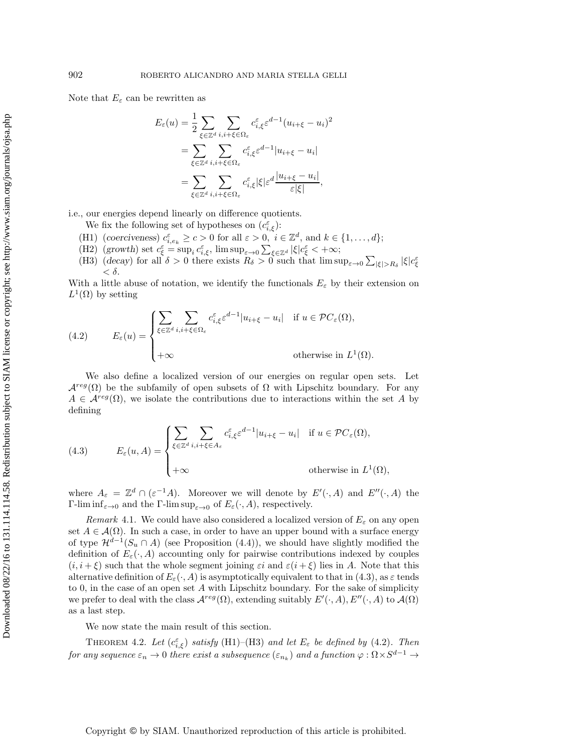Note that  $E_{\varepsilon}$  can be rewritten as

$$
E_{\varepsilon}(u) = \frac{1}{2} \sum_{\xi \in \mathbb{Z}^d} \sum_{i,i+\xi \in \Omega_{\varepsilon}} c_{i,\xi}^{\varepsilon} \varepsilon^{d-1} (u_{i+\xi} - u_i)^2
$$
  
= 
$$
\sum_{\xi \in \mathbb{Z}^d} \sum_{i,i+\xi \in \Omega_{\varepsilon}} c_{i,\xi}^{\varepsilon} \varepsilon^{d-1} |u_{i+\xi} - u_i|
$$
  
= 
$$
\sum_{\xi \in \mathbb{Z}^d} \sum_{i,i+\xi \in \Omega_{\varepsilon}} c_{i,\xi}^{\varepsilon} |\xi| \varepsilon^d \frac{|u_{i+\xi} - u_i|}{\varepsilon |\xi|},
$$

i.e., our energies depend linearly on difference quotients.

We fix the following set of hypotheses on  $(c_{i,\xi}^{\varepsilon})$ :

- (H1) (*coerciveness*)  $c_{i,e_k}^{\varepsilon} \geq c > 0$  for all  $\varepsilon > 0$ ,  $i \in \mathbb{Z}^d$ , and  $k \in \{1, \ldots, d\};$
- (H2) (*growth*) set  $c_{\xi}^{\varepsilon} = \sup_i c_{i,\xi}^{\varepsilon}$ , lim  $\sup_{\varepsilon \to 0} \sum_{\xi \in \mathbb{Z}^d} |\xi| c_{\xi}^{\varepsilon} < +\infty$ ;
- (H3) (*decay*) for all  $\delta > 0$  there exists  $R_{\delta} > 0$  such that  $\limsup_{\varepsilon \to 0} \sum_{|\xi| > R_{\delta}} |\xi| c_{\xi}^{\varepsilon}$  $< \delta$ .

With a little abuse of notation, we identify the functionals  $E_{\varepsilon}$  by their extension on  $L^1(\Omega)$  by setting

<span id="page-7-2"></span>(4.2) 
$$
E_{\varepsilon}(u) = \begin{cases} \sum_{\xi \in \mathbb{Z}^d} \sum_{i,i+\xi \in \Omega_{\varepsilon}} c_{i,\xi}^{\varepsilon} \varepsilon^{d-1} |u_{i+\xi} - u_i| & \text{if } u \in \mathcal{P}C_{\varepsilon}(\Omega), \\ +\infty & \text{otherwise in } L^1(\Omega). \end{cases}
$$

We also define a localized version of our energies on regular open sets. Let  $\mathcal{A}^{reg}(\Omega)$  be the subfamily of open subsets of  $\Omega$  with Lipschitz boundary. For any  $A \in \mathcal{A}^{reg}(\Omega)$ , we isolate the contributions due to interactions within the set A by defining

<span id="page-7-1"></span>(4.3) 
$$
E_{\varepsilon}(u, A) = \begin{cases} \sum_{\xi \in \mathbb{Z}^d} \sum_{i, i+\xi \in A_{\varepsilon}} c_{i, \xi}^{\varepsilon} \varepsilon^{d-1} |u_{i+\xi} - u_i| & \text{if } u \in \mathcal{P}C_{\varepsilon}(\Omega), \\ +\infty & \text{otherwise in } L^1(\Omega), \end{cases}
$$

where  $A_{\varepsilon} = \mathbb{Z}^d \cap (\varepsilon^{-1}A)$ . Moreover we will denote by  $E'(\cdot, A)$  and  $E''(\cdot, A)$  the Γ-lim inf<sub>ε→0</sub> and the Γ-lim sup<sub>ε→0</sub> of  $E<sub>ε</sub>(·, A)$ , respectively.

*Remark* 4.1. We could have also considered a localized version of  $E<sub>\epsilon</sub>$  on any open set  $A \in \mathcal{A}(\Omega)$ . In such a case, in order to have an upper bound with a surface energy of type  $\mathcal{H}^{d-1}(S_u \cap A)$  (see Proposition [\(4.4\)](#page-8-0)), we should have slightly modified the definition of  $E_{\varepsilon}(\cdot, A)$  accounting only for pairwise contributions indexed by couples  $(i, i + \xi)$  such that the whole segment joining  $\varepsilon i$  and  $\varepsilon (i + \xi)$  lies in A. Note that this alternative definition of  $E_{\varepsilon}(\cdot, A)$  is asymptotically equivalent to that in [\(4.3\)](#page-7-1), as  $\varepsilon$  tends to 0, in the case of an open set A with Lipschitz boundary. For the sake of simplicity we prefer to deal with the class  $\mathcal{A}^{reg}(\Omega)$ , extending suitably  $E'(\cdot, A)$ ,  $E''(\cdot, A)$  to  $\mathcal{A}(\Omega)$ as a last step.

We now state the main result of this section.

<span id="page-7-0"></span>THEOREM 4.2. Let  $(c_{i,\xi}^{\varepsilon})$  *satisfy* (H1)–(H3) *and let*  $E_{\varepsilon}$  *be defined by* [\(4.2\)](#page-7-2). Then *for any sequence*  $\varepsilon_n \to 0$  *there exist a subsequence*  $(\varepsilon_{n_k})$  *and a function*  $\varphi : \Omega \times S^{d-1} \to$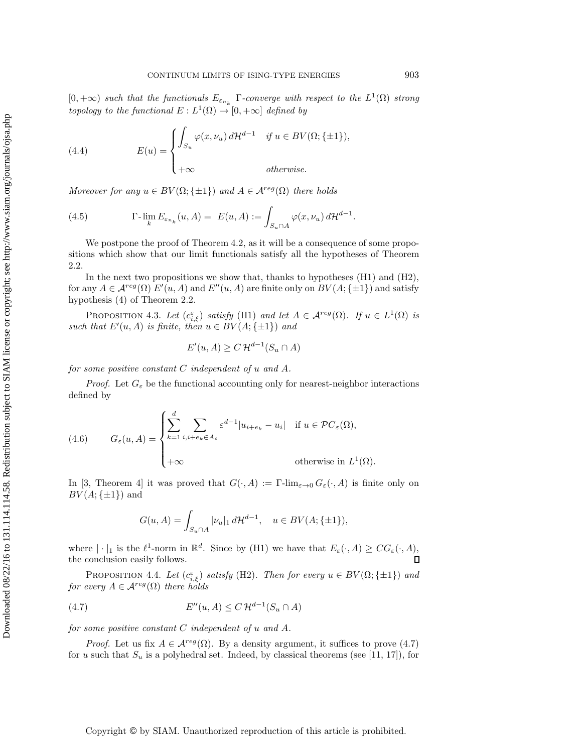$[0, +\infty)$  *such that the functionals*  $E_{\varepsilon_{n_k}}$  Γ-converge with respect to the  $L^1(\Omega)$  *strong topology to the functional*  $E: L^1(\Omega) \to [0, +\infty]$  *defined by* 

<span id="page-8-4"></span>(4.4) 
$$
E(u) = \begin{cases} \int_{S_u} \varphi(x, \nu_u) d\mathcal{H}^{d-1} & \text{if } u \in BV(\Omega; \{\pm 1\}), \\ +\infty & \text{otherwise.} \end{cases}
$$

*Moreover for any*  $u \in BV(\Omega; \{\pm 1\})$  *and*  $A \in \mathcal{A}^{reg}(\Omega)$  *there holds* 

<span id="page-8-3"></span>(4.5) 
$$
\Gamma\text{-}\lim_{k} E_{\varepsilon_{n_k}}(u, A) = E(u, A) := \int_{S_u \cap A} \varphi(x, \nu_u) d\mathcal{H}^{d-1}.
$$

We postpone the proof of Theorem [4.2,](#page-7-0) as it will be a consequence of some propositions which show that our limit functionals satisfy all the hypotheses of Theorem [2.2.](#page-5-0)

In the next two propositions we show that, thanks to hypotheses (H1) and (H2), for any  $A \in \mathcal{A}^{reg}(\Omega)$   $E'(u, A)$  and  $E''(u, A)$  are finite only on  $BV(A; \{\pm 1\})$  and satisfy hypothesis (4) of Theorem [2.2.](#page-5-0)

<span id="page-8-2"></span>PROPOSITION 4.3. Let  $(c_{i,\xi}^{\varepsilon})$  *satisfy* (H1) *and let*  $A \in \mathcal{A}^{reg}(\Omega)$ *. If*  $u \in L^{1}(\Omega)$  *is* such that  $E'(u, A)$  is finite, then  $u \in BV(A; \{\pm 1\})$  and

$$
E'(u, A) \ge C \, \mathcal{H}^{d-1}(S_u \cap A)
$$

*for some positive constant* C *independent of* u *and* A*.*

*Proof.* Let  $G_{\varepsilon}$  be the functional accounting only for nearest-neighbor interactions defined by

<span id="page-8-5"></span>(4.6) 
$$
G_{\varepsilon}(u, A) = \begin{cases} \sum_{k=1}^{d} \sum_{i, i+e_k \in A_{\varepsilon}} \varepsilon^{d-1} |u_{i+e_k} - u_i| & \text{if } u \in \mathcal{P}C_{\varepsilon}(\Omega), \\ +\infty & \text{otherwise in } L^1(\Omega). \end{cases}
$$

In [\[3,](#page-35-0) Theorem 4] it was proved that  $G(\cdot, A) := \Gamma\text{-lim}_{\varepsilon\to 0} G_{\varepsilon}(\cdot, A)$  is finite only on  $BV(A; \{\pm 1\})$  and

<span id="page-8-1"></span>
$$
G(u, A) = \int_{S_u \cap A} |\nu_u|_1 d\mathcal{H}^{d-1}, \quad u \in BV(A; \{\pm 1\}),
$$

where  $|\cdot|_1$  is the  $\ell^1$ -norm in  $\mathbb{R}^d$ . Since by (H1) we have that  $E_{\varepsilon}(\cdot, A) \geq CG_{\varepsilon}(\cdot, A)$ , the conclusion easily follows.

<span id="page-8-0"></span>PROPOSITION 4.4. *Let*  $(c_{i,\xi}^{\varepsilon})$  *satisfy* (H2). *Then for every*  $u \in BV(\Omega;\{\pm 1\})$  *and for every*  $A \in \mathcal{A}^{reg}(\Omega)$  *there holds* 

$$
(4.7) \tE''(u,A) \le C \, \mathcal{H}^{d-1}(S_u \cap A)
$$

*for some positive constant* C *independent of* u *and* A*.*

*Proof.* Let us fix  $A \in \mathcal{A}^{reg}(\Omega)$ . By a density argument, it suffices to prove [\(4.7\)](#page-8-1) for u such that  $S_u$  is a polyhedral set. Indeed, by classical theorems (see [\[11,](#page-35-9) [17\]](#page-36-7)), for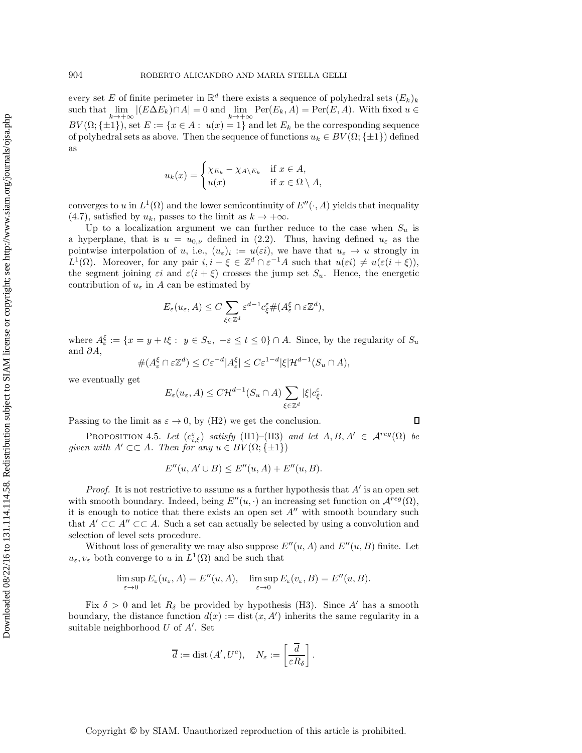every set E of finite perimeter in  $\mathbb{R}^d$  there exists a sequence of polyhedral sets  $(E_k)_k$ such that  $\lim_{k \to +\infty} |(E\Delta E_k) \cap A| = 0$  and  $\lim_{k \to +\infty} \text{Per}(E_k, A) = \text{Per}(E, A)$ . With fixed  $u \in$  $BV(\Omega;\{\pm 1\}),$  set  $E := \{x \in A : u(x) = 1\}$  and let  $E_k$  be the corresponding sequence of polyhedral sets as above. Then the sequence of functions  $u_k \in BV(\Omega; \{\pm 1\})$  defined as

$$
u_k(x) = \begin{cases} \chi_{E_k} - \chi_{A \setminus E_k} & \text{if } x \in A, \\ u(x) & \text{if } x \in \Omega \setminus A, \end{cases}
$$

converges to u in  $L^1(\Omega)$  and the lower semicontinuity of  $E''(\cdot, A)$  yields that inequality [\(4.7\)](#page-8-1), satisfied by  $u_k$ , passes to the limit as  $k \to +\infty$ .

Up to a localization argument we can further reduce to the case when  $S_u$  is a hyperplane, that is  $u = u_{0,\nu}$  defined in [\(2.2\)](#page-5-1). Thus, having defined  $u_{\varepsilon}$  as the pointwise interpolation of u, i.e.,  $(u_{\varepsilon})_i := u(\varepsilon i)$ , we have that  $u_{\varepsilon} \to u$  strongly in  $L^1(\Omega)$ . Moreover, for any pair  $i, i + \xi \in \mathbb{Z}^d \cap \varepsilon^{-1}A$  such that  $u(\varepsilon i) \neq u(\varepsilon (i + \xi)),$ the segment joining  $\varepsilon i$  and  $\varepsilon (i + \xi)$  crosses the jump set  $S_u$ . Hence, the energetic contribution of  $u_{\varepsilon}$  in A can be estimated by

$$
E_{\varepsilon}(u_{\varepsilon}, A) \leq C \sum_{\xi \in \mathbb{Z}^d} \varepsilon^{d-1} c_{\xi}^{\varepsilon} \#(A_{\varepsilon}^{\xi} \cap \varepsilon \mathbb{Z}^d),
$$

where  $A_{\varepsilon}^{\xi} := \{x = y + t\xi : y \in S_u, -\varepsilon \leq t \leq 0\} \cap A$ . Since, by the regularity of  $S_u$ and  $\partial A$ ,

$$
\#(A_{\varepsilon}^{\xi} \cap \varepsilon \mathbb{Z}^{d}) \le C \varepsilon^{-d} |A_{\varepsilon}^{\xi}| \le C \varepsilon^{1-d} |\xi| \mathcal{H}^{d-1}(S_{u} \cap A),
$$

we eventually get

$$
E_{\varepsilon}(u_{\varepsilon}, A) \leq C \mathcal{H}^{d-1}(S_u \cap A) \sum_{\xi \in \mathbb{Z}^d} |\xi| c_{\xi}^{\varepsilon}.
$$

<span id="page-9-0"></span>Passing to the limit as  $\varepsilon \to 0$ , by (H2) we get the conclusion.

PROPOSITION 4.5. Let  $(c_{i,\xi}^{\varepsilon})$  *satisfy* (H1)–(H3) *and let*  $A, B, A' \in \mathcal{A}^{reg}(\Omega)$  *be given with*  $A' \subset \subset A$ *. Then for any*  $u \in BV(\Omega; \{\pm 1\})$ 

$$
E''(u, A' \cup B) \le E''(u, A) + E''(u, B).
$$

*Proof.* It is not restrictive to assume as a further hypothesis that  $A'$  is an open set with smooth boundary. Indeed, being  $E''(u, \cdot)$  an increasing set function on  $\mathcal{A}^{reg}(\Omega)$ , it is enough to notice that there exists an open set  $A''$  with smooth boundary such that  $A' \subset \subset A'' \subset \subset A$ . Such a set can actually be selected by using a convolution and selection of level sets procedure.

Without loss of generality we may also suppose  $E''(u, A)$  and  $E''(u, B)$  finite. Let  $u_{\varepsilon}, v_{\varepsilon}$  both converge to u in  $L^1(\Omega)$  and be such that

$$
\limsup_{\varepsilon \to 0} E_{\varepsilon}(u_{\varepsilon}, A) = E''(u, A), \quad \limsup_{\varepsilon \to 0} E_{\varepsilon}(v_{\varepsilon}, B) = E''(u, B).
$$

Fix  $\delta > 0$  and let  $R_{\delta}$  be provided by hypothesis (H3). Since A' has a smooth boundary, the distance function  $d(x) := \text{dist}(x, A')$  inherits the same regularity in a suitable neighborhood  $U$  of  $A'$ . Set

$$
\overline{d} := \text{dist}(A', U^c), \quad N_{\varepsilon} := \left[\frac{\overline{d}}{\varepsilon R_{\delta}}\right].
$$

Copyright © by SIAM. Unauthorized reproduction of this article is prohibited.

Downloaded 08/22/16 to 131.114.14.58. Redistribution subject to SIAM license or copyright; see http://www.siam.org/journals/ojsa.php Downloaded 08/22/16 to 131.114.114.58. Redistribution subject to SIAM license or copyright; see http://www.siam.org/journals/ojsa.php

Д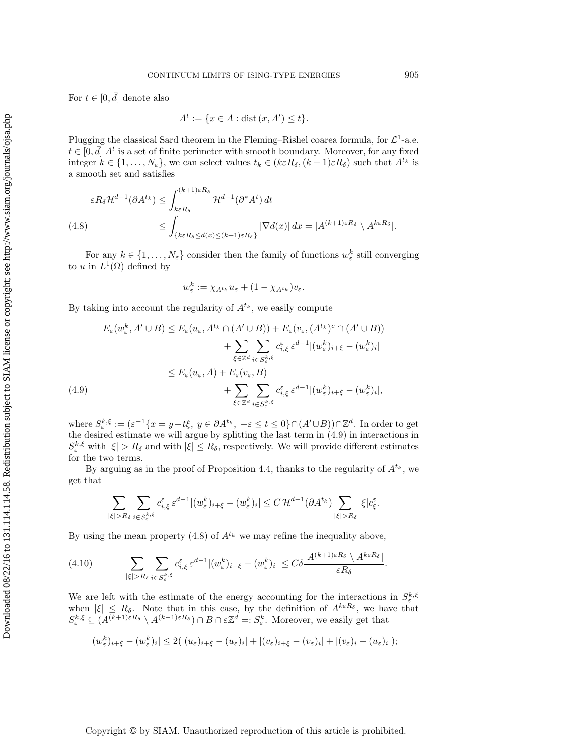For  $t \in [0, \bar{d}]$  denote also

$$
A^t := \{ x \in A : \text{dist}(x, A') \le t \}.
$$

Plugging the classical Sard theorem in the Fleming–Rishel coarea formula, for  $\mathcal{L}^1$ -a.e.  $t \in [0, \bar{d}]$   $A^t$  is a set of finite perimeter with smooth boundary. Moreover, for any fixed integer  $k \in \{1, \ldots, N_{\varepsilon}\}\)$ , we can select values  $t_k \in (k \varepsilon R_\delta, (k+1) \varepsilon R_\delta)$  such that  $A^{t_k}$  is a smooth set and satisfies

<span id="page-10-1"></span>
$$
\varepsilon R_{\delta} \mathcal{H}^{d-1}(\partial A^{t_k}) \leq \int_{k \varepsilon R_{\delta}}^{(k+1) \varepsilon R_{\delta}} \mathcal{H}^{d-1}(\partial^* A^t) dt
$$
  
(4.8)  

$$
\leq \int_{\{k \varepsilon R_{\delta} \leq d(x) \leq (k+1) \varepsilon R_{\delta}\}} |\nabla d(x)| dx = |A^{(k+1) \varepsilon R_{\delta}} \setminus A^{k \varepsilon R_{\delta}}|.
$$

For any  $k \in \{1, \ldots, N_{\varepsilon}\}\)$  consider then the family of functions  $w_{\varepsilon}^k$  still converging to u in  $L^1(\Omega)$  defined by

$$
w_{\varepsilon}^k := \chi_{A^{t_k}} u_{\varepsilon} + (1 - \chi_{A^{t_k}}) v_{\varepsilon}.
$$

By taking into account the regularity of  $A^{t_k}$ , we easily compute

$$
E_{\varepsilon}(w_{\varepsilon}^{k}, A' \cup B) \leq E_{\varepsilon}(u_{\varepsilon}, A^{t_{k}} \cap (A' \cup B)) + E_{\varepsilon}(v_{\varepsilon}, (A^{t_{k}})^{c} \cap (A' \cup B))
$$
  
+ 
$$
\sum_{\xi \in \mathbb{Z}^{d}} \sum_{i \in S_{\varepsilon}^{k, \xi}} c_{i, \xi}^{\varepsilon} \varepsilon^{d-1} |(w_{\varepsilon}^{k})_{i+\xi} - (w_{\varepsilon}^{k})_{i}|
$$
  

$$
\leq E_{\varepsilon}(u_{\varepsilon}, A) + E_{\varepsilon}(v_{\varepsilon}, B)
$$
  
+ 
$$
\sum_{\xi \in \mathbb{Z}^{d}} \sum_{i \in S_{\varepsilon}^{k, \xi}} c_{i, \xi}^{\varepsilon} \varepsilon^{d-1} |(w_{\varepsilon}^{k})_{i+\xi} - (w_{\varepsilon}^{k})_{i}|,
$$
  
(4.9)

<span id="page-10-0"></span>where  $S_{\varepsilon}^{k,\xi} := (\varepsilon^{-1}\{x = y + t\xi, y \in \partial A^{t_k}, -\varepsilon \le t \le 0\} \cap (A' \cup B)) \cap \mathbb{Z}^d$ . In order to get the desired estimate we will argue by splitting the last term in [\(4.9\)](#page-10-0) in interactions in  $S_{\varepsilon}^{k,\xi}$  with  $|\xi| > R_{\delta}$  and with  $|\xi| \leq R_{\delta}$ , respectively. We will provide different estimates for the two terms.

By arguing as in the proof of Proposition [4.4,](#page-8-0) thanks to the regularity of  $A^{t_k}$ , we get that

$$
\sum_{|\xi|>R_\delta}\sum_{i\in S^{k,\xi}_\varepsilon}\varepsilon^\varepsilon_{i,\xi}\,\varepsilon^{d-1}|(w^k_\varepsilon)_{i+\xi}-(w^k_\varepsilon)_i|\leq C\,\mathcal{H}^{d-1}(\partial A^{t_k})\sum_{|\xi|>R_\delta}|\xi|c^\varepsilon_\xi.
$$

.

By using the mean property  $(4.8)$  of  $A^{t_k}$  we may refine the inequality above,

<span id="page-10-2"></span>
$$
(4.10) \qquad \sum_{|\xi|>R_{\delta}}\sum_{i\in S_{\varepsilon}^{k,\xi}}c_{i,\xi}^{\varepsilon}\,\varepsilon^{d-1}|(w_{\varepsilon}^{k})_{i+\xi}-(w_{\varepsilon}^{k})_{i}|\leq C\delta\frac{|A^{(k+1)\varepsilon R_{\delta}}\setminus A^{k\varepsilon R_{\delta}}|}{\varepsilon R_{\delta}}
$$

We are left with the estimate of the energy accounting for the interactions in  $S_{\varepsilon}^{k,\xi}$ when  $|\xi| \leq R_{\delta}$ . Note that in this case, by the definition of  $A^{k\epsilon R_{\delta}}$ , we have that  $S_{\varepsilon}^{k,\xi} \subseteq (A^{(k+1)\varepsilon R_{\delta}} \setminus A^{(k-1)\varepsilon R_{\delta}}) \cap B \cap \varepsilon \mathbb{Z}^{d} =: S_{\varepsilon}^{k}$ . Moreover, we easily get that

$$
|(w_{\varepsilon}^k)_{i+\xi}-(w_{\varepsilon}^k)_i|\leq 2(|(u_{\varepsilon})_{i+\xi}-(u_{\varepsilon})_i|+|(v_{\varepsilon})_{i+\xi}-(v_{\varepsilon})_i|+|(v_{\varepsilon})_i-(u_{\varepsilon})_i|);
$$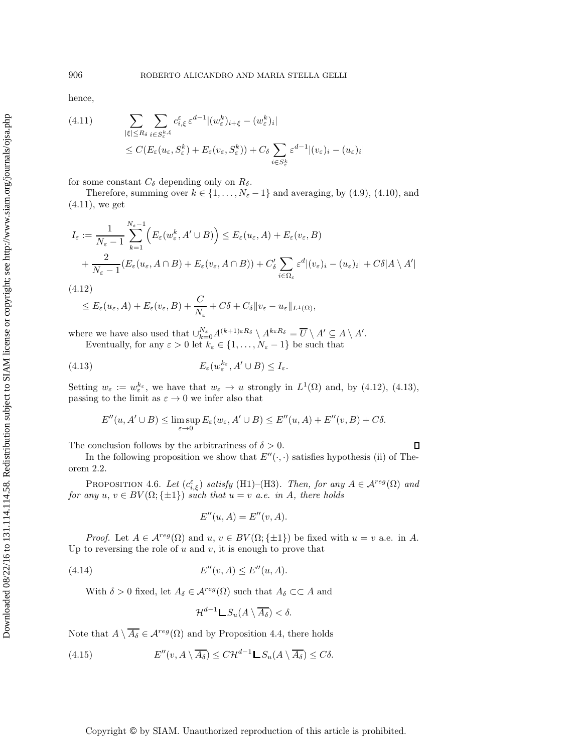hence,

<span id="page-11-0"></span>(4.11) 
$$
\sum_{|\xi| \le R_{\delta}} \sum_{i \in S_{\varepsilon}^{k,\xi}} c_{i,\xi}^{\varepsilon} \varepsilon^{d-1} |(w_{\varepsilon}^{k})_{i+\xi} - (w_{\varepsilon}^{k})_{i}|
$$
  

$$
\le C(E_{\varepsilon}(u_{\varepsilon}, S_{\varepsilon}^{k}) + E_{\varepsilon}(v_{\varepsilon}, S_{\varepsilon}^{k})) + C_{\delta} \sum_{i \in S_{\varepsilon}^{k}} \varepsilon^{d-1} |(v_{\varepsilon})_{i} - (u_{\varepsilon})_{i}|
$$

for some constant  $C_{\delta}$  depending only on  $R_{\delta}$ .

Therefore, summing over  $k \in \{1, \ldots, N_{\varepsilon} - 1\}$  and averaging, by [\(4.9\)](#page-10-0), [\(4.10\)](#page-10-2), and [\(4.11\)](#page-11-0), we get

$$
I_{\varepsilon} := \frac{1}{N_{\varepsilon} - 1} \sum_{k=1}^{N_{\varepsilon} - 1} \Big( E_{\varepsilon}(w_{\varepsilon}^k, A' \cup B) \Big) \le E_{\varepsilon}(u_{\varepsilon}, A) + E_{\varepsilon}(v_{\varepsilon}, B) + \frac{2}{N_{\varepsilon} - 1} (E_{\varepsilon}(u_{\varepsilon}, A \cap B) + E_{\varepsilon}(v_{\varepsilon}, A \cap B)) + C_{\delta}' \sum_{i \in \Omega_{\varepsilon}} \varepsilon^{d} |(v_{\varepsilon})_i - (u_{\varepsilon})_i| + C \delta |A \setminus A'|
$$

<span id="page-11-1"></span>(4.12)

$$
\leq E_{\varepsilon}(u_{\varepsilon}, A) + E_{\varepsilon}(v_{\varepsilon}, B) + \frac{C}{N_{\varepsilon}} + C\delta + C_{\delta} \|v_{\varepsilon} - u_{\varepsilon}\|_{L^{1}(\Omega)},
$$

where we have also used that  $\bigcup_{k=0}^{N_{\varepsilon}} A^{(k+1)\varepsilon R_{\delta}} \setminus A^{k\varepsilon R_{\delta}} = \overline{U} \setminus A' \subseteq A \setminus A'.$ 

Eventually, for any  $\varepsilon > 0$  let  $k_{\varepsilon} \in \{1, \ldots, N_{\varepsilon} - 1\}$  be such that

(4.13) 
$$
E_{\varepsilon}(w_{\varepsilon}^{k_{\varepsilon}}, A' \cup B) \leq I_{\varepsilon}.
$$

Setting  $w_{\varepsilon} := w_{\varepsilon}^{k_{\varepsilon}},$  we have that  $w_{\varepsilon} \to u$  strongly in  $L^1(\Omega)$  and, by [\(4.12\)](#page-11-1), [\(4.13\)](#page-11-2), passing to the limit as  $\varepsilon \to 0$  we infer also that

<span id="page-11-2"></span>
$$
E''(u, A' \cup B) \le \limsup_{\varepsilon \to 0} E_{\varepsilon}(w_{\varepsilon}, A' \cup B) \le E''(u, A) + E''(v, B) + C\delta.
$$

The conclusion follows by the arbitrariness of  $\delta > 0$ .

 $\Box$ 

In the following proposition we show that  $E''(\cdot, \cdot)$  satisfies hypothesis (ii) of Theorem [2.2.](#page-5-0)

<span id="page-11-5"></span>PROPOSITION 4.6. *Let*  $(c_{i,\xi}^{\varepsilon})$  *satisfy* (H1)–(H3)*. Then, for any*  $A \in \mathcal{A}^{reg}(\Omega)$  *and for any*  $u, v \in BV(\Omega; \{\pm 1\})$  *such that*  $u = v$  *a.e. in* A, *there holds* 

$$
E''(u, A) = E''(v, A).
$$

*Proof.* Let  $A \in \mathcal{A}^{reg}(\Omega)$  and  $u, v \in BV(\Omega; \{\pm 1\})$  be fixed with  $u = v$  a.e. in A. Up to reversing the role of  $u$  and  $v$ , it is enough to prove that

(4.14) 
$$
E''(v, A) \le E''(u, A).
$$

With  $\delta > 0$  fixed, let  $A_{\delta} \in \mathcal{A}^{reg}(\Omega)$  such that  $A_{\delta} \subset \subset A$  and

<span id="page-11-4"></span><span id="page-11-3"></span>
$$
\mathcal{H}^{d-1} \mathcal{L} S_u(A \setminus \overline{A_{\delta}}) < \delta.
$$

Note that  $A \setminus \overline{A_{\delta}} \in \mathcal{A}^{reg}(\Omega)$  and by Proposition [4.4,](#page-8-0) there holds

(4.15) 
$$
E''(v, A \setminus \overline{A_{\delta}}) \leq C \mathcal{H}^{d-1} \mathcal{L} S_u(A \setminus \overline{A_{\delta}}) \leq C \delta.
$$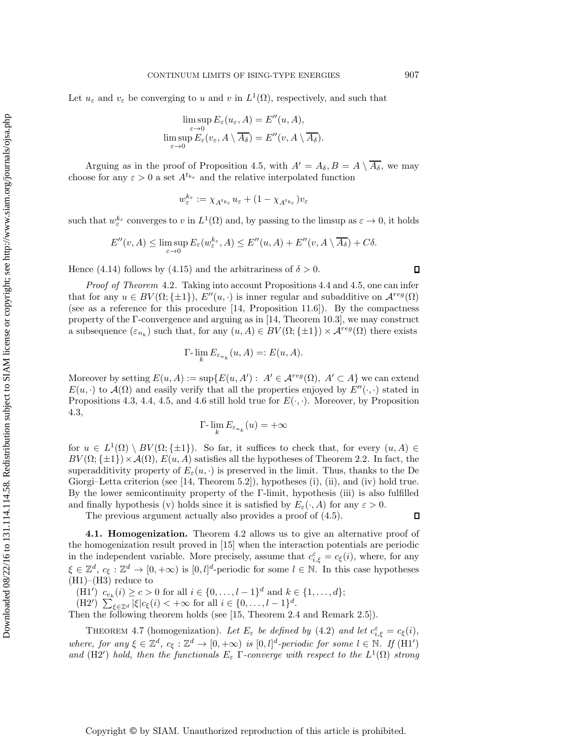Let  $u_{\varepsilon}$  and  $v_{\varepsilon}$  be converging to u and v in  $L^1(\Omega)$ , respectively, and such that

$$
\limsup_{\varepsilon \to 0} E_{\varepsilon}(u_{\varepsilon}, A) = E''(u, A),
$$
  

$$
\limsup_{\varepsilon \to 0} E_{\varepsilon}(v_{\varepsilon}, A \setminus \overline{A_{\delta}}) = E''(v, A \setminus \overline{A_{\delta}}).
$$

Arguing as in the proof of Proposition [4.5,](#page-9-0) with  $A' = A_{\delta}, B = A \setminus \overline{A_{\delta}}$ , we may choose for any  $\varepsilon > 0$  a set  $A^{t_{k_{\varepsilon}}}$  and the relative interpolated function

$$
w_\varepsilon^{k_\varepsilon}:=\chi_{A^{t_{k_\varepsilon}}}u_\varepsilon+(1-\chi_{A^{t_{k_\varepsilon}}})v_\varepsilon
$$

such that  $w_{\varepsilon}^{k_{\varepsilon}}$  converges to v in  $L^1(\Omega)$  and, by passing to the limsup as  $\varepsilon \to 0$ , it holds

$$
E''(v, A) \le \limsup_{\varepsilon \to 0} E_{\varepsilon}(w_{\varepsilon}^{k_{\varepsilon}}, A) \le E''(u, A) + E''(v, A \setminus \overline{A_{\delta}}) + C\delta.
$$

Hence [\(4.14\)](#page-11-3) follows by [\(4.15\)](#page-11-4) and the arbitrariness of  $\delta > 0$ .

*Proof of [Theorem](#page-7-0)* 4.2*.* Taking into account Propositions [4.4](#page-8-0) and [4.5,](#page-9-0) one can infer that for any  $u \in BV(\Omega;\{\pm 1\}), E''(u, \cdot)$  is inner regular and subadditive on  $\mathcal{A}^{reg}(\Omega)$ (see as a reference for this procedure [\[14,](#page-36-8) Proposition 11.6]). By the compactness property of the Γ-convergence and arguing as in [\[14,](#page-36-8) Theorem 10.3], we may construct a subsequence  $(\varepsilon_{n_k})$  such that, for any  $(u, A) \in BV(\Omega; \{\pm 1\}) \times \mathcal{A}^{reg}(\Omega)$  there exists

$$
\Gamma\text{-}\lim_{k} E_{\varepsilon_{n_k}}(u, A) =: E(u, A).
$$

Moreover by setting  $E(u, A) := \sup \{ E(u, A') : A' \in \mathcal{A}^{reg}(\Omega), A' \subset A \}$  we can extend  $E(u, \cdot)$  to  $\mathcal{A}(\Omega)$  and easily verify that all the properties enjoyed by  $E''(\cdot, \cdot)$  stated in Propositions [4.3,](#page-8-2) [4.4,](#page-8-0) [4.5,](#page-9-0) and [4.6](#page-11-5) still hold true for  $E(\cdot, \cdot)$ . Moreover, by Proposition [4.3,](#page-8-2)

$$
\Gamma\hbox{-}\lim_k E_{\varepsilon_{n_k}}(u)=+\infty
$$

for  $u \in L^1(\Omega) \setminus BV(\Omega;\{\pm 1\})$ . So far, it suffices to check that, for every  $(u, A) \in$  $BV(\Omega;\{\pm 1\})\times \mathcal{A}(\Omega), E(u, A)$  satisfies all the hypotheses of Theorem [2.2.](#page-5-0) In fact, the superadditivity property of  $E_{\varepsilon}(u, \cdot)$  is preserved in the limit. Thus, thanks to the De Giorgi–Letta criterion (see [\[14,](#page-36-8) Theorem 5.2]), hypotheses (i), (ii), and (iv) hold true. By the lower semicontinuity property of the Γ-limit, hypothesis (iii) is also fulfilled and finally hypothesis (v) holds since it is satisfied by  $E_{\varepsilon}(\cdot, A)$  for any  $\varepsilon > 0$ .

The previous argument actually also provides a proof of [\(4.5\)](#page-8-3).

**4.1. Homogenization.** Theorem [4.2](#page-7-0) allows us to give an alternative proof of the homogenization result proved in [\[15\]](#page-36-1) when the interaction potentials are periodic in the independent variable. More precisely, assume that  $c_{i,\xi}^{\varepsilon} = c_{\xi}(i)$ , where, for any  $\xi \in \mathbb{Z}^d$ ,  $c_{\xi} : \mathbb{Z}^d \to [0, +\infty)$  is  $[0, l]^d$ -periodic for some  $l \in \mathbb{N}$ . In this case hypotheses  $(H1)–(H3)$  reduce to

(H1')  $c_{e_k}(i) \ge c > 0$  for all  $i \in \{0, ..., l-1\}^d$  and  $k \in \{1, ..., d\};$ 

(H2')  $\sum_{\xi \in \mathbb{Z}^d} |\xi| c_{\xi}(i) < +\infty$  for all  $i \in \{0, ..., l-1\}^d$ .

Then the following theorem holds (see [\[15,](#page-36-1) Theorem 2.4 and Remark 2.5]).

THEOREM 4.7 (homogenization). Let  $E_{\varepsilon}$  be defined by [\(4.2\)](#page-7-2) and let  $c_{i,\xi}^{\varepsilon} = c_{\xi}(i)$ , *where, for any*  $\xi \in \mathbb{Z}^d$ ,  $c_{\xi} : \mathbb{Z}^d \to [0, +\infty)$  *is*  $[0, l]^d$ -periodic for some  $l \in \mathbb{N}$ . If  $(H1')$ *and* (H2') *hold, then the functionals*  $E_{\varepsilon}$  Γ-converge with respect to the  $L^1(\Omega)$  *strong* 

 $\Box$ 

<span id="page-12-0"></span> $\Box$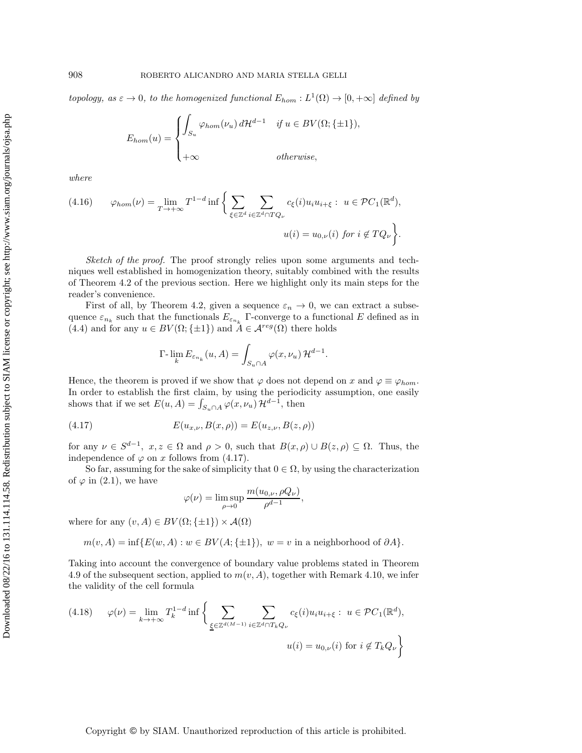*topology, as*  $\varepsilon \to 0$ *, to the homogenized functional*  $E_{hom}: L^1(\Omega) \to [0, +\infty]$  *defined by* 

$$
E_{hom}(u) = \begin{cases} \int_{S_u} \varphi_{hom}(\nu_u) d\mathcal{H}^{d-1} & \text{if } u \in BV(\Omega; \{\pm 1\}), \\ +\infty & \text{otherwise,} \end{cases}
$$

*where*

<span id="page-13-1"></span>(4.16) 
$$
\varphi_{hom}(\nu) = \lim_{T \to +\infty} T^{1-d} \inf \left\{ \sum_{\xi \in \mathbb{Z}^d} \sum_{i \in \mathbb{Z}^d \cap TQ_{\nu}} c_{\xi}(i) u_i u_{i+\xi} : u \in \mathcal{P}C_1(\mathbb{R}^d), \right\}
$$

$$
u(i) = u_{0,\nu}(i) \text{ for } i \notin TQ_{\nu} \bigg\}.
$$

*Sketch of the proof.* The proof strongly relies upon some arguments and techniques well established in homogenization theory, suitably combined with the results of Theorem [4.2](#page-7-0) of the previous section. Here we highlight only its main steps for the reader's convenience.

First of all, by Theorem [4.2,](#page-7-0) given a sequence  $\varepsilon_n \to 0$ , we can extract a subsequence  $\varepsilon_{n_k}$  such that the functionals  $E_{\varepsilon_{n_k}}$  Γ-converge to a functional E defined as in [\(4.4\)](#page-8-4) and for any  $u \in BV(\Omega;\{\pm 1\})$  and  $A \in \mathcal{A}^{reg}(\Omega)$  there holds

$$
\Gamma\text{-}\lim_{k} E_{\varepsilon_{n_k}}(u, A) = \int_{S_u \cap A} \varphi(x, \nu_u) \, \mathcal{H}^{d-1}.
$$

Hence, the theorem is proved if we show that  $\varphi$  does not depend on x and  $\varphi \equiv \varphi_{hom}$ . In order to establish the first claim, by using the periodicity assumption, one easily shows that if we set  $E(u, A) = \int_{S_u \cap A} \varphi(x, \nu_u) \mathcal{H}^{d-1}$ , then

(4.17) 
$$
E(u_{x,\nu}, B(x,\rho)) = E(u_{z,\nu}, B(z,\rho))
$$

for any  $\nu \in S^{d-1}$ ,  $x, z \in \Omega$  and  $\rho > 0$ , such that  $B(x, \rho) \cup B(z, \rho) \subseteq \Omega$ . Thus, the independence of  $\varphi$  on x follows from [\(4.17\)](#page-13-0).

So far, assuming for the sake of simplicity that  $0 \in \Omega$ , by using the characterization of  $\varphi$  in [\(2.1\)](#page-5-2), we have

<span id="page-13-0"></span>
$$
\varphi(\nu) = \limsup_{\rho \to 0} \frac{m(u_{0,\nu}, \rho Q_{\nu})}{\rho^{d-1}},
$$

where for any  $(v, A) \in BV(\Omega; \{\pm 1\}) \times \mathcal{A}(\Omega)$ 

$$
m(v, A) = \inf \{ E(w, A) : w \in BV(A; \{\pm 1\}), w = v \text{ in a neighborhood of } \partial A \}.
$$

Taking into account the convergence of boundary value problems stated in Theorem [4.9](#page-15-0) of the subsequent section, applied to  $m(v, A)$ , together with Remark [4.10,](#page-15-1) we infer the validity of the cell formula

<span id="page-13-2"></span>
$$
(4.18) \qquad \varphi(\nu) = \lim_{k \to +\infty} T_k^{1-d} \inf \left\{ \sum_{\underline{\xi} \in \mathbb{Z}^{d(M-1)}} \sum_{i \in \mathbb{Z}^d \cap T_k Q_{\nu}} c_{\underline{\xi}}(i) u_i u_{i+\xi} : u \in \mathcal{P}C_1(\mathbb{R}^d), \right\}
$$

$$
u(i) = u_{0,\nu}(i) \text{ for } i \notin T_k Q_{\nu}
$$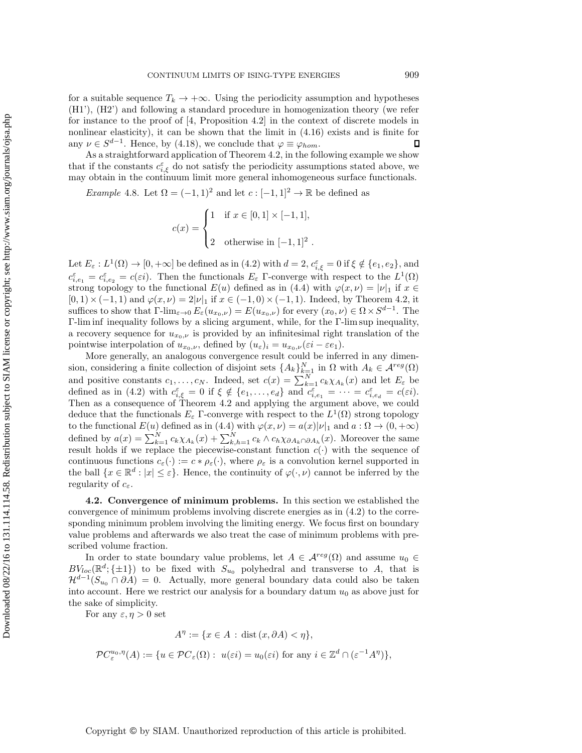for a suitable sequence  $T_k \to +\infty$ . Using the periodicity assumption and hypotheses (H1'), (H2') and following a standard procedure in homogenization theory (we refer for instance to the proof of  $[4,$  Proposition 4.2 in the context of discrete models in nonlinear elasticity), it can be shown that the limit in [\(4.16\)](#page-13-1) exists and is finite for any  $\nu \in S^{d-1}$ . Hence, by [\(4.18\)](#page-13-2), we conclude that  $\varphi \equiv \varphi_{hom}$ .  $\Box$ 

As a straightforward application of Theorem [4.2,](#page-7-0) in the following example we show that if the constants  $c_{i,\xi}^{\varepsilon}$  do not satisfy the periodicity assumptions stated above, we may obtain in the continuum limit more general inhomogeneous surface functionals.

<span id="page-14-1"></span>*Example* 4.8. Let  $\Omega = (-1, 1)^2$  and let  $c : [-1, 1]^2 \to \mathbb{R}$  be defined as

$$
c(x) = \begin{cases} 1 & \text{if } x \in [0,1] \times [-1,1], \\ 2 & \text{otherwise in } [-1,1]^2. \end{cases}
$$

Let  $E_{\varepsilon}: L^{1}(\Omega) \to [0, +\infty]$  be defined as in [\(4.2\)](#page-7-2) with  $d = 2$ ,  $c_{i,\xi}^{\varepsilon} = 0$  if  $\xi \notin \{e_1, e_2\}$ , and  $c_{i,e_1}^{\varepsilon} = c_{i,e_2}^{\varepsilon} = c(\varepsilon_i)$ . Then the functionals  $E_{\varepsilon}$  Γ-converge with respect to the  $L^1(\Omega)$ strong topology to the functional  $E(u)$  defined as in [\(4.4\)](#page-8-4) with  $\varphi(x,\nu) = |\nu|_1$  if  $x \in$  $[0, 1) \times (-1, 1)$  and  $\varphi(x, \nu) = 2|\nu|_1$  if  $x \in (-1, 0) \times (-1, 1)$ . Indeed, by Theorem [4.2,](#page-7-0) it suffices to show that  $\Gamma\text{-lim}_{\varepsilon\to 0} E_{\varepsilon}(u_{x_0,\nu}) = E(u_{x_0,\nu})$  for every  $(x_0,\nu) \in \Omega \times S^{d-1}$ . The Γ-lim inf inequality follows by a slicing argument, while, for the Γ-lim sup inequality, a recovery sequence for  $u_{x_0,\nu}$  is provided by an infinitesimal right translation of the pointwise interpolation of  $u_{x_0,\nu}$ , defined by  $(u_{\varepsilon})_i = u_{x_0,\nu}(\varepsilon_i - \varepsilon e_1)$ .

More generally, an analogous convergence result could be inferred in any dimension, considering a finite collection of disjoint sets  $\{A_k\}_{k=1}^N$  in  $\Omega$  with  $A_k \in \mathcal{A}^{reg}(\Omega)$ and positive constants  $c_1, \ldots, c_N$ . Indeed, set  $c(x) = \sum_{k=1}^N c_k \chi_{A_k}(x)$  and let  $E_{\varepsilon}$  be defined as in [\(4.2\)](#page-7-2) with  $c_{i,\xi}^{\varepsilon} = 0$  if  $\xi \notin \{e_1,\ldots,e_d\}$  and  $c_{i,e_1}^{\varepsilon} = \cdots = c_{i,e_d}^{\varepsilon} = c(\varepsilon i)$ . Then as a consequence of Theorem [4.2](#page-7-0) and applying the argument above, we could deduce that the functionals  $E_{\varepsilon}$  Γ-converge with respect to the  $L^{1}(\Omega)$  strong topology to the functional  $E(u)$  defined as in [\(4.4\)](#page-8-4) with  $\varphi(x,\nu) = a(x)|\nu|_1$  and  $a : \Omega \to (0, +\infty)$ defined by  $a(x) = \sum_{k=1}^{N} c_k \chi_{A_k}(x) + \sum_{k=1}^{N} c_k \wedge c_k \chi_{\partial A_k \cap \partial A_k}(x)$ . Moreover the same result holds if we replace the piecewise-constant function  $c(\cdot)$  with the sequence of continuous functions  $c_{\varepsilon}(\cdot) := c * \rho_{\varepsilon}(\cdot)$ , where  $\rho_{\varepsilon}$  is a convolution kernel supported in the ball  $\{x \in \mathbb{R}^d : |x| \leq \varepsilon\}$ . Hence, the continuity of  $\varphi(\cdot, \nu)$  cannot be inferred by the regularity of  $c_{\varepsilon}$ .

<span id="page-14-0"></span>**4.2. Convergence of minimum problems.** In this section we established the convergence of minimum problems involving discrete energies as in [\(4.2\)](#page-7-2) to the corresponding minimum problem involving the limiting energy. We focus first on boundary value problems and afterwards we also treat the case of minimum problems with prescribed volume fraction.

In order to state boundary value problems, let  $A \in \mathcal{A}^{reg}(\Omega)$  and assume  $u_0 \in$  $BV_{loc}(\mathbb{R}^d; \{\pm 1\})$  to be fixed with  $S_{u_0}$  polyhedral and transverse to A, that is  $\mathcal{H}^{d-1}(S_{u_0} \cap \partial A) = 0$ . Actually, more general boundary data could also be taken into account. Here we restrict our analysis for a boundary datum  $u_0$  as above just for the sake of simplicity.

For any  $\varepsilon, \eta > 0$  set

$$
A^{\eta} := \{ x \in A \, : \, \text{dist}\,(x,\partial A) < \eta \},
$$

$$
\mathcal{P}C_{\varepsilon}^{u_0,\eta}(A) := \{ u \in \mathcal{P}C_{\varepsilon}(\Omega) : u(\varepsilon i) = u_0(\varepsilon i) \text{ for any } i \in \mathbb{Z}^d \cap (\varepsilon^{-1}A^{\eta}) \},
$$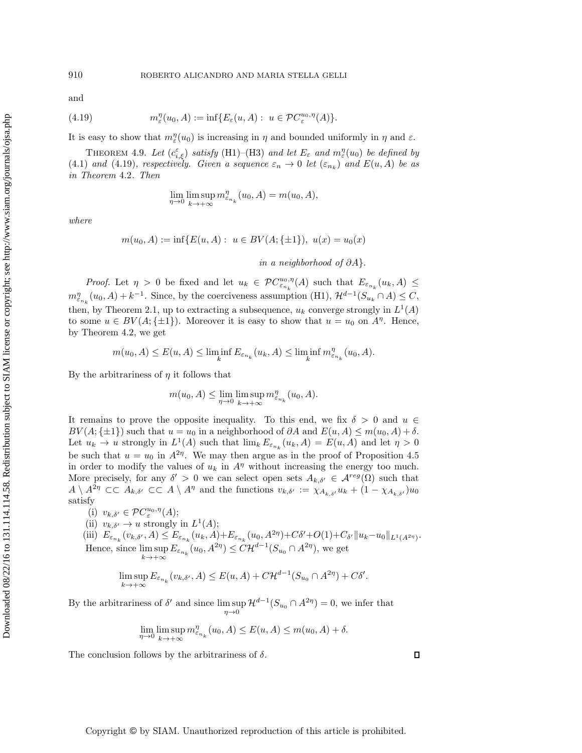## 910 ROBERTO ALICANDRO AND MARIA STELLA GELLI

and

(4.19) 
$$
m_{\varepsilon}^{\eta}(u_0, A) := \inf \{ E_{\varepsilon}(u, A) : u \in \mathcal{P}C_{\varepsilon}^{u_0, \eta}(A) \}.
$$

<span id="page-15-0"></span>It is easy to show that  $m_{\varepsilon}^{\eta}(u_0)$  is increasing in  $\eta$  and bounded uniformly in  $\eta$  and  $\varepsilon$ .

THEOREM 4.9. Let  $(c_{i,\xi}^{\varepsilon})$  *satisfy* (H1)–(H3) and let  $E_{\varepsilon}$  and  $m_{\varepsilon}^{\eta}(u_0)$  be defined by [\(4.1\)](#page-6-0) *and* [\(4.19\)](#page-15-2)*, respectively. Given a sequence*  $\varepsilon_n \to 0$  *let*  $(\varepsilon_{n_k})$  *and*  $E(u, A)$  *be as in Theorem* [4.2](#page-7-0)*. Then*

<span id="page-15-2"></span>
$$
\lim_{\eta \to 0} \limsup_{k \to +\infty} m_{\varepsilon_{n_k}}^{\eta}(u_0, A) = m(u_0, A),
$$

*where*

$$
m(u_0, A) := \inf \{ E(u, A) : u \in BV(A; \{\pm 1\}), u(x) = u_0(x)
$$

*in a neighborhood of* ∂A}.

*Proof.* Let  $\eta > 0$  be fixed and let  $u_k \in PC_{\varepsilon_{n_k}}^{u_0, \eta}(A)$  such that  $E_{\varepsilon_{n_k}}(u_k, A) \leq$  $m_{\varepsilon_{n_k}}^{\eta}(u_0, A) + k^{-1}$ . Since, by the coerciveness assumption (H1),  $\mathcal{H}^{d-1}(S_{u_k} \cap A) \leq C$ , then, by Theorem [2.1,](#page-5-3) up to extracting a subsequence,  $u_k$  converge strongly in  $L^1(A)$ to some  $u \in BV(A; \{\pm 1\})$ . Moreover it is easy to show that  $u = u_0$  on  $A^{\eta}$ . Hence, by Theorem [4.2,](#page-7-0) we get

$$
m(u_0, A) \le E(u, A) \le \liminf_{k} E_{\varepsilon_{n_k}}(u_k, A) \le \liminf_{k} m_{\varepsilon_{n_k}}^{\eta}(u_0, A).
$$

By the arbitrariness of  $\eta$  it follows that

$$
m(u_0, A) \le \lim_{\eta \to 0} \limsup_{k \to +\infty} m_{\varepsilon_{n_k}}^{\eta}(u_0, A).
$$

It remains to prove the opposite inequality. To this end, we fix  $\delta > 0$  and  $u \in$  $BV(A; \{\pm 1\})$  such that  $u = u_0$  in a neighborhood of  $\partial A$  and  $E(u, A) \leq m(u_0, A) + \delta$ . Let  $u_k \to u$  strongly in  $L^1(A)$  such that  $\lim_k E_{\varepsilon_{n_k}}(u_k, A) = E(u, A)$  and let  $\eta > 0$ be such that  $u = u_0$  in  $A^{2\eta}$ . We may then argue as in the proof of Proposition [4.5](#page-9-0) in order to modify the values of  $u_k$  in  $A<sup>\eta</sup>$  without increasing the energy too much. More precisely, for any  $\delta' > 0$  we can select open sets  $A_{k,\delta'} \in \mathcal{A}^{reg}(\Omega)$  such that  $A\setminus A^{2\eta} \subset\subset A_{k,\delta'} \subset\subset A\setminus A^{\eta}$  and the functions  $v_{k,\delta'} := \chi_{A_{k,\delta'}} u_k + (1 - \chi_{A_{k,\delta'}})u_0$ satisfy

(i)  $v_{k,\delta'} \in \mathcal{P}C^{u_0,\eta}_{\varepsilon}(A);$ 

(ii) 
$$
v_{k,\delta'} \to u
$$
 strongly in  $L^1(A)$ ;

(iii)  $E_{\varepsilon_{n_k}}(v_{k,\delta'}, A) \leq E_{\varepsilon_{n_k}}(u_k, A) + E_{\varepsilon_{n_k}}(u_0, A^{2\eta}) + C\delta' + O(1) + C_{\delta'} ||u_k - u_0||_{L^1(A^{2\eta})}.$ Hence, since  $\limsup E_{\varepsilon_{n_k}}(u_0, A^{2\eta}) \leq C \mathcal{H}^{d-1}(S_{u_0} \cap A^{2\eta})$ , we get  $k \rightarrow +\infty$ 

$$
\limsup_{k \to +\infty} E_{\varepsilon_{n_k}}(v_{k,\delta'}, A) \le E(u, A) + C \mathcal{H}^{d-1}(S_{u_0} \cap A^{2\eta}) + C\delta'.
$$

By the arbitrariness of  $\delta'$  and since  $\limsup \mathcal{H}^{d-1}(S_{u_0} \cap A^{2\eta}) = 0$ , we infer that  $\eta \rightarrow 0$ 

$$
\lim_{\eta \to 0} \limsup_{k \to +\infty} m_{\varepsilon_{n_k}}^{\eta}(u_0, A) \le E(u, A) \le m(u_0, A) + \delta.
$$

<span id="page-15-1"></span>The conclusion follows by the arbitrariness of  $\delta$ .

 $\Box$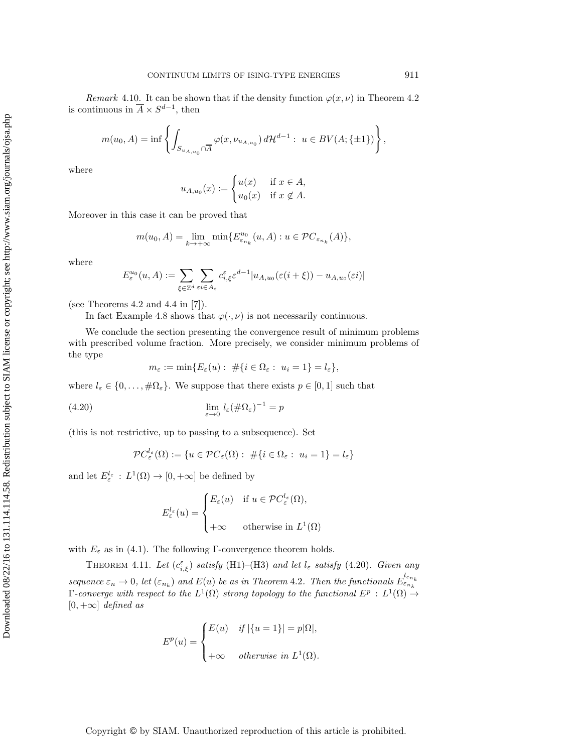*Remark* 4.10. It can be shown that if the density function  $\varphi(x, \nu)$  in Theorem [4.2](#page-7-0) is continuous in  $\overline{A} \times S^{d-1}$ , then

$$
m(u_0, A) = \inf \left\{ \int_{S_{u_{A,u_0}} \cap \overline{A}} \varphi(x, \nu_{u_{A,u_0}}) d\mathcal{H}^{d-1} : u \in BV(A; \{\pm 1\}) \right\},\,
$$

where

$$
u_{A,u_0}(x) := \begin{cases} u(x) & \text{if } x \in A, \\ u_0(x) & \text{if } x \notin A. \end{cases}
$$

Moreover in this case it can be proved that

$$
m(u_0, A) = \lim_{k \to +\infty} \min \{ E_{\varepsilon_{n_k}}^{u_0}(u, A) : u \in \mathcal{PC}_{\varepsilon_{n_k}}(A) \},
$$

where

$$
E_\varepsilon^{u_0}(u,A):=\sum_{\xi\in\mathbb{Z}^d}\sum_{\varepsilon i\in A_\varepsilon}c_{i,\xi}^\varepsilon\varepsilon^{d-1}|u_{A,u_0}(\varepsilon(i+\xi))-u_{A,u_0}(\varepsilon i)|
$$

(see Theorems 4.2 and 4.4 in [\[7\]](#page-35-6)).

In fact Example [4.8](#page-14-1) shows that  $\varphi(\cdot,\nu)$  is not necessarily continuous.

We conclude the section presenting the convergence result of minimum problems with prescribed volume fraction. More precisely, we consider minimum problems of the type

<span id="page-16-0"></span>
$$
m_{\varepsilon} := \min\{E_{\varepsilon}(u): \# \{i \in \Omega_{\varepsilon}: u_i = 1\} = l_{\varepsilon}\},\
$$

where  $l_{\varepsilon} \in \{0, \ldots, \#\Omega_{\varepsilon}\}.$  We suppose that there exists  $p \in [0,1]$  such that

(4.20) 
$$
\lim_{\varepsilon \to 0} l_{\varepsilon} (\#\Omega_{\varepsilon})^{-1} = p
$$

(this is not restrictive, up to passing to a subsequence). Set

$$
\mathcal{P}C_{\varepsilon}^{l_{\varepsilon}}(\Omega) := \{ u \in \mathcal{P}C_{\varepsilon}(\Omega) : \# \{ i \in \Omega_{\varepsilon} : u_i = 1 \} = l_{\varepsilon} \}
$$

and let  $E_{\varepsilon}^{l_{\varepsilon}} : L^1(\Omega) \to [0, +\infty]$  be defined by

$$
E_{\varepsilon}^{l_{\varepsilon}}(u) = \begin{cases} E_{\varepsilon}(u) & \text{if } u \in \mathcal{P}C_{\varepsilon}^{l_{\varepsilon}}(\Omega), \\ +\infty & \text{otherwise in } L^{1}(\Omega) \end{cases}
$$

<span id="page-16-1"></span>with  $E_{\varepsilon}$  as in [\(4.1\)](#page-6-0). The following Γ-convergence theorem holds.

THEOREM 4.11. Let  $(c_{i,\xi}^{\varepsilon})$  *satisfy* (H1)–(H3) and let  $l_{\varepsilon}$  *satisfy* [\(4.20\)](#page-16-0). Given any *sequence*  $\varepsilon_n \to 0$ , let  $(\varepsilon_{n_k})$  and  $E(u)$  be as in Theorem [4.2](#page-7-0). Then the functionals  $E_{\varepsilon_{n_k}}^{l_{\varepsilon_{n_k}}}$ *Γ*-converge with respect to the  $L^1(Ω)$  strong topology to the functional  $E^p$  :  $L^1(Ω)$  →  $[0, +\infty]$  *defined as* 

$$
E^{p}(u) = \begin{cases} E(u) & \text{if } |\{u=1\}| = p|\Omega|, \\ +\infty & \text{otherwise in } L^{1}(\Omega). \end{cases}
$$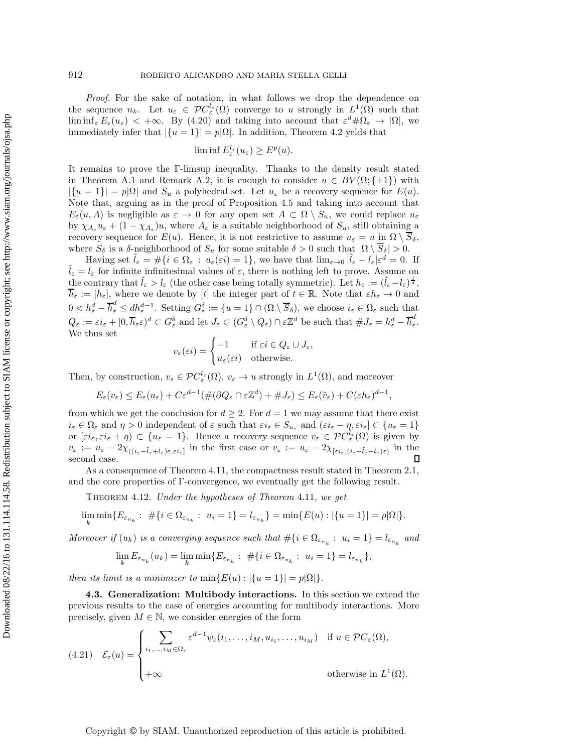*Proof.* For the sake of notation, in what follows we drop the dependence on the sequence  $n_k$ . Let  $u_{\varepsilon} \in \mathcal{PC}^{l_{\varepsilon}}_{\varepsilon}(\Omega)$  converge to u strongly in  $L^1(\Omega)$  such that  $\liminf_{\varepsilon} E_{\varepsilon}(u_{\varepsilon}) < +\infty$ . By [\(4.20\)](#page-16-0) and taking into account that  $\varepsilon^d \#\Omega_{\varepsilon} \to |\Omega|$ , we immediately infer that  $|\{u=1\}| = p|\Omega|$ . In addition, Theorem [4.2](#page-7-0) yelds that

$$
\liminf E_{\varepsilon}^{l_{\varepsilon}}(u_{\varepsilon}) \ge E^{p}(u).
$$

It remains to prove the Γ-limsup inequality. Thanks to the density result stated in Theorem [A.1](#page-33-0) and Remark [A.2,](#page-35-10) it is enough to consider  $u \in BV(\Omega;\{\pm 1\})$  with  $|\{u=1\}| = p|\Omega|$  and  $S_u$  a polyhedral set. Let  $u_{\varepsilon}$  be a recovery sequence for  $E(u)$ . Note that, arguing as in the proof of Proposition [4.5](#page-9-0) and taking into account that  $E_{\varepsilon}(u, A)$  is negligible as  $\varepsilon \to 0$  for any open set  $A \subset \Omega \setminus S_u$ , we could replace  $u_{\varepsilon}$ by  $\chi_{A_\varepsilon} u_\varepsilon + (1 - \chi_{A_\varepsilon}) u$ , where  $A_\varepsilon$  is a suitable neighborhood of  $S_u$ , still obtaining a recovery sequence for  $E(u)$ . Hence, it is not restrictive to assume  $u_{\varepsilon} = u$  in  $\Omega \setminus \overline{S}_{\delta}$ , where  $S_\delta$  is a  $\delta$ -neighborhood of  $S_u$  for some suitable  $\delta > 0$  such that  $|\Omega \setminus \overline{S}_\delta| > 0$ .

Having set  $\tilde{l}_{\varepsilon} = #\{i \in \Omega_{\varepsilon} : u_{\varepsilon}(\varepsilon i) = 1\}$ , we have that  $\lim_{\varepsilon \to 0} |\tilde{l}_{\varepsilon} - l_{\varepsilon}| \varepsilon^d = 0$ . If  $\tilde{l}_{\varepsilon} = l_{\varepsilon}$  for infinite infinitesimal values of  $\varepsilon$ , there is nothing left to prove. Assume the contrary that  $\tilde{l}_{\varepsilon} > l_{\varepsilon}$  (the other case being totally symmetric). Let  $h_{\varepsilon} := (\tilde{l}_{\varepsilon} - l_{\varepsilon})^{\frac{1}{d}},$  $\overline{h}_{\varepsilon} := [h_{\varepsilon}],$  where we denote by [t] the integer part of  $t \in \mathbb{R}$ . Note that  $\varepsilon h_{\varepsilon} \to 0$  and  $0 < h_{\varepsilon}^d - \overline{h}_{\varepsilon}^d \le dh_{\varepsilon}^{d-1}$ . Setting  $G_{\varepsilon}^{\delta} := \{u = 1\} \cap (\Omega \setminus \overline{S}_{\delta})$ , we choose  $i_{\varepsilon} \in \Omega_{\varepsilon}$  such that  $Q_{\varepsilon} := \varepsilon i_{\varepsilon} + [0, \overline{h}_{\varepsilon} \varepsilon)^d \subset G_{\varepsilon}^{\delta}$  and let  $J_{\varepsilon} \subset (G_{\varepsilon}^{\delta} \setminus Q_{\varepsilon}) \cap \varepsilon \mathbb{Z}^d$  be such that  $\# J_{\varepsilon} = h_{\varepsilon}^d - \overline{h}_{\varepsilon}^d$ . We thus set

$$
v_{\varepsilon}(\varepsilon i) = \begin{cases} -1 & \text{if } \varepsilon i \in Q_{\varepsilon} \cup J_{\varepsilon}, \\ u_{\varepsilon}(\varepsilon i) & \text{otherwise.} \end{cases}
$$

Then, by construction,  $v_{\varepsilon} \in \mathcal{PC}^{l_{\varepsilon}}_{\varepsilon}(\Omega), v_{\varepsilon} \to u$  strongly in  $L^1(\Omega)$ , and moreover

$$
E_{\varepsilon}(v_{\varepsilon}) \leq E_{\varepsilon}(u_{\varepsilon}) + C \varepsilon^{d-1} (\#(\partial Q_{\varepsilon} \cap \varepsilon \mathbb{Z}^d) + \#J_{\varepsilon}) \leq E_{\varepsilon}(\tilde{v}_{\varepsilon}) + C(\varepsilon h_{\varepsilon})^{d-1},
$$

from which we get the conclusion for  $d \geq 2$ . For  $d = 1$  we may assume that there exist  $i_{\varepsilon} \in \Omega_{\varepsilon}$  and  $\eta > 0$  independent of  $\varepsilon$  such that  $\varepsilon i_{\varepsilon} \in S_{u_{\varepsilon}}$  and  $(\varepsilon i_{\varepsilon} - \eta, \varepsilon i_{\varepsilon}] \subset \{u_{\varepsilon} = 1\}$ or  $[\varepsilon i_{\varepsilon}, \varepsilon i_{\varepsilon} + \eta] \subset \{u_{\varepsilon} = 1\}$ . Hence a recovery sequence  $v_{\varepsilon} \in \mathcal{PC}^{l_{\varepsilon}}_{\varepsilon}(\Omega)$  is given by  $v_{\varepsilon} := u_{\varepsilon} - 2\chi_{((i_{\varepsilon} - \tilde{l}_{\varepsilon} + l_{\varepsilon})\varepsilon, \varepsilon i_{\varepsilon}]}$  in the first case or  $v_{\varepsilon} := u_{\varepsilon} - 2\chi_{[\varepsilon i_{\varepsilon}, (i_{\varepsilon} + \tilde{l}_{\varepsilon} - l_{\varepsilon})\varepsilon)}$  in the second case. second case.

As a consequence of Theorem [4.11,](#page-16-1) the compactness result stated in Theorem [2.1,](#page-5-3) and the core properties of Γ-convergence, we eventually get the following result.

Theorem 4.12. *Under the hypotheses of Theorem* [4.11](#page-16-1)*, we get*

$$
\lim_{k} \min \{ E_{\varepsilon_{n_k}} : \# \{ i \in \Omega_{\varepsilon_{n_k}} : u_i = 1 \} = l_{\varepsilon_{n_k}} \} = \min \{ E(u) : |\{ u = 1 \}| = p|\Omega| \}.
$$

*Moreover if*  $(u_k)$  *is a converging sequence such that*  $\#\{i \in \Omega_{\varepsilon_{n_k}} : u_i = 1\} = l_{\varepsilon_{n_k}}$  and

$$
\lim_{k} E_{\varepsilon_{n_k}}(u_k) = \lim_{k} \min \{ E_{\varepsilon_{n_k}} : \# \{ i \in \Omega_{\varepsilon_{n_k}} : u_i = 1 \} = l_{\varepsilon_{n_k}} \},
$$

*then its limit is a minimizer to*  $\min\{E(u): |\{u=1\}| = p|\Omega|\}.$ 

**4.3. Generalization: Multibody interactions.** In this section we extend the previous results to the case of energies accounting for multibody interactions. More precisely, given  $M \in \mathbb{N}$ , we consider energies of the form

<span id="page-17-0"></span>(4.21) 
$$
\mathcal{E}_{\varepsilon}(u) = \begin{cases} \sum_{i_1,\dots,i_M \in \Omega_{\varepsilon}} \varepsilon^{d-1} \psi_{\varepsilon}(i_1,\dots,i_M,u_{i_1},\dots,u_{i_M}) & \text{if } u \in \mathcal{P}C_{\varepsilon}(\Omega), \\ +\infty & \text{otherwise in } L^1(\Omega). \end{cases}
$$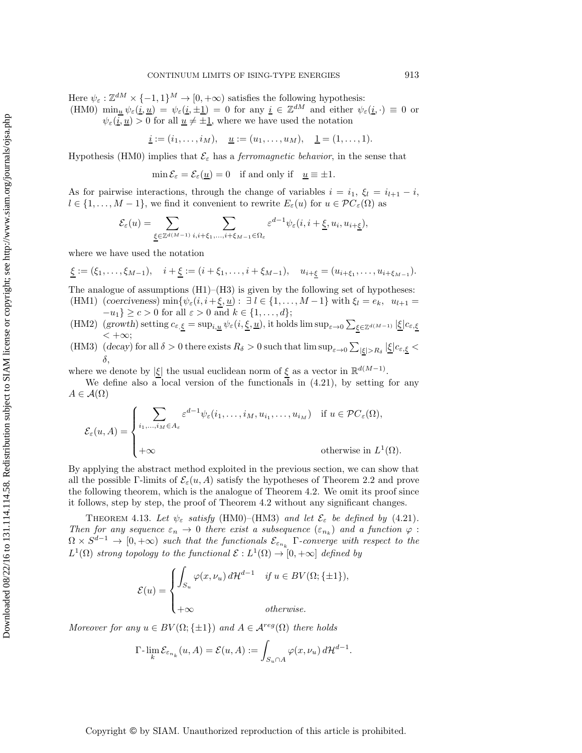Here  $\psi_{\varepsilon}: \mathbb{Z}^{dM} \times \{-1,1\}^M \to [0,+\infty)$  satisfies the following hypothesis: (HM0)  $\min_{\underline{u}} \psi_{\varepsilon}(\underline{i}, \underline{u}) = \psi_{\varepsilon}(\underline{i}, \pm \underline{1}) = 0$  for any  $\underline{i} \in \mathbb{Z}^{dM}$  and either  $\psi_{\varepsilon}(\underline{i}, \cdot) \equiv 0$  or  $\psi_{\varepsilon}(\underline{i},\underline{u}) > 0$  for all  $\underline{u} \neq \pm 1$ , where we have used the notation

 $\underline{i} := (i_1, \ldots, i_M), \quad \underline{u} := (u_1, \ldots, u_M), \quad \underline{1} = (1, \ldots, 1).$ 

Hypothesis (HM0) implies that  $\mathcal{E}_{\varepsilon}$  has a *ferromagnetic behavior*, in the sense that

 $\min \mathcal{E}_{\varepsilon} = \mathcal{E}_{\varepsilon}(\underline{u}) = 0$  if and only if  $\underline{u} \equiv \pm 1$ .

As for pairwise interactions, through the change of variables  $i = i_1, \xi_l = i_{l+1} - i$ ,  $l \in \{1,\ldots,M-1\}$ , we find it convenient to rewrite  $E_{\varepsilon}(u)$  for  $u \in \mathcal{PC}_{\varepsilon}(\Omega)$  as

$$
\mathcal{E}_{\varepsilon}(u) = \sum_{\underline{\xi} \in \mathbb{Z}^{d(M-1)}} \sum_{i,i+\xi_1,\ldots,i+\xi_{M-1} \in \Omega_{\varepsilon}} \varepsilon^{d-1} \psi_{\varepsilon}(i,i+\underline{\xi},u_i,u_{i+\underline{\xi}}),
$$

where we have used the notation

 $\underline{\xi} := (\xi_1, \ldots, \xi_{M-1}), \quad i + \underline{\xi} := (i + \xi_1, \ldots, i + \xi_{M-1}), \quad u_{i+\xi} = (u_{i+\xi_1}, \ldots, u_{i+\xi_{M-1}}).$ 

The analogue of assumptions  $(H1)$ – $(H3)$  is given by the following set of hypotheses:

- (HM1) (*coerciveness*) min $\{\psi_{\varepsilon}(i, i+\underline{\xi}, \underline{u}) : \exists l \in \{1, ..., M-1\} \text{ with } \xi_l = e_k, u_{l+1} =$  $-u_1$ } ≥  $c > 0$  for all  $\varepsilon > 0$  and  $k \in \{1, ..., d\};$
- (HM2) (*growth*) setting  $c_{\varepsilon,\xi} = \sup_{i,\underline{u}} \psi_{\varepsilon}(i,\underline{\xi},\underline{u})$ , it holds  $\limsup_{\varepsilon\to 0} \sum_{\xi\in\mathbb{Z}^{d(M-1)}} |\underline{\xi}| c_{\varepsilon,\underline{\xi}}$  $< +\infty$ ;
- (HM3) (*decay*) for all  $\delta > 0$  there exists  $R_{\delta} > 0$  such that  $\limsup_{\varepsilon \to 0} \sum_{|\xi| > R_{\delta}} |\xi| c_{\varepsilon, \xi} <$ δ,

where we denote by  $|\xi|$  the usual euclidean norm of  $\xi$  as a vector in  $\mathbb{R}^{d(M-1)}$ .

We define also a local version of the functionals in  $(4.21)$ , by setting for any  $A \in \mathcal{A}(\Omega)$ 

$$
\mathcal{E}_{\varepsilon}(u, A) = \begin{cases} \sum_{i_1, \dots, i_M \in A_{\varepsilon}} \varepsilon^{d-1} \psi_{\varepsilon}(i_1, \dots, i_M, u_{i_1}, \dots, u_{i_M}) & \text{if } u \in \mathcal{P}C_{\varepsilon}(\Omega), \\ \\ +\infty & \text{otherwise in } L^1(\Omega). \end{cases}
$$

By applying the abstract method exploited in the previous section, we can show that all the possible Γ-limits of  $\mathcal{E}_{\varepsilon}(u, A)$  satisfy the hypotheses of Theorem [2.2](#page-5-0) and prove the following theorem, which is the analogue of Theorem [4.2.](#page-7-0) We omit its proof since it follows, step by step, the proof of Theorem [4.2](#page-7-0) without any significant changes.

<span id="page-18-0"></span>THEOREM 4.13. Let  $\psi_{\varepsilon}$  satisfy (HM0)–(HM3) and let  $\mathcal{E}_{\varepsilon}$  be defined by [\(4.21\)](#page-17-0). *Then for any sequence*  $\varepsilon_n \to 0$  *there exist a subsequence*  $(\varepsilon_{n_k})$  *and a function*  $\varphi$ :  $\Omega \times S^{d-1} \to [0, +\infty)$  *such that the functionals*  $\mathcal{E}_{\varepsilon_{n_k}}$  Γ-converge with respect to the  $L^1(\Omega)$  *strong topology to the functional*  $\mathcal{E}: L^1(\Omega) \to [0, +\infty]$  *defined by* 

$$
\mathcal{E}(u) = \begin{cases} \int_{S_u} \varphi(x, \nu_u) d\mathcal{H}^{d-1} & \text{if } u \in BV(\Omega; \{\pm 1\}), \\ +\infty & \text{otherwise.} \end{cases}
$$

*Moreover for any*  $u \in BV(\Omega; \{\pm 1\})$  *and*  $A \in \mathcal{A}^{reg}(\Omega)$  *there holds* 

$$
\Gamma\hbox{-}\lim_{k} \mathcal{E}_{\varepsilon_{n_k}}(u, A) = \mathcal{E}(u, A) := \int_{S_u \cap A} \varphi(x, \nu_u) d\mathcal{H}^{d-1}.
$$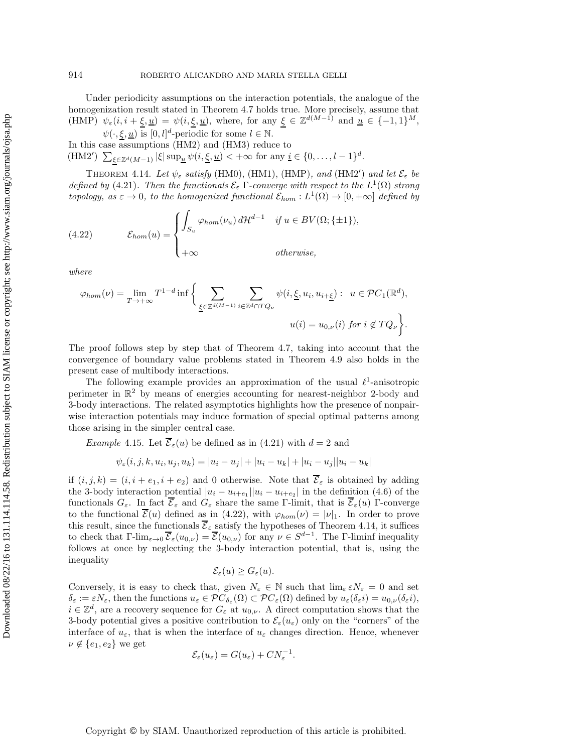Under periodicity assumptions on the interaction potentials, the analogue of the homogenization result stated in Theorem [4.7](#page-12-0) holds true. More precisely, assume that (HMP)  $\psi_{\varepsilon}(i, i + \underline{\xi}, \underline{u}) = \psi(i, \underline{\xi}, \underline{u})$ , where, for any  $\underline{\xi} \in \mathbb{Z}^{d(M-1)}$  and  $\underline{\tilde{u}} \in \{-1, 1\}^M$ ,

 $\psi(\cdot,\xi,\underline{u})$  is  $[0,l]^d$ -periodic for some  $l \in \mathbb{N}$ . In this case assumptions (HM2) and (HM3) reduce to (HM2<sup>'</sup>)  $\sum_{\xi \in \mathbb{Z}^d (M-1)} |\xi| \sup_{\underline{u}} \psi(i, \underline{\xi}, \underline{u}) < +\infty$  for any  $\underline{i} \in \{0, \ldots, l-1\}^d$ .

<span id="page-19-0"></span>THEOREM 4.14. Let  $\psi_{\varepsilon}$  satisfy (HM0), (HM1), (HMP), and (HM2') and let  $\mathcal{E}_{\varepsilon}$  be *defined by* [\(4.21\)](#page-17-0). Then the functionals  $\mathcal{E}_{\varepsilon}$  Γ-converge with respect to the  $L^1(\Omega)$  strong *topology, as*  $\varepsilon \to 0$ *, to the homogenized functional*  $\mathcal{E}_{hom}: L^1(\Omega) \to [0, +\infty]$  *defined by* 

<span id="page-19-2"></span>(4.22) 
$$
\mathcal{E}_{hom}(u) = \begin{cases} \int_{S_u} \varphi_{hom}(\nu_u) d\mathcal{H}^{d-1} & \text{if } u \in BV(\Omega; \{\pm 1\}), \\ +\infty & \text{otherwise}, \end{cases}
$$

*where*

$$
\varphi_{hom}(\nu) = \lim_{T \to +\infty} T^{1-d} \inf \bigg\{ \sum_{\underline{\xi} \in \mathbb{Z}^{d(M-1)}} \sum_{i \in \mathbb{Z}^d \cap TQ_{\nu}} \psi(i, \underline{\xi}, u_i, u_{i+\underline{\xi}}) : u \in \mathcal{P}C_1(\mathbb{R}^d),
$$
  

$$
u(i) = u_{0,\nu}(i) \text{ for } i \notin TQ_{\nu} \bigg\}.
$$

The proof follows step by step that of Theorem [4.7,](#page-12-0) taking into account that the convergence of boundary value problems stated in Theorem [4.9](#page-15-0) also holds in the present case of multibody interactions.

The following example provides an approximation of the usual  $\ell^1$ -anisotropic perimeter in  $\mathbb{R}^2$  by means of energies accounting for nearest-neighbor 2-body and 3-body interactions. The related asymptotics highlights how the presence of nonpairwise interaction potentials may induce formation of special optimal patterns among those arising in the simpler central case.

<span id="page-19-1"></span>*Example* 4.15. Let  $\overline{\mathcal{E}}_{\varepsilon}(u)$  be defined as in [\(4.21\)](#page-17-0) with  $d = 2$  and

$$
\psi_{\varepsilon}(i, j, k, u_i, u_j, u_k) = |u_i - u_j| + |u_i - u_k| + |u_i - u_j||u_i - u_k|
$$

if  $(i, j, k) = (i, i + e_1, i + e_2)$  and 0 otherwise. Note that  $\overline{\mathcal{E}}_{\varepsilon}$  is obtained by adding the 3-body interaction potential  $|u_i - u_{i+e_1}||u_i - u_{i+e_2}|$  in the definition [\(4.6\)](#page-8-5) of the functionals  $G_{\varepsilon}$ . In fact  $\overline{\mathcal{E}}_{\varepsilon}$  and  $G_{\varepsilon}$  share the same Γ-limit, that is  $\overline{\mathcal{E}}_{\varepsilon}(u)$  Γ-converge to the functional  $\mathcal{E}(u)$  defined as in [\(4.22\)](#page-19-2), with  $\varphi_{hom}(\nu) = |\nu|_1$ . In order to prove this result, since the functionals  $\overline{\mathcal{E}}_{\varepsilon}$  satisfy the hypotheses of Theorem [4.14,](#page-19-0) it suffices to check that  $\Gamma\text{-}\lim_{\varepsilon\to 0} \overline{\mathcal{E}}_{\varepsilon}(u_{0,\nu}) = \overline{\mathcal{E}}(u_{0,\nu})$  for any  $\nu \in S^{d-1}$ . The  $\Gamma\text{-}\liminf$  inequality follows at once by neglecting the 3-body interaction potential, that is, using the inequality

$$
\mathcal{E}_{\varepsilon}(u) \geq G_{\varepsilon}(u).
$$

Conversely, it is easy to check that, given  $N_{\varepsilon} \in \mathbb{N}$  such that  $\lim_{\varepsilon} \varepsilon N_{\varepsilon} = 0$  and set  $\delta_{\varepsilon} := \varepsilon N_{\varepsilon}$ , then the functions  $u_{\varepsilon} \in \mathcal{P}C_{\delta_{\varepsilon}}(\Omega) \subset \mathcal{P}C_{\varepsilon}(\Omega)$  defined by  $u_{\varepsilon}(\delta_{\varepsilon}i) = u_{0,\nu}(\delta_{\varepsilon}i)$ ,  $i \in \mathbb{Z}^d$ , are a recovery sequence for  $G_{\varepsilon}$  at  $u_{0,\nu}$ . A direct computation shows that the 3-body potential gives a positive contribution to  $\mathcal{E}_{\varepsilon}(u_{\varepsilon})$  only on the "corners" of the interface of  $u_{\varepsilon}$ , that is when the interface of  $u_{\varepsilon}$  changes direction. Hence, whenever  $\nu \notin \{e_1, e_2\}$  we get

$$
\mathcal{E}_{\varepsilon}(u_{\varepsilon}) = G(u_{\varepsilon}) + CN_{\varepsilon}^{-1}.
$$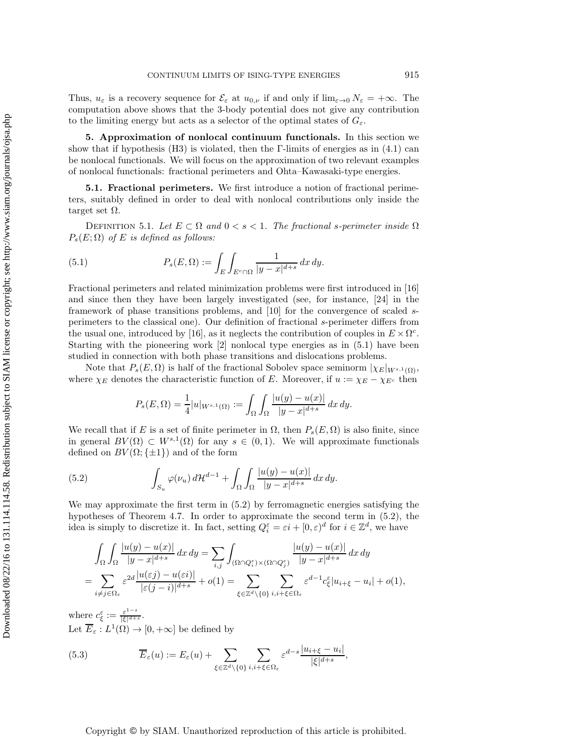Thus,  $u_{\varepsilon}$  is a recovery sequence for  $\mathcal{E}_{\varepsilon}$  at  $u_{0,\nu}$  if and only if  $\lim_{\varepsilon \to 0} N_{\varepsilon} = +\infty$ . The computation above shows that the 3-body potential does not give any contribution to the limiting energy but acts as a selector of the optimal states of  $G_{\varepsilon}$ .

<span id="page-20-0"></span>**5. Approximation of nonlocal continuum functionals.** In this section we show that if hypothesis (H3) is violated, then the  $\Gamma$ -limits of energies as in [\(4.1\)](#page-6-0) can be nonlocal functionals. We will focus on the approximation of two relevant examples of nonlocal functionals: fractional perimeters and Ohta–Kawasaki-type energies.

**5.1. Fractional perimeters.** We first introduce a notion of fractional perimeters, suitably defined in order to deal with nonlocal contributions only inside the target set Ω.

DEFINITION 5.1. Let  $E \subset \Omega$  and  $0 < s < 1$ . The fractional s-perimeter inside  $\Omega$  $P_s(E; \Omega)$  *of* E *is defined as follows:* 

<span id="page-20-1"></span>(5.1) 
$$
P_s(E, \Omega) := \int_E \int_{E^c \cap \Omega} \frac{1}{|y - x|^{d+s}} dx dy.
$$

Fractional perimeters and related minimization problems were first introduced in [\[16\]](#page-36-9) and since then they have been largely investigated (see, for instance, [\[24\]](#page-36-10) in the framework of phase transitions problems, and [\[10\]](#page-35-11) for the convergence of scaled sperimeters to the classical one). Our definition of fractional s-perimeter differs from the usual one, introduced by [\[16\]](#page-36-9), as it neglects the contribution of couples in  $E \times \Omega^c$ . Starting with the pioneering work [\[2\]](#page-35-12) nonlocal type energies as in [\(5.1\)](#page-20-1) have been studied in connection with both phase transitions and dislocations problems.

Note that  $P_s(E, \Omega)$  is half of the fractional Sobolev space seminorm  $|\chi_E|_{W^{s,1}(\Omega)}$ , where  $\chi_E$  denotes the characteristic function of E. Moreover, if  $u := \chi_E - \chi_{E^c}$  then

<span id="page-20-2"></span>
$$
P_s(E, \Omega) = \frac{1}{4} |u|_{W^{s,1}(\Omega)} := \int_{\Omega} \int_{\Omega} \frac{|u(y) - u(x)|}{|y - x|^{d + s}} dx dy.
$$

We recall that if E is a set of finite perimeter in  $\Omega$ , then  $P_s(E, \Omega)$  is also finite, since in general  $BV(\Omega) \subset W^{s,1}(\Omega)$  for any  $s \in (0,1)$ . We will approximate functionals defined on  $BV(\Omega;\{\pm 1\})$  and of the form

(5.2) 
$$
\int_{S_u} \varphi(\nu_u) d\mathcal{H}^{d-1} + \int_{\Omega} \int_{\Omega} \frac{|u(y) - u(x)|}{|y - x|^{d+s}} dx dy.
$$

We may approximate the first term in [\(5.2\)](#page-20-2) by ferromagnetic energies satisfying the hypotheses of Theorem [4.7.](#page-12-0) In order to approximate the second term in [\(5.2\)](#page-20-2), the idea is simply to discretize it. In fact, setting  $Q_i^{\varepsilon} = \varepsilon i + [0, \varepsilon)^d$  for  $i \in \mathbb{Z}^d$ , we have

$$
\int_{\Omega} \int_{\Omega} \frac{|u(y) - u(x)|}{|y - x|^{d+s}} dx dy = \sum_{i,j} \int_{(\Omega \cap Q_i^{\varepsilon}) \times (\Omega \cap Q_j^{\varepsilon})} \frac{|u(y) - u(x)|}{|y - x|^{d+s}} dx dy
$$
  
= 
$$
\sum_{i \neq j \in \Omega_{\varepsilon}} \varepsilon^{2d} \frac{|u(\varepsilon j) - u(\varepsilon i)|}{|\varepsilon (j - i)|^{d+s}} + o(1) = \sum_{\xi \in \mathbb{Z}^d \setminus \{0\}} \sum_{i, i + \xi \in \Omega_{\varepsilon}} \varepsilon^{d-1} c_{\xi}^{\varepsilon} |u_{i + \xi} - u_i| + o(1),
$$

where  $c_{\xi}^{\varepsilon} := \frac{\varepsilon^{1-s}}{|\xi|^{d+s}}$ . Let  $\overline{E}_{\varepsilon}: L^{1}(\Omega) \to [0, +\infty]$  be defined by

<span id="page-20-3"></span>(5.3) 
$$
\overline{E}_{\varepsilon}(u) := E_{\varepsilon}(u) + \sum_{\xi \in \mathbb{Z}^d \setminus \{0\}} \sum_{i,i+\xi \in \Omega_{\varepsilon}} \varepsilon^{d-s} \frac{|u_{i+\xi} - u_i|}{|\xi|^{d+s}},
$$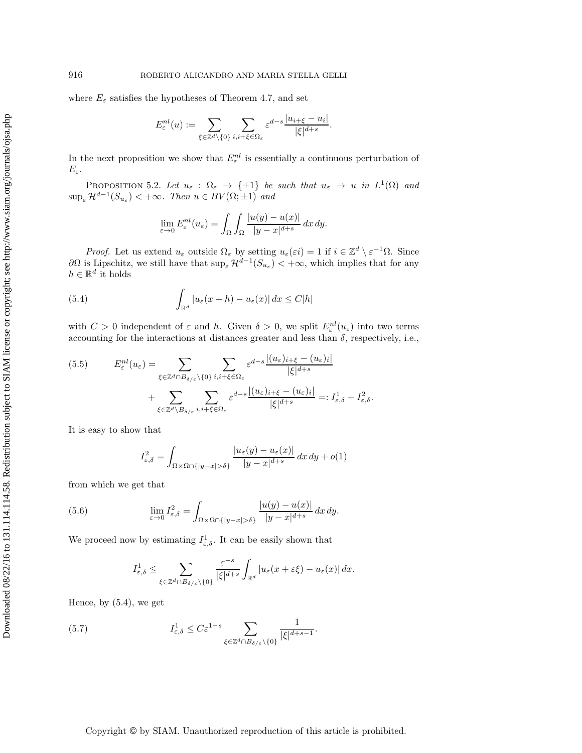where  $E_{\varepsilon}$  satisfies the hypotheses of Theorem [4.7,](#page-12-0) and set

$$
E_{\varepsilon}^{nl}(u) := \sum_{\xi \in \mathbb{Z}^d \setminus \{0\}} \sum_{i,i+\xi \in \Omega_{\varepsilon}} \varepsilon^{d-s} \frac{|u_{i+\xi} - u_i|}{|\xi|^{d+s}}.
$$

<span id="page-21-4"></span>In the next proposition we show that  $E_{\varepsilon}^{nl}$  is essentially a continuous perturbation of  $E_{\varepsilon}$ .

PROPOSITION 5.2. Let  $u_{\varepsilon}$  :  $\Omega_{\varepsilon} \to {\pm 1}$  *be such that*  $u_{\varepsilon} \to u$  *in*  $L^1(\Omega)$  *and*  $\sup_{\varepsilon} \mathcal{H}^{d-1}(S_{u_{\varepsilon}}) < +\infty$ *. Then*  $u \in BV(\Omega; \pm 1)$  *and* 

<span id="page-21-0"></span>
$$
\lim_{\varepsilon \to 0} E_{\varepsilon}^{nl}(u_{\varepsilon}) = \int_{\Omega} \int_{\Omega} \frac{|u(y) - u(x)|}{|y - x|^{d + s}} dx dy.
$$

*Proof.* Let us extend  $u_{\varepsilon}$  outside  $\Omega_{\varepsilon}$  by setting  $u_{\varepsilon}(\varepsilon i) = 1$  if  $i \in \mathbb{Z}^d \setminus \varepsilon^{-1}\Omega$ . Since  $\partial\Omega$  is Lipschitz, we still have that sup<sub>e</sub>  $\mathcal{H}^{\tilde{d}-1}(S_{u_{\varepsilon}}) < +\infty$ , which implies that for any  $h \in \mathbb{R}^d$  it holds

(5.4) 
$$
\int_{\mathbb{R}^d} |u_{\varepsilon}(x+h) - u_{\varepsilon}(x)| dx \le C|h|
$$

with  $C > 0$  independent of  $\varepsilon$  and h. Given  $\delta > 0$ , we split  $E_{\varepsilon}^{nl}(u_{\varepsilon})$  into two terms accounting for the interactions at distances greater and less than  $\delta$ , respectively, i.e.,

<span id="page-21-2"></span>
$$
(5.5) \t E_{\varepsilon}^{nl}(u_{\varepsilon}) = \sum_{\xi \in \mathbb{Z}^d \cap B_{\delta/\varepsilon} \setminus \{0\}} \sum_{i,i+\xi \in \Omega_{\varepsilon}} \varepsilon^{d-s} \frac{|(u_{\varepsilon})_{i+\xi} - (u_{\varepsilon})_i|}{|\xi|^{d+s}} + \sum_{\xi \in \mathbb{Z}^d \setminus B_{\delta/\varepsilon}} \sum_{i,i+\xi \in \Omega_{\varepsilon}} \varepsilon^{d-s} \frac{|(u_{\varepsilon})_{i+\xi} - (u_{\varepsilon})_i|}{|\xi|^{d+s}} =: I_{\varepsilon,\delta}^1 + I_{\varepsilon,\delta}^2.
$$

It is easy to show that

$$
I_{\varepsilon,\delta}^2 = \int_{\Omega \times \Omega \cap \{|y - x| > \delta\}} \frac{|u_{\varepsilon}(y) - u_{\varepsilon}(x)|}{|y - x|^{d + s}} dx dy + o(1)
$$

from which we get that

(5.6) 
$$
\lim_{\varepsilon \to 0} I_{\varepsilon,\delta}^2 = \int_{\Omega \times \Omega \cap \{|y-x| > \delta\}} \frac{|u(y) - u(x)|}{|y - x|^{d + s}} dx dy.
$$

We proceed now by estimating  $I_{\varepsilon,\delta}^1$ . It can be easily shown that

<span id="page-21-3"></span><span id="page-21-1"></span>
$$
I_{\varepsilon,\delta}^1 \leq \sum_{\xi \in \mathbb{Z}^d \cap B_{\delta/\varepsilon} \setminus \{0\}} \frac{\varepsilon^{-s}}{|\xi|^{d+s}} \int_{\mathbb{R}^d} |u_{\varepsilon}(x+\varepsilon \xi) - u_{\varepsilon}(x)| dx.
$$

Hence, by [\(5.4\)](#page-21-0), we get

(5.7) 
$$
I_{\varepsilon,\delta}^1 \leq C\varepsilon^{1-s} \sum_{\xi \in \mathbb{Z}^d \cap B_{\delta/\varepsilon} \setminus \{0\}} \frac{1}{|\xi|^{d+s-1}}.
$$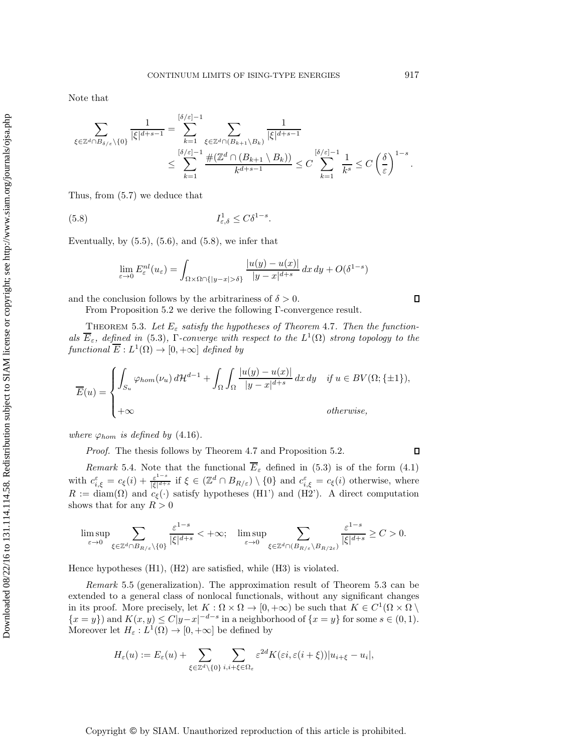Note that

$$
\sum_{\xi \in \mathbb{Z}^d \cap B_{\delta/\varepsilon} \backslash \{0\}} \frac{1}{|\xi|^{d+s-1}} = \sum_{k=1}^{[\delta/\varepsilon]-1} \sum_{\xi \in \mathbb{Z}^d \cap (B_{k+1} \backslash B_k)} \frac{1}{|\xi|^{d+s-1}} \le \sum_{k=1}^{[\delta/\varepsilon]-1} \frac{\#(\mathbb{Z}^d \cap (B_{k+1} \backslash B_k))}{k^{d+s-1}} \le C \sum_{k=1}^{[\delta/\varepsilon]-1} \frac{1}{k^s} \le C \left(\frac{\delta}{\varepsilon}\right)^{1-s}.
$$

Thus, from [\(5.7\)](#page-21-1) we deduce that

$$
(5.8) \t\t I_{\varepsilon,\delta}^1 \le C\delta^{1-s}.
$$

Eventually, by  $(5.5)$ ,  $(5.6)$ , and  $(5.8)$ , we infer that

<span id="page-22-0"></span>
$$
\lim_{\varepsilon \to 0} E_{\varepsilon}^{nl}(u_{\varepsilon}) = \int_{\Omega \times \Omega \cap \{|y - x| > \delta\}} \frac{|u(y) - u(x)|}{|y - x|^{d + s}} dx dy + O(\delta^{1 - s})
$$

and the conclusion follows by the arbitrariness of  $\delta > 0$ .

<span id="page-22-1"></span>From Proposition [5.2](#page-21-4) we derive the following Γ-convergence result.

THEOREM 5.3. Let  $E_{\varepsilon}$  satisfy the hypotheses of Theorem [4.7](#page-12-0). Then the function*als*  $\overline{E}_{\varepsilon}$ *, defined in* [\(5.3\)](#page-20-3), Γ*-converge with respect to the*  $L^1(\Omega)$  *strong topology to the functional*  $\overline{E}: L^1(\Omega) \to [0, +\infty]$  *defined by* 

$$
\overline{E}(u) = \begin{cases} \int_{S_u} \varphi_{hom}(\nu_u) d\mathcal{H}^{d-1} + \int_{\Omega} \int_{\Omega} \frac{|u(y) - u(x)|}{|y - x|^{d+s}} dx dy & \text{if } u \in BV(\Omega; \{\pm 1\}), \\ +\infty & \text{otherwise,} \end{cases}
$$

*where*  $\varphi_{hom}$  *is defined by* [\(4.16\)](#page-13-1).

*Proof.* The thesis follows by Theorem [4.7](#page-12-0) and Proposition [5.2.](#page-21-4)

*Remark* 5.4. Note that the functional  $E<sub>\varepsilon</sub>$  defined in [\(5.3\)](#page-20-3) is of the form [\(4.1\)](#page-6-0) with  $c_{i,\xi}^{\varepsilon} = c_{\xi}(i) + \frac{\varepsilon^{1-s}}{|\xi|^{d+s}}$  if  $\xi \in (\mathbb{Z}^d \cap B_{R/\varepsilon}) \setminus \{0\}$  and  $c_{i,\xi}^{\varepsilon} = c_{\xi}(i)$  otherwise, where  $R := \text{diam}(\Omega)$  and  $c_{\xi}(\cdot)$  satisfy hypotheses (H1') and (H2'). A direct computation shows that for any  $R > 0$ 

$$
\limsup_{\varepsilon \to 0} \sum_{\xi \in \mathbb{Z}^d \cap B_{R/\varepsilon} \setminus \{0\}} \frac{\varepsilon^{1-s}}{|\xi|^{d+s}} < +\infty; \quad \limsup_{\varepsilon \to 0} \sum_{\xi \in \mathbb{Z}^d \cap (B_{R/\varepsilon} \setminus B_{R/2\varepsilon})} \frac{\varepsilon^{1-s}}{|\xi|^{d+s}} \ge C > 0.
$$

Hence hypotheses (H1), (H2) are satisfied, while (H3) is violated.

*Remark* 5.5 (generalization). The approximation result of Theorem [5.3](#page-22-1) can be extended to a general class of nonlocal functionals, without any significant changes in its proof. More precisely, let  $K : \Omega \times \Omega \to [0, +\infty)$  be such that  $K \in C^1(\Omega \times \Omega)$  $\{x = y\}$  and  $K(x, y) \le C|y-x|^{-d-s}$  in a neighborhood of  $\{x = y\}$  for some  $s \in (0, 1)$ . Moreover let  $H_{\varepsilon}: L^{1}(\Omega) \to [0, +\infty]$  be defined by

$$
H_{\varepsilon}(u) := E_{\varepsilon}(u) + \sum_{\xi \in \mathbb{Z}^d \setminus \{0\}} \sum_{i,i+\xi \in \Omega_{\varepsilon}} \varepsilon^{2d} K(\varepsilon i, \varepsilon(i+\xi)) |u_{i+\xi} - u_i|,
$$

Copyright © by SIAM. Unauthorized reproduction of this article is prohibited.

 $\Box$ 

 $\Box$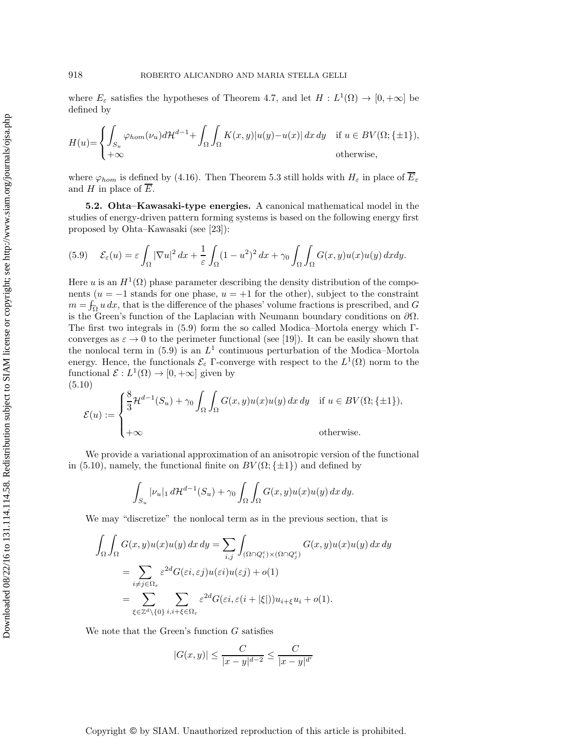where  $E_{\varepsilon}$  satisfies the hypotheses of Theorem [4.7,](#page-12-0) and let  $H : L^1(\Omega) \to [0, +\infty]$  be defined by

$$
H(u) = \begin{cases} \int_{S_u} \varphi_{hom}(\nu_u) d\mathcal{H}^{d-1} + \int_{\Omega} \int_{\Omega} K(x, y) |u(y) - u(x)| dx dy & \text{if } u \in BV(\Omega; \{\pm 1\}), \\ +\infty & \text{otherwise}, \end{cases}
$$

where  $\varphi_{hom}$  is defined by [\(4.16\)](#page-13-1). Then Theorem [5.3](#page-22-1) still holds with  $H_{\varepsilon}$  in place of  $\overline{E}_{\varepsilon}$ and H in place of  $\overline{E}$ .

**5.2. Ohta–Kawasaki-type energies.** A canonical mathematical model in the studies of energy-driven pattern forming systems is based on the following energy first proposed by Ohta–Kawasaki (see [\[23\]](#page-36-2)):

<span id="page-23-0"></span>(5.9) 
$$
\mathcal{E}_{\varepsilon}(u) = \varepsilon \int_{\Omega} |\nabla u|^2 dx + \frac{1}{\varepsilon} \int_{\Omega} (1 - u^2)^2 dx + \gamma_0 \int_{\Omega} \int_{\Omega} G(x, y) u(x) u(y) dx dy.
$$

Here u is an  $H^1(\Omega)$  phase parameter describing the density distribution of the components ( $u = -1$  stands for one phase,  $u = +1$  for the other), subject to the constraint  $m = \int_{\Omega} u \, dx$ , that is the difference of the phases' volume fractions is prescribed, and G is the Green's function of the Laplacian with Neumann boundary conditions on  $\partial\Omega$ . The first two integrals in [\(5.9\)](#page-23-0) form the so called Modica–Mortola energy which Γconverges as  $\varepsilon \to 0$  to the perimeter functional (see [\[19\]](#page-36-3)). It can be easily shown that the nonlocal term in [\(5.9\)](#page-23-0) is an  $L^1$  continuous perturbation of the Modica–Mortola energy. Hence, the functionals  $\mathcal{E}_{\varepsilon}$  Γ-converge with respect to the  $L^1(\Omega)$  norm to the functional  $\mathcal{E}: L^1(\Omega) \to [0, +\infty]$  given by (5.10)

<span id="page-23-1"></span>
$$
\mathcal{E}(u) := \begin{cases} \frac{8}{3} \mathcal{H}^{d-1}(S_u) + \gamma_0 \int_{\Omega} \int_{\Omega} G(x, y) u(x) u(y) dx dy & \text{if } u \in BV(\Omega; \{\pm 1\}), \\ +\infty & \text{otherwise.} \end{cases}
$$

We provide a variational approximation of an anisotropic version of the functional in [\(5.10\)](#page-23-1), namely, the functional finite on  $BV(\Omega;\{\pm 1\})$  and defined by

$$
\int_{S_u} |\nu_u|_1 d\mathcal{H}^{d-1}(S_u) + \gamma_0 \int_{\Omega} \int_{\Omega} G(x, y) u(x) u(y) dx dy.
$$

We may "discretize" the nonlocal term as in the previous section, that is

$$
\int_{\Omega} \int_{\Omega} G(x, y) u(x) u(y) dx dy = \sum_{i,j} \int_{(\Omega \cap Q_i^{\varepsilon}) \times (\Omega \cap Q_j^{\varepsilon})} G(x, y) u(x) u(y) dx dy
$$
  
\n
$$
= \sum_{i \neq j \in \Omega_{\varepsilon}} \varepsilon^{2d} G(\varepsilon i, \varepsilon j) u(\varepsilon i) u(\varepsilon j) + o(1)
$$
  
\n
$$
= \sum_{\xi \in \mathbb{Z}^d \setminus \{0\}} \sum_{i, i + \xi \in \Omega_{\varepsilon}} \varepsilon^{2d} G(\varepsilon i, \varepsilon (i + |\xi|)) u_{i + \xi} u_i + o(1).
$$

We note that the Green's function  $G$  satisfies

$$
|G(x,y)|\leq \frac{C}{|x-y|^{d-2}}\leq \frac{C}{|x-y|^{d'}}
$$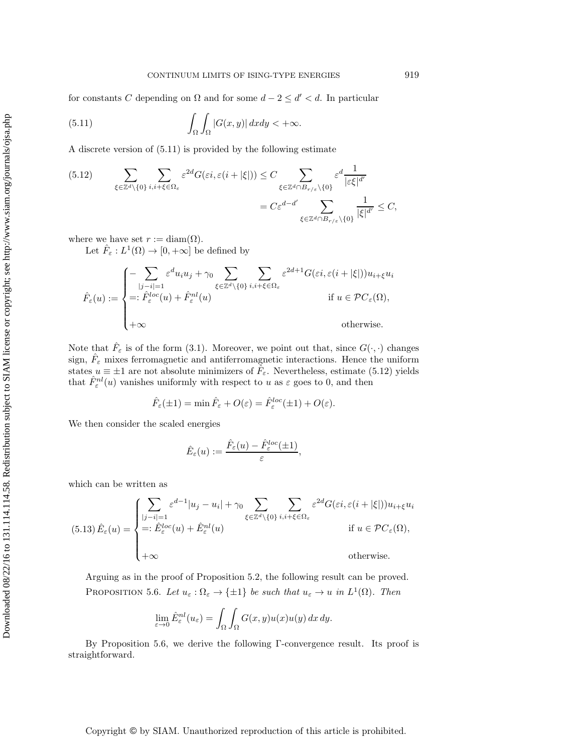for constants C depending on  $\Omega$  and for some  $d - 2 \le d' < d$ . In particular

<span id="page-24-0"></span>(5.11) 
$$
\int_{\Omega} \int_{\Omega} |G(x, y)| dx dy < +\infty.
$$

A discrete version of [\(5.11\)](#page-24-0) is provided by the following estimate

<span id="page-24-1"></span>
$$
(5.12) \qquad \sum_{\xi \in \mathbb{Z}^d \setminus \{0\}} \sum_{i,i+\xi \in \Omega_{\varepsilon}} \varepsilon^{2d} G(\varepsilon i, \varepsilon (i+|\xi|)) \leq C \sum_{\xi \in \mathbb{Z}^d \cap B_{r/\varepsilon} \setminus \{0\}} \varepsilon^d \frac{1}{|\varepsilon \xi|^{d'}} = C \varepsilon^{d-d'} \sum_{\xi \in \mathbb{Z}^d \cap B_{r/\varepsilon} \setminus \{0\}} \frac{1}{|\xi|^{d'}} \leq C,
$$

where we have set  $r := \text{diam}(\Omega)$ .

Let  $\hat{F}_{\varepsilon}: L^{1}(\Omega) \to [0, +\infty]$  be defined by

$$
\hat{F}_{\varepsilon}(u) := \begin{cases}\n-\sum_{|j-i|=1} \varepsilon^{d} u_{i} u_{j} + \gamma_{0} \sum_{\xi \in \mathbb{Z}^{d} \setminus \{0\}} \sum_{i,i+\xi \in \Omega_{\varepsilon}} \varepsilon^{2d+1} G(\varepsilon i, \varepsilon (i + |\xi|)) u_{i+\xi} u_{i} \\
\qquad \qquad + \hat{F}_{\varepsilon}^{loc}(u) + \hat{F}_{\varepsilon}^{nl}(u) & \text{if } u \in \mathcal{P}C_{\varepsilon}(\Omega), \\
+\infty & \text{otherwise.} \n\end{cases}
$$

Note that  $\tilde{F}_{\varepsilon}$  is of the form [\(3.1\)](#page-6-1). Moreover, we point out that, since  $G(\cdot, \cdot)$  changes sign,  $\hat{F}_{\varepsilon}$  mixes ferromagnetic and antiferromagnetic interactions. Hence the uniform states  $u \equiv \pm 1$  are not absolute minimizers of  $\hat{F}_{\varepsilon}$ . Nevertheless, estimate [\(5.12\)](#page-24-1) yields that  $\hat{F}^{nl}_{\varepsilon}(u)$  vanishes uniformly with respect to u as  $\varepsilon$  goes to 0, and then

$$
\hat{F}_{\varepsilon}(\pm 1) = \min \hat{F}_{\varepsilon} + O(\varepsilon) = \hat{F}_{\varepsilon}^{loc}(\pm 1) + O(\varepsilon).
$$

We then consider the scaled energies

$$
\hat{E}_{\varepsilon}(u) := \frac{\hat{F}_{\varepsilon}(u) - \hat{F}_{\varepsilon}^{loc}(\pm 1)}{\varepsilon},
$$

which can be written as

<span id="page-24-3"></span>
$$
(5.13)\,\hat{E}_{\varepsilon}(u) = \begin{cases}\n\sum_{|j-i|=1} \varepsilon^{d-1} |u_j - u_i| + \gamma_0 \sum_{\xi \in \mathbb{Z}^d \backslash \{0\}} \sum_{i,i+\xi \in \Omega_{\varepsilon}} \varepsilon^{2d} G(\varepsilon i, \varepsilon(i+|\xi|)) u_{i+\xi} u_i \\
=:\hat{E}_{\varepsilon}^{loc}(u) + \hat{E}_{\varepsilon}^{nl}(u) & \text{if } u \in \mathcal{PC}_{\varepsilon}(\Omega), \\
+\infty & \text{otherwise.} \n\end{cases}
$$

Arguing as in the proof of Proposition [5.2,](#page-21-4) the following result can be proved. PROPOSITION 5.6. Let  $u_{\varepsilon} : \Omega_{\varepsilon} \to {\{\pm 1\}}$  be such that  $u_{\varepsilon} \to u$  in  $L^1(\Omega)$ . Then

<span id="page-24-2"></span>
$$
\lim_{\varepsilon \to 0} \hat{E}^{nl}_{\varepsilon}(u_{\varepsilon}) = \int_{\Omega} \int_{\Omega} G(x, y) u(x) u(y) dx dy.
$$

<span id="page-24-4"></span>By Proposition [5.6,](#page-24-2) we derive the following Γ-convergence result. Its proof is straightforward.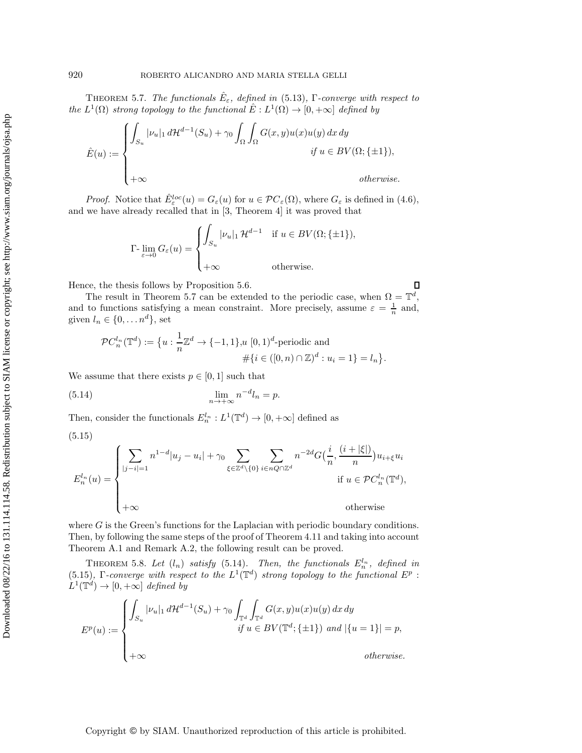**THEOREM 5.7.** *The functionals*  $E_{\varepsilon}$ *, defined in* [\(5.13\)](#page-24-3)*,* Γ-converge with respect to *the*  $L^1(\Omega)$  *strong topology to the functional*  $\hat{E}: L^1(\Omega) \to [0, +\infty]$  *defined by* 

$$
\hat{E}(u) := \begin{cases}\n\int_{S_u} |\nu_u|_1 d\mathcal{H}^{d-1}(S_u) + \gamma_0 \int_{\Omega} \int_{\Omega} G(x, y) u(x) u(y) dx dy \\
\quad \text{if } u \in BV(\Omega; \{\pm 1\}), \\
+\infty\n\end{cases}
$$
\notherwise.

*Proof.* Notice that  $\hat{E}^{loc}_{\varepsilon}(u) = G_{\varepsilon}(u)$  for  $u \in \mathcal{PC}_{\varepsilon}(\Omega)$ , where  $G_{\varepsilon}$  is defined in [\(4.6\)](#page-8-5), and we have already recalled that in [\[3,](#page-35-0) Theorem 4] it was proved that

$$
\Gamma\text{-}\lim_{\varepsilon \to 0} G_{\varepsilon}(u) = \begin{cases} \int_{S_u} |\nu_u|_1 \, \mathcal{H}^{d-1} & \text{if } u \in BV(\Omega; \{\pm 1\}), \\ +\infty & \text{otherwise.} \end{cases}
$$

Hence, the thesis follows by Proposition [5.6.](#page-24-2)

The result in Theorem [5.7](#page-24-4) can be extended to the periodic case, when  $\Omega = \mathbb{T}^d$ , and to functions satisfying a mean constraint. More precisely, assume  $\varepsilon = \frac{1}{n}$  and, given  $l_n \in \{0, \ldots n^d\}$ , set

<span id="page-25-2"></span><span id="page-25-1"></span>Д

<span id="page-25-0"></span>
$$
\mathcal{P}C_n^{l_n}(\mathbb{T}^d) := \{ u : \frac{1}{n}\mathbb{Z}^d \to \{-1, 1\}, u [0, 1)^d \text{-periodic and}
$$
  

$$
\# \{ i \in ([0, n) \cap \mathbb{Z})^d : u_i = 1 \} = l_n \}.
$$

We assume that there exists  $p \in [0, 1]$  such that

(5.14) 
$$
\lim_{n \to +\infty} n^{-d} l_n = p.
$$

Then, consider the functionals  $E_n^{l_n}: L^1(\mathbb{T}^d) \to [0, +\infty]$  defined as

(5.15)

Downloaded 08/22/16 to 131.114.14.58. Redistribution subject to SIAM license or copyright; see http://www.siam.org/journals/ojsa.php Downloaded 08/22/16 to 131.114.114.58. Redistribution subject to SIAM license or copyright; see http://www.siam.org/journals/ojsa.php

$$
E_n^{l_n}(u) = \begin{cases} \sum_{|j-i|=1} n^{1-d} |u_j - u_i| + \gamma_0 \sum_{\xi \in \mathbb{Z}^d \backslash \{0\}} \sum_{i \in nQ \cap \mathbb{Z}^d} n^{-2d} G\left(\frac{i}{n}, \frac{(i + |\xi|)}{n}\right) u_{i+\xi} u_i\\ \text{if } u \in \mathcal{P}C_n^{l_n}(\mathbb{T}^d),\\ +\infty \qquad \text{otherwise} \end{cases}
$$

where  $G$  is the Green's functions for the Laplacian with periodic boundary conditions. Then, by following the same steps of the proof of Theorem [4.11](#page-16-1) and taking into account Theorem [A.1](#page-33-0) and Remark [A.2,](#page-35-10) the following result can be proved.

THEOREM 5.8. Let  $(l_n)$  satisfy  $(5.14)$ . Then, the functionals  $E_n^{l_n}$ , defined in [\(5.15\)](#page-25-1)*,* Γ*-converge with respect to the*  $L^1(\mathbb{T}^d)$  *strong topology to the functional*  $E^p$ :  $L^1(\mathbb{T}^d) \to [0, +\infty]$  *defined by* 

$$
E^{p}(u) := \begin{cases} \int_{S_u} |\nu_u|_1 d\mathcal{H}^{d-1}(S_u) + \gamma_0 \int_{\mathbb{T}^d} \int_{\mathbb{T}^d} G(x, y) u(x) u(y) dx dy \\ \quad \text{if } u \in BV(\mathbb{T}^d; \{\pm 1\}) \text{ and } |\{u = 1\}| = p, \\ +\infty & \text{otherwise.} \end{cases}
$$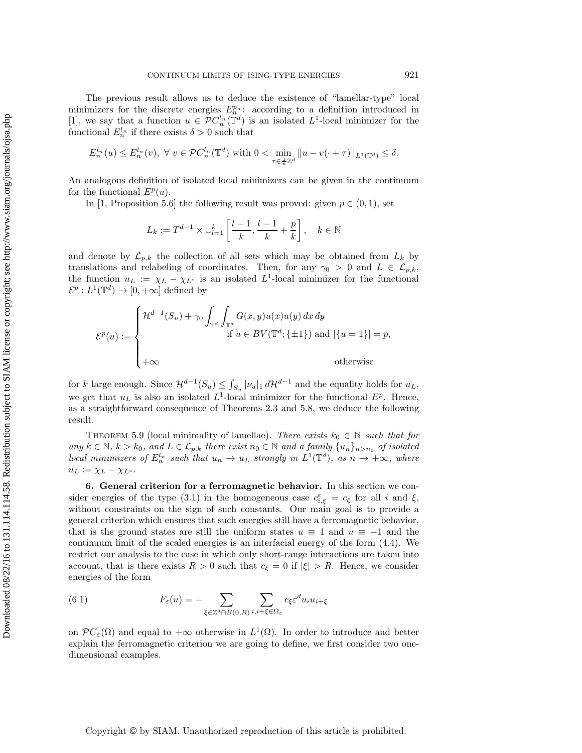The previous result allows us to deduce the existence of "lamellar-type" local minimizers for the discrete energies  $E_n^{p_n}$ : according to a definition introduced in [\[1\]](#page-35-7), we say that a function  $u \in \mathcal{PC}_n^{l_n}(\mathbb{T}^d)$  is an isolated  $L^1$ -local minimizer for the functional  $E_n^{l_n}$  if there exists  $\delta > 0$  such that

$$
E_n^{l_n}(u) \le E_n^{l_n}(v), \ \forall \ v \in \mathcal{PC}_n^{l_n}(\mathbb{T}^d) \text{ with } 0 < \min_{\tau \in \frac{1}{n}\mathbb{Z}^d} \|u - v(\cdot + \tau)\|_{L^1(\mathbb{T}^d)} \le \delta.
$$

An analogous definition of isolated local minimizers can be given in the continuum for the functional  $E^p(u)$ .

In [\[1,](#page-35-7) Proposition 5.6] the following result was proved: given  $p \in (0,1)$ , set

$$
L_k:=T^{d-1}\times \cup_{l=1}^k \left[\frac{l-1}{k},\frac{l-1}{k}+\frac{p}{k}\right],\quad k\in\mathbb{N}
$$

and denote by  $\mathcal{L}_{p,k}$  the collection of all sets which may be obtained from  $L_k$  by translations and relabeling of coordinates. Then, for any  $\gamma_0 > 0$  and  $L \in \mathcal{L}_{n,k}$ , the function  $u_L := \chi_L - \chi_{L^c}$  is an isolated  $L^1$ -local minimizer for the functional  $\mathcal{E}^p: L^1(\mathbb{T}^d) \to [0, +\infty]$  defined by

$$
\mathcal{E}^{p}(u) := \begin{cases} \mathcal{H}^{d-1}(S_{u}) + \gamma_{0} \int_{\mathbb{T}^{d}} \int_{\mathbb{T}^{d}} G(x, y) u(x) u(y) dx dy \\ & \text{if } u \in BV(\mathbb{T}^{d}; \{\pm 1\}) \text{ and } |\{u = 1\}| = p, \\ +\infty & \text{otherwise} \end{cases}
$$

for k large enough. Since  $\mathcal{H}^{d-1}(S_u) \leq \int_{S_u} |\nu_u|_1 d\mathcal{H}^{d-1}$  and the equality holds for  $u_L$ , we get that  $u<sub>L</sub>$  is also an isolated  $L<sup>1</sup>$ -local minimizer for the functional  $E<sup>p</sup>$ . Hence, as a straightforward consequence of Theorems [2.3](#page-6-2) and [5.8,](#page-25-2) we deduce the following result.

<span id="page-26-0"></span>THEOREM 5.9 (local minimality of lamellae). *There exists*  $k_0 \in \mathbb{N}$  *such that for any*  $k \in \mathbb{N}$ ,  $k > k_0$ , and  $L \in \mathcal{L}_{p,k}$  *there exist*  $n_0 \in \mathbb{N}$  *and a family*  $\{u_n\}_{n> n_0}$  *of isolated local minimizers of*  $E_n^{l_n}$  *such that*  $u_n \to u_L$  *strongly in*  $L^1(\mathbb{T}^d)$ *, as*  $n \to +\infty$ *, where*  $u_L := \chi_L - \chi_{L^c}$ .

**6. General criterion for a ferromagnetic behavior.** In this section we con-sider energies of the type [\(3.1\)](#page-6-1) in the homogeneous case  $c_{i,\xi}^{\varepsilon} = c_{\xi}$  for all i and  $\xi$ , without constraints on the sign of such constants. Our main goal is to provide a general criterion which ensures that such energies still have a ferromagnetic behavior, that is the ground states are still the uniform states  $u \equiv 1$  and  $u \equiv -1$  and the continuum limit of the scaled energies is an interfacial energy of the form [\(4.4\)](#page-8-4). We restrict our analysis to the case in which only short-range interactions are taken into account, that is there exists  $R > 0$  such that  $c_{\xi} = 0$  if  $|\xi| > R$ . Hence, we consider energies of the form

<span id="page-26-1"></span>(6.1) 
$$
F_{\varepsilon}(u) = -\sum_{\xi \in \mathbb{Z}^d \cap B(0,R)} \sum_{i,i+\xi \in \Omega_{\varepsilon}} c_{\xi} \varepsilon^d u_i u_{i+\xi}
$$

on  $\mathcal{P}C_{\varepsilon}(\Omega)$  and equal to  $+\infty$  otherwise in  $L^1(\Omega)$ . In order to introduce and better explain the ferromagnetic criterion we are going to define, we first consider two onedimensional examples.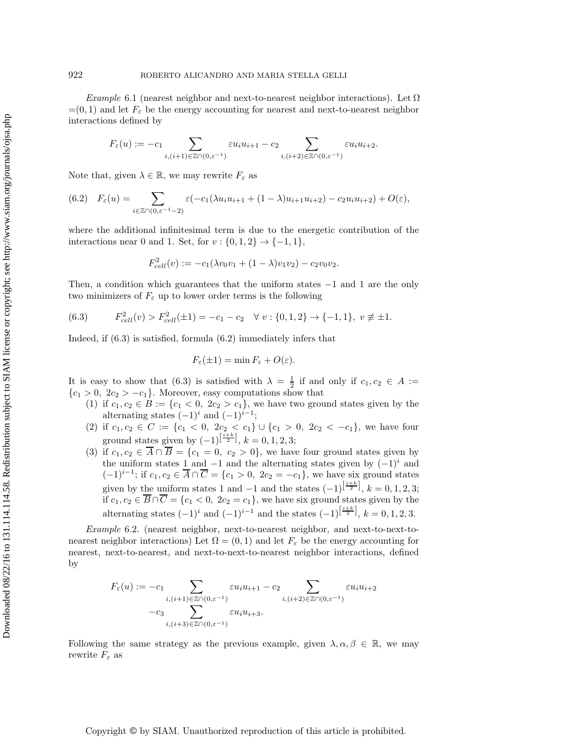*Example* 6.1 (nearest neighbor and next-to-nearest neighbor interactions). Let  $\Omega$  $=(0, 1)$  and let  $F_{\varepsilon}$  be the energy accounting for nearest and next-to-nearest neighbor interactions defined by

$$
F_{\varepsilon}(u):=-c_1\sum_{i,(i+1)\in\mathbb{Z}\cap(0,\varepsilon^{-1})}\varepsilon u_iu_{i+1}-c_2\sum_{i,(i+2)\in\mathbb{Z}\cap(0,\varepsilon^{-1})}\varepsilon u_iu_{i+2}.
$$

Note that, given  $\lambda \in \mathbb{R}$ , we may rewrite  $F_{\varepsilon}$  as

<span id="page-27-1"></span>
$$
(6.2) \quad F_{\varepsilon}(u) = \sum_{i \in \mathbb{Z} \cap (0,\varepsilon^{-1}-2)} \varepsilon(-c_1(\lambda u_i u_{i+1} + (1-\lambda)u_{i+1} u_{i+2}) - c_2 u_i u_{i+2}) + O(\varepsilon),
$$

where the additional infinitesimal term is due to the energetic contribution of the interactions near 0 and 1. Set, for  $v : \{0, 1, 2\} \rightarrow \{-1, 1\}$ ,

$$
F_{cell}^2(v) := -c_1(\lambda v_0 v_1 + (1 - \lambda)v_1 v_2) - c_2 v_0 v_2.
$$

Then, a condition which guarantees that the uniform states −1 and 1 are the only two minimizers of  $F_{\varepsilon}$  up to lower order terms is the following

<span id="page-27-0"></span>
$$
(6.3) \tF_{cell}^2(v) > F_{cell}^2(\pm 1) = -c_1 - c_2 \quad \forall \ v : \{0, 1, 2\} \to \{-1, 1\}, \ v \neq \pm 1.
$$

Indeed, if [\(6.3\)](#page-27-0) is satisfied, formula [\(6.2\)](#page-27-1) immediately infers that

$$
F_{\varepsilon}(\pm 1) = \min F_{\varepsilon} + O(\varepsilon).
$$

It is easy to show that [\(6.3\)](#page-27-0) is satisfied with  $\lambda = \frac{1}{2}$  if and only if  $c_1, c_2 \in A :=$  ${c_1 > 0, 2c_2 > -c_1}.$  Moreover, easy computations show that

- (1) if  $c_1, c_2 \in B := \{c_1 < 0, 2c_2 > c_1\}$ , we have two ground states given by the alternating states  $(-1)^i$  and  $(-1)^{i-1}$ ;
- (2) if  $c_1, c_2 \in C := \{c_1 < 0, 2c_2 < c_1\} \cup \{c_1 > 0, 2c_2 < -c_1\}$ , we have four ground states given by  $(-1)^{\left[\frac{i+k}{2}\right]}$ ,  $k = 0, 1, 2, 3;$
- (3) if  $c_1, c_2 \in \overline{A} \cap \overline{B} = \{c_1 = 0, c_2 > 0\}$ , we have four ground states given by the uniform states 1 and  $-1$  and the alternating states given by  $(-1)^i$  and  $(-1)^{i-1}$ ; if  $c_1, c_2 \in \overline{A} \cap \overline{C} = \{c_1 > 0, 2c_2 = -c_1\}$ , we have six ground states given by the uniform states 1 and  $-1$  and the states  $(-1)^{\left[\frac{i+k}{2}\right]}, k = 0, 1, 2, 3;$ if  $c_1, c_2 \in \overline{B} \cap \overline{C} = \{c_1 < 0, 2c_2 = c_1\}$ , we have six ground states given by the alternating states  $(-1)^i$  and  $(-1)^{i-1}$  and the states  $(-1)^{\left[\frac{i+k}{2}\right]}, k = 0, 1, 2, 3$ .

*Example* 6.2. (nearest neighbor, next-to-nearest neighbor, and next-to-next-tonearest neighbor interactions) Let  $\Omega = (0, 1)$  and let  $F_{\varepsilon}$  be the energy accounting for nearest, next-to-nearest, and next-to-next-to-nearest neighbor interactions, defined by

$$
F_{\varepsilon}(u):=-c_1\sum_{\substack{i,(i+1)\in\mathbb{Z}\cap(0,\varepsilon^{-1})\\\cdots\\i,(i+3)\in\mathbb{Z}\cap(0,\varepsilon^{-1})}}\varepsilon u_i u_{i+1}-c_2\sum_{\substack{i,(i+2)\in\mathbb{Z}\cap(0,\varepsilon^{-1})\\i,(i+3)\in\mathbb{Z}\cap(0,\varepsilon^{-1})}}\varepsilon u_i u_{i+2}
$$

Following the same strategy as the previous example, given  $\lambda, \alpha, \beta \in \mathbb{R}$ , we may rewrite  $F_{\varepsilon}$  as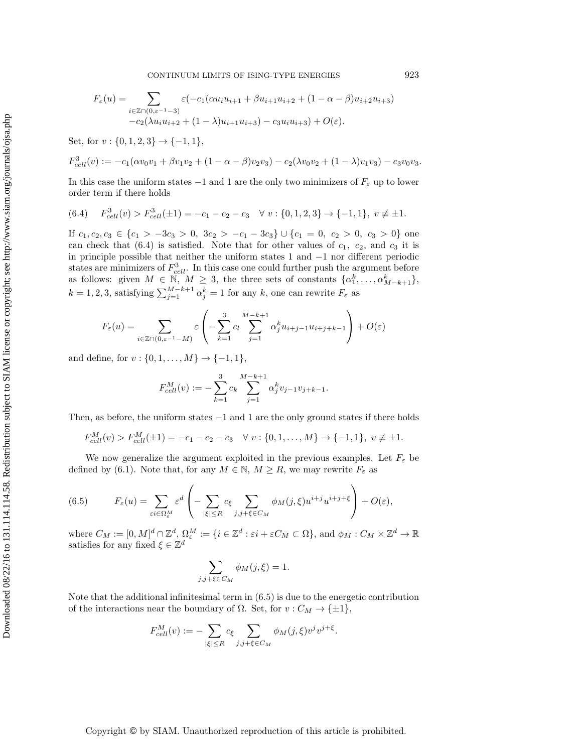CONTINUUM LIMITS OF ISING-TYPE ENERGIES 923

$$
F_{\varepsilon}(u) = \sum_{\substack{i \in \mathbb{Z} \cap (0,\varepsilon^{-1}-3) \\ -c_2(\lambda u_i u_{i+2} + (1-\lambda)u_{i+1} u_{i+3}) - c_3 u_i u_{i+3})}} \rho_{\varepsilon}(1 - \alpha - \beta) u_{i+2} u_{i+3}
$$

Set, for  $v : \{0, 1, 2, 3\} \rightarrow \{-1, 1\},\$ 

$$
F_{cell}^3(v) := -c_1(\alpha v_0 v_1 + \beta v_1 v_2 + (1 - \alpha - \beta)v_2 v_3) - c_2(\lambda v_0 v_2 + (1 - \lambda)v_1 v_3) - c_3v_0 v_3.
$$

In this case the uniform states  $-1$  and 1 are the only two minimizers of  $F_{\varepsilon}$  up to lower order term if there holds

<span id="page-28-1"></span>
$$
(6.4) \quad F_{cell}^3(v) > F_{cell}^3(\pm 1) = -c_1 - c_2 - c_3 \quad \forall \ v: \{0, 1, 2, 3\} \to \{-1, 1\}, \ v \neq \pm 1.
$$

If  $c_1, c_2, c_3 \in \{c_1 > -3c_3 > 0, 3c_2 > -c_1 - 3c_3\} \cup \{c_1 = 0, c_2 > 0, c_3 > 0\}$  one can check that  $(6.4)$  is satisfied. Note that for other values of  $c_1$ ,  $c_2$ , and  $c_3$  it is in principle possible that neither the uniform states 1 and −1 nor different periodic states are minimizers of  $F_{cell}^3$ . In this case one could further push the argument before as follows: given  $M \in \mathbb{N}, M \geq 3$ , the three sets of constants  $\{\alpha_1^k, \ldots, \alpha_{M-k+1}^k\},$  $k = 1, 2, 3$ , satisfying  $\sum_{j=1}^{M-k+1} \alpha_j^k = 1$  for any  $k$ , one can rewrite  $F_{\varepsilon}$  as

$$
F_{\varepsilon}(u) = \sum_{i \in \mathbb{Z} \cap (0,\varepsilon^{-1}-M)} \varepsilon \left( -\sum_{k=1}^{3} c_k \sum_{j=1}^{M-k+1} \alpha_j^k u_{i+j-1} u_{i+j+k-1} \right) + O(\varepsilon)
$$

and define, for  $v : \{0, 1, \ldots, M\} \to \{-1, 1\},\$ 

$$
F_{cell}^M(v) := -\sum_{k=1}^3 c_k \sum_{j=1}^{M-k+1} \alpha_j^k v_{j-1} v_{j+k-1}.
$$

Then, as before, the uniform states  $-1$  and 1 are the only ground states if there holds

$$
F_{cell}^M(v) > F_{cell}^M(\pm 1) = -c_1 - c_2 - c_3 \quad \forall \ v : \{0, 1, ..., M\} \to \{-1, 1\}, \ v \neq \pm 1.
$$

We now generalize the argument exploited in the previous examples. Let  $F_{\varepsilon}$  be defined by [\(6.1\)](#page-26-1). Note that, for any  $M \in \mathbb{N}$ ,  $M \geq R$ , we may rewrite  $F_{\varepsilon}$  as

<span id="page-28-2"></span>(6.5) 
$$
F_{\varepsilon}(u) = \sum_{\varepsilon i \in \Omega_{\varepsilon}^M} \varepsilon^d \left( - \sum_{|\xi| \le R} c_{\xi} \sum_{j,j+\xi \in C_M} \phi_M(j,\xi) u^{i+j} u^{i+j+\xi} \right) + O(\varepsilon),
$$

where  $C_M := [0, M]^d \cap \mathbb{Z}^d$ ,  $\Omega_{\varepsilon}^M := \{i \in \mathbb{Z}^d : \varepsilon i + \varepsilon C_M \subset \Omega\}$ , and  $\phi_M : C_M \times \mathbb{Z}^d \to \mathbb{R}$ satisfies for any fixed  $\xi \in \mathbb{Z}^d$ 

$$
\sum_{j,j+\xi \in C_M} \phi_M(j,\xi) = 1.
$$

<span id="page-28-0"></span>Note that the additional infinitesimal term in [\(6.5\)](#page-28-2) is due to the energetic contribution of the interactions near the boundary of  $\Omega$ . Set, for  $v : C_M \to {\pm 1}$ ,

$$
F_{cell}^M(v) := -\sum_{|\xi| \le R} c_{\xi} \sum_{j,j+\xi \in C_M} \phi_M(j,\xi) v^j v^{j+\xi}.
$$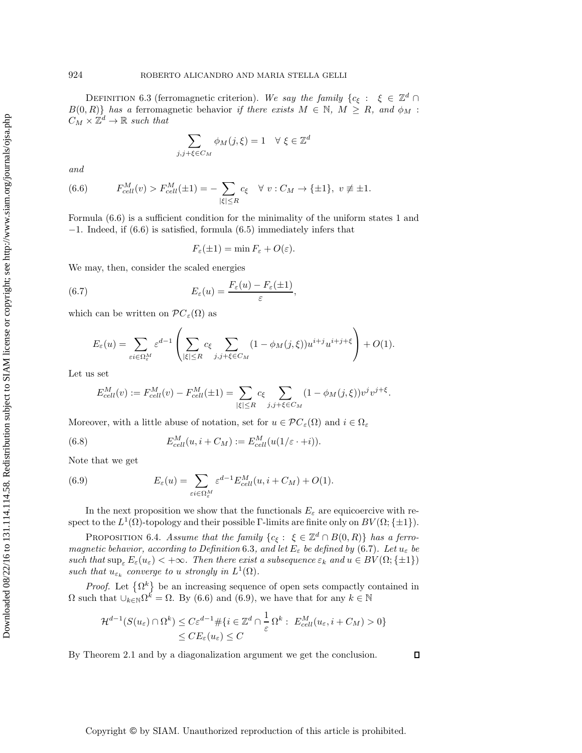DEFINITION 6.3 (ferromagnetic criterion). We say the family  $\{c_{\xi}: \xi \in \mathbb{Z}^d \cap \mathbb{Z}^d\}$  $B(0,R)$ *f* has a ferromagnetic behavior *if there exists*  $M \in \mathbb{N}$ *,*  $M \geq R$ *, and*  $\phi_M$ :  $C_M \times \mathbb{Z}^d \to \mathbb{R}$  such that

$$
\sum_{j,j+\xi\in C_M}\phi_M(j,\xi)=1\quad\forall\ \xi\in\mathbb{Z}^d
$$

*and*

<span id="page-29-0"></span>(6.6) 
$$
F_{cell}^M(v) > F_{cell}^M(\pm 1) = -\sum_{|\xi| \le R} c_{\xi} \quad \forall \ v : C_M \to \{\pm 1\}, \ v \ne \pm 1.
$$

Formula [\(6.6\)](#page-29-0) is a sufficient condition for the minimality of the uniform states 1 and −1. Indeed, if [\(6.6\)](#page-29-0) is satisfied, formula [\(6.5\)](#page-28-2) immediately infers that

<span id="page-29-1"></span>
$$
F_{\varepsilon}(\pm 1) = \min F_{\varepsilon} + O(\varepsilon).
$$

We may, then, consider the scaled energies

(6.7) 
$$
E_{\varepsilon}(u) = \frac{F_{\varepsilon}(u) - F_{\varepsilon}(\pm 1)}{\varepsilon},
$$

which can be written on  $\mathcal{P}C_{\varepsilon}(\Omega)$  as

$$
E_{\varepsilon}(u) = \sum_{\varepsilon i \in \Omega_{\varepsilon}^M} \varepsilon^{d-1} \left( \sum_{|\xi| \le R} c_{\xi} \sum_{j,j+\xi \in C_M} (1 - \phi_M(j,\xi)) u^{i+j} u^{i+j+\xi} \right) + O(1).
$$

Let us set

<span id="page-29-3"></span>
$$
E_{cell}^M(v) := F_{cell}^M(v) - F_{cell}^M(\pm 1) = \sum_{|\xi| \le R} c_{\xi} \sum_{j,j+\xi \in C_M} (1 - \phi_M(j,\xi)) v^j v^{j+\xi}.
$$

Moreover, with a little abuse of notation, set for  $u \in \mathcal{PC}_{\varepsilon}(\Omega)$  and  $i \in \Omega_{\varepsilon}$ 

(6.8) 
$$
E_{cell}^{M}(u, i + C_M) := E_{cell}^{M}(u(1/\varepsilon \cdot + i)).
$$

Note that we get

<span id="page-29-2"></span>(6.9) 
$$
E_{\varepsilon}(u) = \sum_{\varepsilon i \in \Omega_{\varepsilon}^M} \varepsilon^{d-1} E_{cell}^M(u, i + C_M) + O(1).
$$

In the next proposition we show that the functionals  $E_{\varepsilon}$  are equicoercive with respect to the  $L^1(\Omega)$ -topology and their possible Γ-limits are finite only on  $BV(\Omega;\{\pm 1\})$ .

<span id="page-29-4"></span>PROPOSITION 6.4. *Assume that the family*  ${c_{\xi}: \xi \in \mathbb{Z}^d \cap B(0,R)}$  *has a ferromagnetic behavior, according to Definition* [6.3](#page-28-0)*, and let*  $E_{\varepsilon}$  *be defined by* [\(6.7\)](#page-29-1)*. Let*  $u_{\varepsilon}$  *be such that*  $\sup_{\varepsilon} E_{\varepsilon}(u_{\varepsilon}) < +\infty$ *. Then there exist a subsequence*  $\varepsilon_k$  *and*  $u \in BV(\Omega;\{\pm 1\})$ *such that*  $u_{\varepsilon_k}$  *converge to* u *strongly in*  $L^1(\Omega)$ *.* 

*Proof.* Let  $\{\Omega^k\}$  be an increasing sequence of open sets compactly contained in  $\Omega$  such that  $\cup_{k\in\mathbb{N}}\Omega^k = \Omega$ . By [\(6.6\)](#page-29-0) and [\(6.9\)](#page-29-2), we have that for any  $k \in \mathbb{N}$ 

$$
\mathcal{H}^{d-1}(S(u_{\varepsilon}) \cap \Omega^k) \le C\varepsilon^{d-1} \# \{ i \in \mathbb{Z}^d \cap \frac{1}{\varepsilon} \Omega^k : E_{cell}^M(u_{\varepsilon}, i + C_M) > 0 \} \le CE_{\varepsilon}(u_{\varepsilon}) \le C
$$

By Theorem [2.1](#page-5-3) and by a diagonalization argument we get the conclusion.

 $\Box$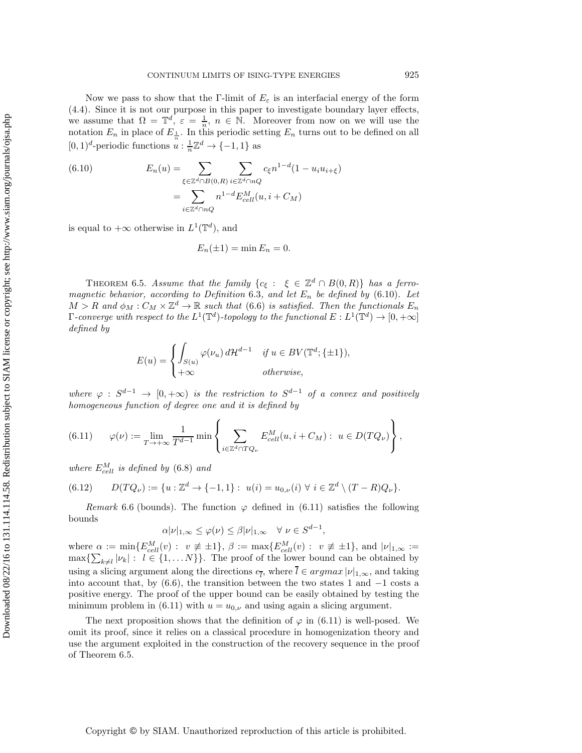Now we pass to show that the Γ-limit of  $E_{\varepsilon}$  is an interfacial energy of the form [\(4.4\)](#page-8-4). Since it is not our purpose in this paper to investigate boundary layer effects, we assume that  $\Omega = \mathbb{T}^d$ ,  $\varepsilon = \frac{1}{n}$ ,  $n \in \mathbb{N}$ . Moreover from now on we will use the notation  $E_n$  in place of  $E_{\frac{1}{n}}$ . In this periodic setting  $E_n$  turns out to be defined on all [0, 1)<sup>d</sup>-periodic functions  $u : \frac{1}{n}\mathbb{Z}^d \to \{-1, 1\}$  as

<span id="page-30-1"></span>(6.10) 
$$
E_n(u) = \sum_{\xi \in \mathbb{Z}^d \cap B(0,R)} \sum_{i \in \mathbb{Z}^d \cap nQ} c_{\xi} n^{1-d} (1 - u_i u_{i+\xi})
$$

$$
= \sum_{i \in \mathbb{Z}^d \cap nQ} n^{1-d} E_{cell}^M(u, i + C_M)
$$

is equal to  $+\infty$  otherwise in  $L^1(\mathbb{T}^d)$ , and

$$
E_n(\pm 1) = \min E_n = 0.
$$

<span id="page-30-0"></span>THEOREM 6.5. *Assume that the family*  ${c_{\xi}}: \xi \in \mathbb{Z}^d \cap B(0,R)$  *has a ferromagnetic behavior, according to Definition* [6.3](#page-28-0)*, and let*  $E_n$  *be defined by* [\(6.10\)](#page-30-1)*.* Let  $M > R$  and  $\phi_M : C_M \times \mathbb{Z}^d \to \mathbb{R}$  such that [\(6.6\)](#page-29-0) is satisfied. Then the functionals  $E_n$ *Γ-converge with respect to the*  $L^1(\mathbb{T}^d)$ *-topology to the functional*  $E: L^1(\mathbb{T}^d) \to [0, +\infty]$ *defined by*

$$
E(u) = \begin{cases} \int_{S(u)} \varphi(\nu_u) d\mathcal{H}^{d-1} & \text{if } u \in BV(\mathbb{T}^d; \{\pm 1\}), \\ +\infty & \text{otherwise,} \end{cases}
$$

*where*  $\varphi$  :  $S^{d-1} \to [0, +\infty)$  *is the restriction to*  $S^{d-1}$  *of a convex and positively homogeneous function of degree one and it is defined by*

<span id="page-30-2"></span>(6.11) 
$$
\varphi(\nu) := \lim_{T \to +\infty} \frac{1}{T^{d-1}} \min \left\{ \sum_{i \in \mathbb{Z}^d \cap TQ_{\nu}} E_{cell}^M(u, i + C_M) : u \in D(TQ_{\nu}) \right\},
$$

 $where E_{cell}^M$  *is defined by* [\(6.8\)](#page-29-3) *and* 

<span id="page-30-3"></span>
$$
(6.12) \qquad D(TQ_{\nu}) := \{u : \mathbb{Z}^d \to \{-1,1\} : \ u(i) = u_{0,\nu}(i) \ \forall \ i \in \mathbb{Z}^d \setminus (T-R)Q_{\nu}\}.
$$

*Remark* 6.6 (bounds). The function  $\varphi$  defined in [\(6.11\)](#page-30-2) satisfies the following bounds

$$
\alpha|\nu|_{1,\infty} \leq \varphi(\nu) \leq \beta|\nu|_{1,\infty} \quad \forall \ \nu \in S^{d-1},
$$

where  $\alpha := \min\{E_{cell}^M(v) : v \neq \pm 1\}, \ \beta := \max\{E_{cell}^M(v) : v \neq \pm 1\}, \text{ and } |\nu|_{1,\infty} :=$  $\max\{\sum_{k\neq l} |\nu_k| : l \in \{1, \ldots N\}\}.$  The proof of the lower bound can be obtained by using a slicing argument along the directions  $e_{\bar{l}}$ , where  $l \in argmax |\nu|_{1,\infty}$ , and taking into account that, by [\(6.6\)](#page-29-0), the transition between the two states 1 and  $-1$  costs a positive energy. The proof of the upper bound can be easily obtained by testing the minimum problem in [\(6.11\)](#page-30-2) with  $u = u_{0,\nu}$  and using again a slicing argument.

<span id="page-30-4"></span>The next proposition shows that the definition of  $\varphi$  in [\(6.11\)](#page-30-2) is well-posed. We omit its proof, since it relies on a classical procedure in homogenization theory and use the argument exploited in the construction of the recovery sequence in the proof of Theorem [6.5.](#page-30-0)

Downloaded 08/22/16 to 131.114.114.58. Redistribution subject to SIAM license or copyright; see http://www.siam.org/journals/ojsa.php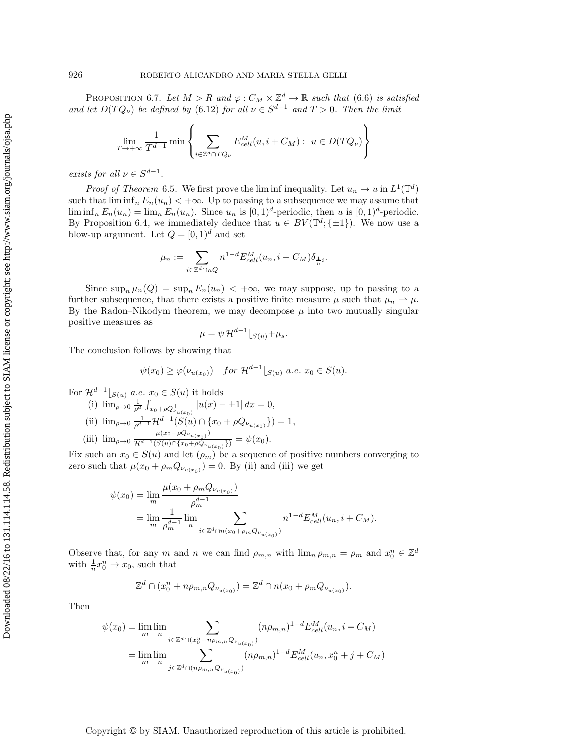PROPOSITION 6.7. Let  $M > R$  and  $\varphi : C_M \times \mathbb{Z}^d \to \mathbb{R}$  such that [\(6.6\)](#page-29-0) is satisfied *and let*  $D(TQ_{\nu})$  *be defined by* [\(6.12\)](#page-30-3) *for all*  $\nu \in S^{d-1}$  *and*  $T > 0$ *. Then the limit* 

$$
\lim_{T \to +\infty} \frac{1}{T^{d-1}} \min \left\{ \sum_{i \in \mathbb{Z}^d \cap TQ_{\nu}} E_{cell}^M(u, i + C_M) : u \in D(TQ_{\nu}) \right\}
$$

*exists for all*  $\nu \in S^{d-1}$ *.* 

*Proof of [Theorem](#page-30-0)* 6.5. We first prove the lim inf inequality. Let  $u_n \to u$  in  $L^1(\mathbb{T}^d)$ such that  $\liminf_{n} E_n(u_n) < +\infty$ . Up to passing to a subsequence we may assume that  $\liminf_{n} E_n(u_n) = \lim_{n} E_n(u_n)$ . Since  $u_n$  is  $[0,1)^d$ -periodic, then u is  $[0,1)^d$ -periodic. By Proposition [6.4,](#page-29-4) we immediately deduce that  $u \in BV(\mathbb{T}^d; \{\pm 1\})$ . We now use a blow-up argument. Let  $Q = [0, 1)^d$  and set

$$
\mu_n := \sum_{i \in \mathbb{Z}^d \cap nQ} n^{1-d} E_{cell}^M(u_n, i + C_M) \delta_{\frac{1}{n}i}.
$$

Since  $\sup_n \mu_n(Q) = \sup_n E_n(u_n) < +\infty$ , we may suppose, up to passing to a further subsequence, that there exists a positive finite measure  $\mu$  such that  $\mu_n \rightharpoonup \mu$ . By the Radon–Nikodym theorem, we may decompose  $\mu$  into two mutually singular positive measures as

$$
\mu = \psi \mathcal{H}^{d-1} \lfloor_{S(u)} + \mu_s.
$$

The conclusion follows by showing that

$$
\psi(x_0) \ge \varphi(\nu_{u(x_0)}) \quad \text{for } \mathcal{H}^{d-1}|_{S(u)} \text{ a.e. } x_0 \in S(u).
$$

For  $\mathcal{H}^{d-1}|_{S(u)}$  a.e.  $x_0 \in S(u)$  it holds

- (i)  $\lim_{\rho \to 0} \frac{1}{\rho^d} \int_{x_0 + \rho Q_{\nu_{u(x_0)}}^{\pm}} |u(x) \pm 1| dx = 0,$
- (ii)  $\lim_{\rho \to 0} \frac{1}{\rho^{d-1}} \mathcal{H}^{d-1}(S(u) \cap \{x_0 + \rho Q_{\nu_{u(x_0)}}\}) = 1,$
- (iii)  $\lim_{\rho \to 0} \frac{\mu(x_0 + \rho Q_{\nu_{u(x_0)}})}{\mathcal{H}^{d-1}(S(u) \cap \{x_0 + \rho Q_{\nu_{u(x_0)}}\})} = \psi(x_0).$

Fix such an  $x_0 \in S(u)$  and let  $(\rho_m)$  be a sequence of positive numbers converging to zero such that  $\mu(x_0 + \rho_m Q_{\nu_{u(x_0)}}) = 0$ . By (ii) and (iii) we get

$$
\psi(x_0) = \lim_{m} \frac{\mu(x_0 + \rho_m Q_{\nu_{u(x_0)}})}{\rho_m^{d-1}} \n= \lim_{m} \frac{1}{\rho_m^{d-1}} \lim_{n} \sum_{i \in \mathbb{Z}^d \cap n(x_0 + \rho_m Q_{\nu_{u(x_0)}})} n^{1-d} E_{cell}^M(u_n, i + C_M).
$$

Observe that, for any m and n we can find  $\rho_{m,n}$  with  $\lim_{n \to \infty} \rho_{m,n} = \rho_m$  and  $x_0^n \in \mathbb{Z}^d$ with  $\frac{1}{n}x_0^n \to x_0$ , such that

$$
\mathbb{Z}^d \cap (x_0^n + n\rho_{m,n}Q_{\nu_{u(x_0)}}) = \mathbb{Z}^d \cap n(x_0 + \rho_m Q_{\nu_{u(x_0)}}).
$$

Then

$$
\psi(x_0) = \lim_{m} \lim_{n} \sum_{i \in \mathbb{Z}^d \cap (x_0^n + n\rho_{m,n}Q_{\nu_{u(x_0)}})} (n\rho_{m,n})^{1-d} E_{cell}^M(u_n, i + C_M)
$$

$$
= \lim_{m} \lim_{n} \sum_{j \in \mathbb{Z}^d \cap (n\rho_{m,n}Q_{\nu_{u(x_0)}})} (n\rho_{m,n})^{1-d} E_{cell}^M(u_n, x_0^n + j + C_M)
$$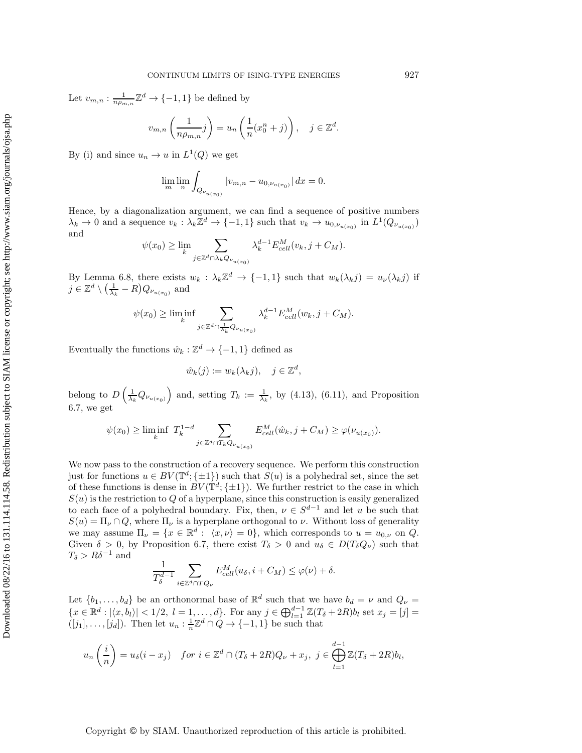Let  $v_{m,n}$ :  $\frac{1}{n\rho_{m,n}}\mathbb{Z}^d \to \{-1,1\}$  be defined by

$$
v_{m,n}\left(\frac{1}{n\rho_{m,n}}j\right) = u_n\left(\frac{1}{n}(x_0^n+j)\right), \quad j \in \mathbb{Z}^d.
$$

By (i) and since  $u_n \to u$  in  $L^1(Q)$  we get

$$
\lim_{m} \lim_{n} \int_{Q_{\nu_{u(x_0)}}} |v_{m,n} - u_{0,\nu_{u(x_0)}}| \, dx = 0.
$$

Hence, by a diagonalization argument, we can find a sequence of positive numbers  $\lambda_k \to 0$  and a sequence  $v_k : \lambda_k \mathbb{Z}^d \to \{-1,1\}$  such that  $v_k \to u_{0,\nu_{u(x_0)}}$  in  $L^1(Q_{\nu_{u(x_0)}})$ and

$$
\psi(x_0) \ge \lim_k \sum_{j \in \mathbb{Z}^d \cap \lambda_k Q_{\nu_{u(x_0)}}} \lambda_k^{d-1} E_{cell}^M(v_k, j + C_M).
$$

By Lemma [6.8,](#page-33-1) there exists  $w_k : \lambda_k \mathbb{Z}^d \to \{-1,1\}$  such that  $w_k(\lambda_k j) = u_{\nu}(\lambda_k j)$  if  $j \in \mathbb{Z}^d \setminus \left(\frac{1}{\lambda_k} - R\right) Q_{\nu_{u(x_0)}}$  and

$$
\psi(x_0) \ge \liminf_k \sum_{j \in \mathbb{Z}^d \cap \frac{1}{\lambda_k} Q_{\nu_{u(x_0)}}} \lambda_k^{d-1} E_{cell}^M(w_k, j + C_M).
$$

Eventually the functions  $\hat{w}_k : \mathbb{Z}^d \to \{-1,1\}$  defined as

$$
\hat{w}_k(j) := w_k(\lambda_k j), \quad j \in \mathbb{Z}^d,
$$

belong to  $D\left(\frac{1}{\lambda_k}Q_{\nu_{u(x_0)}}\right)$  and, setting  $T_k := \frac{1}{\lambda_k}$ , by [\(4.13\)](#page-11-2), [\(6.11\)](#page-30-2), and Proposition [6.7,](#page-30-4) we get

$$
\psi(x_0) \ge \liminf_k T_k^{1-d} \sum_{j \in \mathbb{Z}^d \cap T_k Q_{\nu_{u(x_0)}}} E_{cell}^M(\hat{w}_k, j + C_M) \ge \varphi(\nu_{u(x_0)}).
$$

We now pass to the construction of a recovery sequence. We perform this construction just for functions  $u \in BV(\mathbb{T}^d; \{\pm 1\})$  such that  $S(u)$  is a polyhedral set, since the set of these functions is dense in  $BV(\mathbb{T}^d;\{\pm 1\})$ . We further restrict to the case in which  $S(u)$  is the restriction to Q of a hyperplane, since this construction is easily generalized to each face of a polyhedral boundary. Fix, then,  $\nu \in S^{d-1}$  and let u be such that  $S(u) = \Pi_{\nu} \cap Q$ , where  $\Pi_{\nu}$  is a hyperplane orthogonal to  $\nu$ . Without loss of generality we may assume  $\Pi_{\nu} = \{x \in \mathbb{R}^d : \langle x, \nu \rangle = 0\}$ , which corresponds to  $u = u_{0,\nu}$  on Q. Given  $\delta > 0$ , by Proposition [6.7,](#page-30-4) there exist  $T_{\delta} > 0$  and  $u_{\delta} \in D(T_{\delta}Q_{\nu})$  such that  $T_\delta > R\delta^{-1}$  and

$$
\frac{1}{T_{\delta}^{d-1}} \sum_{i \in \mathbb{Z}^d \cap TQ_{\nu}} E_{cell}^M(u_{\delta}, i + C_M) \le \varphi(\nu) + \delta.
$$

Let  $\{b_1,\ldots,b_d\}$  be an orthonormal base of  $\mathbb{R}^d$  such that we have  $b_d = \nu$  and  $Q_{\nu} =$  $\{x \in \mathbb{R}^d : |\langle x, b_l \rangle| < 1/2, l = 1, ..., d\}$ . For any  $j \in \bigoplus_{l=1}^{d-1} \mathbb{Z}(T_\delta + 2R)b_l$  set  $x_j = [j] =$  $([j_1], \ldots, [j_d])$ . Then let  $u_n : \frac{1}{n} \mathbb{Z}^d \cap Q \to \{-1, 1\}$  be such that

$$
u_n\left(\frac{i}{n}\right) = u_\delta(i - x_j) \quad \text{for } i \in \mathbb{Z}^d \cap (T_\delta + 2R)Q_\nu + x_j, \ j \in \bigoplus_{l=1}^{d-1} \mathbb{Z}(T_\delta + 2R)b_l,
$$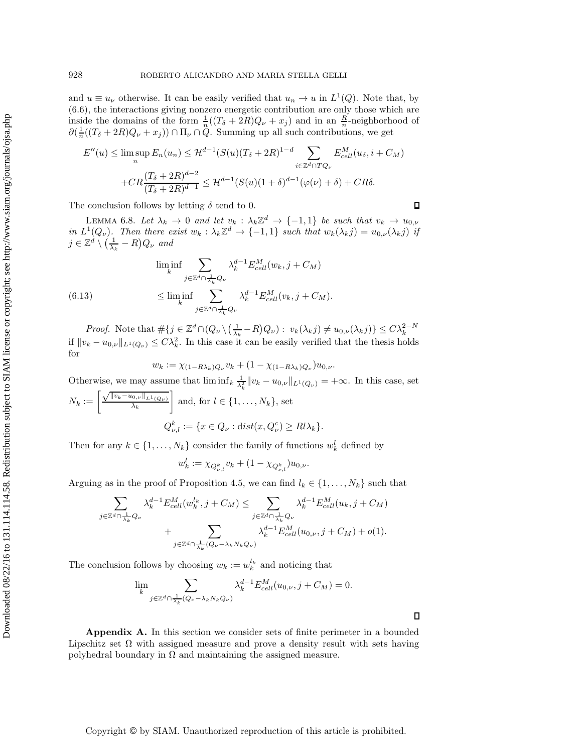and  $u \equiv u_{\nu}$  otherwise. It can be easily verified that  $u_n \to u$  in  $L^1(Q)$ . Note that, by [\(6.6\)](#page-29-0), the interactions giving nonzero energetic contribution are only those which are inside the domains of the form  $\frac{1}{n}((T_{\delta} + 2R)Q_{\nu} + x_j)$  and in an  $\frac{R}{n}$ -neighborhood of  $\partial(\frac{1}{n}((T_{\delta}+2R)Q_{\nu}+x_j))\cap\Pi_{\nu}\cap\ddot{Q}$ . Summing up all such contributions, we get

$$
E''(u) \le \limsup_{n} E_n(u_n) \le H^{d-1}(S(u)(T_{\delta} + 2R)^{1-d} \sum_{i \in \mathbb{Z}^d \cap TQ_{\nu}} E_{cell}^M(u_{\delta}, i + C_M)
$$

$$
+ C R \frac{(T_{\delta} + 2R)^{d-2}}{(T_{\delta} + 2R)^{d-1}} \le H^{d-1}(S(u)(1 + \delta)^{d-1}(\varphi(\nu) + \delta) + CR\delta.
$$

<span id="page-33-1"></span>The conclusion follows by letting  $\delta$  tend to 0.

LEMMA 6.8. Let  $\lambda_k \to 0$  and let  $v_k : \lambda_k \mathbb{Z}^d \to \{-1,1\}$  be such that  $v_k \to u_{0,\nu}$ *in*  $L^1(Q_\nu)$ *. Then there exist*  $w_k : \lambda_k \mathbb{Z}^d \to \{-1,1\}$  *such that*  $w_k(\lambda_k j) = u_{0,\nu}(\lambda_k j)$  *if*  $j \in \mathbb{Z}^d \setminus \left(\frac{1}{\lambda_k} - R\right) Q_{\nu}$  and

(6.13) 
$$
\liminf_{k} \sum_{j \in \mathbb{Z}^d \cap \frac{1}{\lambda_k} Q_{\nu}} \lambda_k^{d-1} E_{cell}^M(w_k, j + C_M)
$$

$$
\leq \liminf_{k} \sum_{j \in \mathbb{Z}^d \cap \frac{1}{\lambda_k} Q_{\nu}} \lambda_k^{d-1} E_{cell}^M(v_k, j + C_M).
$$

*Proof.* Note that  $\#\{j \in \mathbb{Z}^d \cap (Q_\nu \setminus (\frac{1}{\lambda_k} - R)Q_\nu) : v_k(\lambda_k j) \neq u_{0,\nu}(\lambda_k j)\} \leq C \lambda_k^{2-N}$ if  $||v_k - u_{0,\nu}||_{L^1(Q_\nu)} \leq C\lambda_k^2$ . In this case it can be easily verified that the thesis holds for

$$
w_k := \chi_{(1-R\lambda_k)Q_{\nu}} v_k + (1 - \chi_{(1-R\lambda_k)Q_{\nu}})u_{0,\nu}.
$$

Otherwise, we may assume that  $\liminf_k \frac{1}{\lambda_k^2} ||v_k - u_{0,\nu}||_{L^1(Q_\nu)} = +\infty$ . In this case, set

$$
N_k := \left[\frac{\sqrt{\|v_k - u_{0,\nu}\|_{L^1(Q_\nu)}}}{\lambda_k}\right] \text{ and, for } l \in \{1, \dots, N_k\}, \text{ set}
$$

$$
Q_{\nu,l}^k := \{x \in Q_\nu : \text{dist}(x, Q_\nu^c) \ge Rl\lambda_k\}.
$$

Then for any  $k \in \{1, ..., N_k\}$  consider the family of functions  $w_k^l$  defined by

$$
w_k^l := \chi_{Q_{\nu,l}^k} v_k + (1 - \chi_{Q_{\nu,l}^k}) u_{0,\nu}.
$$

Arguing as in the proof of Proposition [4.5,](#page-9-0) we can find  $l_k \in \{1, \ldots, N_k\}$  such that

$$
\sum_{j\in\mathbb{Z}^d\cap\frac{1}{\lambda_k}Q_{\nu}}\lambda_k^{d-1}E_{cell}^M(w_k^{l_k},j+C_M)\leq \sum_{j\in\mathbb{Z}^d\cap\frac{1}{\lambda_k}Q_{\nu}}\lambda_k^{d-1}E_{cell}^M(u_k,j+C_M) + \sum_{j\in\mathbb{Z}^d\cap\frac{1}{\lambda_k}(Q_{\nu}-\lambda_kN_kQ_{\nu})}\lambda_k^{d-1}E_{cell}^M(u_{0,\nu},j+C_M)+o(1).
$$

The conclusion follows by choosing  $w_k := w_k^{l_k}$  and noticing that

$$
\lim_{k} \sum_{j \in \mathbb{Z}^d \cap \frac{1}{\lambda_k} (Q_{\nu} - \lambda_k N_k Q_{\nu})} \lambda_k^{d-1} E_{cell}^M(u_{0,\nu}, j + C_M) = 0.
$$

<span id="page-33-0"></span>**Appendix A.** In this section we consider sets of finite perimeter in a bounded Lipschitz set  $\Omega$  with assigned measure and prove a density result with sets having polyhedral boundary in  $\Omega$  and maintaining the assigned measure.

Copyright © by SIAM. Unauthorized reproduction of this article is prohibited.

 $\Box$ 

 $\Box$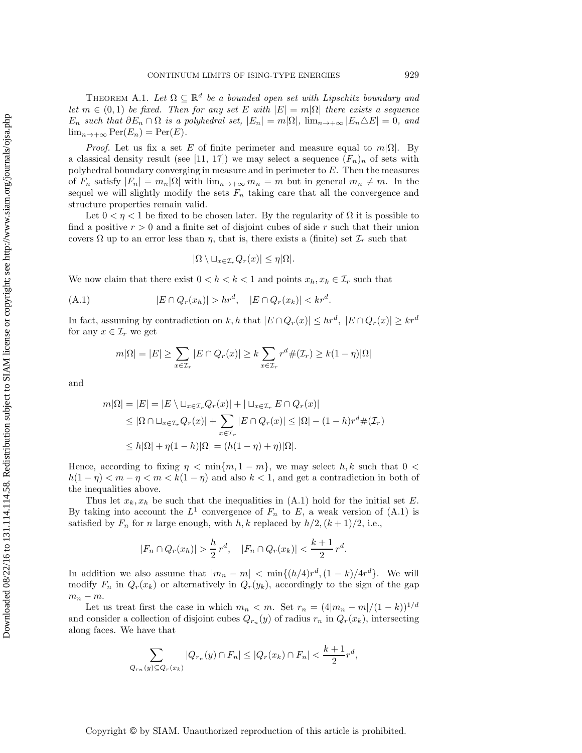THEOREM A.1. Let  $\Omega \subseteq \mathbb{R}^d$  be a bounded open set with Lipschitz boundary and *let*  $m \in (0, 1)$  *be fixed. Then for any set* E *with*  $|E| = m|\Omega|$  *there exists a sequence*  $E_n$  *such that*  $\partial E_n \cap \Omega$  *is a polyhedral set,*  $|E_n| = m|\Omega|$ *,*  $\lim_{n \to +\infty} |E_n \Delta E| = 0$ *, and*  $\lim_{n\to+\infty} \text{Per}(E_n) = \text{Per}(E).$ 

*Proof.* Let us fix a set E of finite perimeter and measure equal to  $m|\Omega|$ . By a classical density result (see [\[11,](#page-35-9) [17\]](#page-36-7)) we may select a sequence  $(F_n)_n$  of sets with polyhedral boundary converging in measure and in perimeter to E. Then the measures of  $F_n$  satisfy  $|F_n| = m_n |\Omega|$  with  $\lim_{n \to +\infty} m_n = m$  but in general  $m_n \neq m$ . In the sequel we will slightly modify the sets  $F_n$  taking care that all the convergence and structure properties remain valid.

Let  $0 < \eta < 1$  be fixed to be chosen later. By the regularity of  $\Omega$  it is possible to find a positive  $r > 0$  and a finite set of disjoint cubes of side r such that their union covers  $\Omega$  up to an error less than  $\eta$ , that is, there exists a (finite) set  $\mathcal{I}_r$  such that

<span id="page-34-0"></span>
$$
|\Omega \setminus \sqcup_{x \in \mathcal{I}_r} Q_r(x)| \le \eta |\Omega|.
$$

We now claim that there exist  $0 < h < k < 1$  and points  $x_h, x_k \in \mathcal{I}_r$  such that

$$
(A.1) \t\t |E \cap Q_r(x_h)| > hr^d, \t |E \cap Q_r(x_k)| < kr^d.
$$

In fact, assuming by contradiction on k, h that  $|E \cap Q_r(x)| \leq hr^d$ ,  $|E \cap Q_r(x)| \geq kr^d$ for any  $x \in \mathcal{I}_r$  we get

$$
m|\Omega| = |E| \ge \sum_{x \in \mathcal{I}_r} |E \cap Q_r(x)| \ge k \sum_{x \in \mathcal{I}_r} r^d \#(\mathcal{I}_r) \ge k(1 - \eta)|\Omega|
$$

and

$$
m|\Omega| = |E| = |E \setminus \sqcup_{x \in \mathcal{I}_r} Q_r(x)| + |\sqcup_{x \in \mathcal{I}_r} E \cap Q_r(x)|
$$
  
\n
$$
\leq |\Omega \cap \sqcup_{x \in \mathcal{I}_r} Q_r(x)| + \sum_{x \in \mathcal{I}_r} |E \cap Q_r(x)| \leq |\Omega| - (1 - h)r^d \#(\mathcal{I}_r)
$$
  
\n
$$
\leq h|\Omega| + \eta(1 - h)|\Omega| = (h(1 - \eta) + \eta)|\Omega|.
$$

Hence, according to fixing  $\eta < \min\{m, 1 - m\}$ , we may select h, k such that  $0 <$  $h(1 - \eta) < m - \eta < m < k(1 - \eta)$  and also  $k < 1$ , and get a contradiction in both of the inequalities above.

Thus let  $x_k, x_k$  be such that the inequalities in  $(A.1)$  hold for the initial set E. By taking into account the  $L^1$  convergence of  $F_n$  to E, a weak version of [\(A.1\)](#page-34-0) is satisfied by  $F_n$  for n large enough, with h, k replaced by  $h/2$ ,  $(k+1)/2$ , i.e.,

$$
|F_n \cap Q_r(x_h)| > \frac{h}{2} r^d, \quad |F_n \cap Q_r(x_k)| < \frac{k+1}{2} r^d.
$$

In addition we also assume that  $|m_n - m| < \min\{(h/4)r^d, (1 - k)/4r^d\}$ . We will modify  $F_n$  in  $Q_r(x_k)$  or alternatively in  $Q_r(y_k)$ , accordingly to the sign of the gap  $m_n - m$ .

Let us treat first the case in which  $m_n < m$ . Set  $r_n = (4|m_n - m|/(1-k))^{1/d}$ and consider a collection of disjoint cubes  $Q_{r_n}(y)$  of radius  $r_n$  in  $Q_r(x_k)$ , intersecting along faces. We have that

$$
\sum_{Q_{r_n}(y)\subseteq Q_r(x_k)} |Q_{r_n}(y)\cap F_n| \le |Q_r(x_k)\cap F_n| < \frac{k+1}{2}r^d,
$$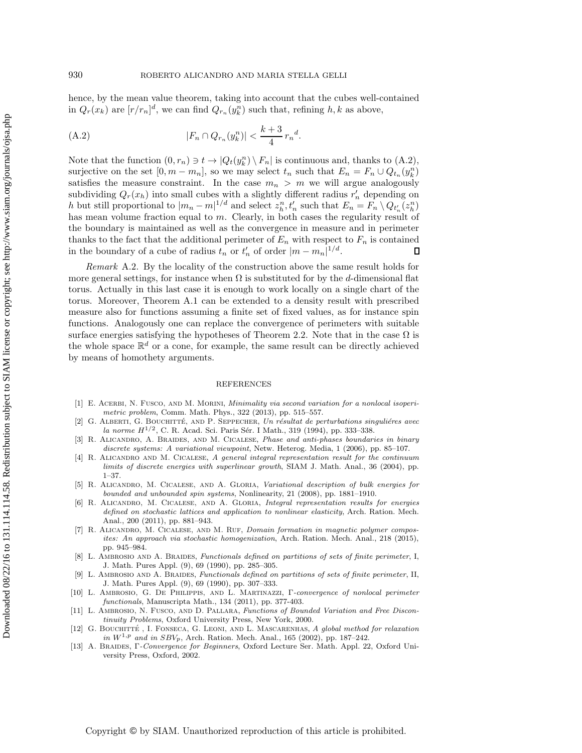hence, by the mean value theorem, taking into account that the cubes well-contained in  $Q_r(x_k)$  are  $[r/r_n]^d$ , we can find  $Q_{r_n}(y_k^n)$  such that, refining  $h, k$  as above,

<span id="page-35-13"></span>(A.2) 
$$
|F_n \cap Q_{r_n}(y_k^n)| < \frac{k+3}{4} r_n^d.
$$

Note that the function  $(0, r_n) \ni t \to |Q_t(y_k^n) \setminus F_n|$  is continuous and, thanks to  $(A.2)$ , surjective on the set  $[0, m - m_n]$ , so we may select  $t_n$  such that  $E_n = F_n \cup Q_{t_n}(y_k^n)$ satisfies the measure constraint. In the case  $m_n > m$  we will argue analogously subdividing  $Q_r(x_h)$  into small cubes with a slightly different radius  $r'_n$  depending on h but still proportional to  $|m_n - m|^{1/d}$  and select  $z_h^n, t'_n$  such that  $E_n = F_n \setminus Q_{t'_n}(z_h^n)$ has mean volume fraction equal to m. Clearly, in both cases the regularity result of the boundary is maintained as well as the convergence in measure and in perimeter thanks to the fact that the additional perimeter of  $E_n$  with respect to  $F_n$  is contained in the boundary of a cube of radius  $t_n$  or  $t'_n$  of order  $|m - m_n|^{1/d}$ .

<span id="page-35-10"></span>*Remark* A.2. By the locality of the construction above the same result holds for more general settings, for instance when  $\Omega$  is substituted for by the d-dimensional flat torus. Actually in this last case it is enough to work locally on a single chart of the torus. Moreover, Theorem [A.1](#page-33-0) can be extended to a density result with prescribed measure also for functions assuming a finite set of fixed values, as for instance spin functions. Analogously one can replace the convergence of perimeters with suitable surface energies satisfying the hypotheses of Theorem [2.2.](#page-5-0) Note that in the case  $\Omega$  is the whole space  $\mathbb{R}^d$  or a cone, for example, the same result can be directly achieved by means of homothety arguments.

## **REFERENCES**

- <span id="page-35-7"></span>[1] E. ACERBI, N. FUSCO, AND M. MORINI, *Minimality via second variation for a nonlocal isoperimetric problem*, Comm. Math. Phys., 322 (2013), pp. 515–557.
- <span id="page-35-12"></span>[2] G. ALBERTI, G. BOUCHITTÉ, AND P. SEPPECHER, *Un résultat de perturbations singulières avec la norme H*<sup>1/2</sup>, C. R. Acad. Sci. Paris Sér. I Math., 319 (1994), pp. 333-338.
- <span id="page-35-0"></span>[3] R. Alicandro, A. Braides, and M. Cicalese, *Phase and anti-phases boundaries in binary discrete systems: A variational viewpoint*, Netw. Heterog. Media, 1 (2006), pp. 85–107.
- <span id="page-35-3"></span>[4] R. Alicandro and M. Cicalese, *A general integral representation result for the continuum limits of discrete energies with superlinear growth*, SIAM J. Math. Anal., 36 (2004), pp. 1–37.
- <span id="page-35-1"></span>[5] R. Alicandro, M. Cicalese, and A. Gloria, *Variational description of bulk energies for bounded and unbounded spin systems*, Nonlinearity, 21 (2008), pp. 1881–1910.
- <span id="page-35-4"></span>[6] R. Alicandro, M. Cicalese, and A. Gloria, *Integral representation results for energies defined on stochastic lattices and application to nonlinear elasticity*, Arch. Ration. Mech. Anal., 200 (2011), pp. 881–943.
- <span id="page-35-6"></span>[7] R. ALICANDRO, M. CICALESE, AND M. RUF, *Domain formation in magnetic polymer composites: An approach via stochastic homogenization*, Arch. Ration. Mech. Anal., 218 (2015), pp. 945–984.
- <span id="page-35-8"></span>[8] L. Ambrosio and A. Braides, *Functionals defined on partitions of sets of finite perimeter*, I, J. Math. Pures Appl. (9), 69 (1990), pp. 285–305.
- [9] L. Ambrosio and A. Braides, *Functionals defined on partitions of sets of finite perimeter*, II, J. Math. Pures Appl. (9), 69 (1990), pp. 307–333.
- <span id="page-35-11"></span>[10] L. Ambrosio, G. De Philippis, and L. Martinazzi, Γ*-convergence of nonlocal perimeter functionals*, Manuscripta Math., 134 (2011), pp. 377-403.
- <span id="page-35-9"></span>[11] L. AMBROSIO, N. FUSCO, AND D. PALLARA, *Functions of Bounded Variation and Free Discontinuity Problems*, Oxford University Press, New York, 2000.
- <span id="page-35-5"></span>[12] G. BOUCHITTÉ, I. FONSECA, G. LEONI, AND L. MASCARENHAS, *A global method for relaxation in*  $W^{1,p}$  *and in*  $SBV_p$ , Arch. Ration. Mech. Anal., 165 (2002), pp. 187–242.
- <span id="page-35-2"></span>[13] A. Braides, Γ*-Convergence for Beginners*, Oxford Lecture Ser. Math. Appl. 22, Oxford University Press, Oxford, 2002.